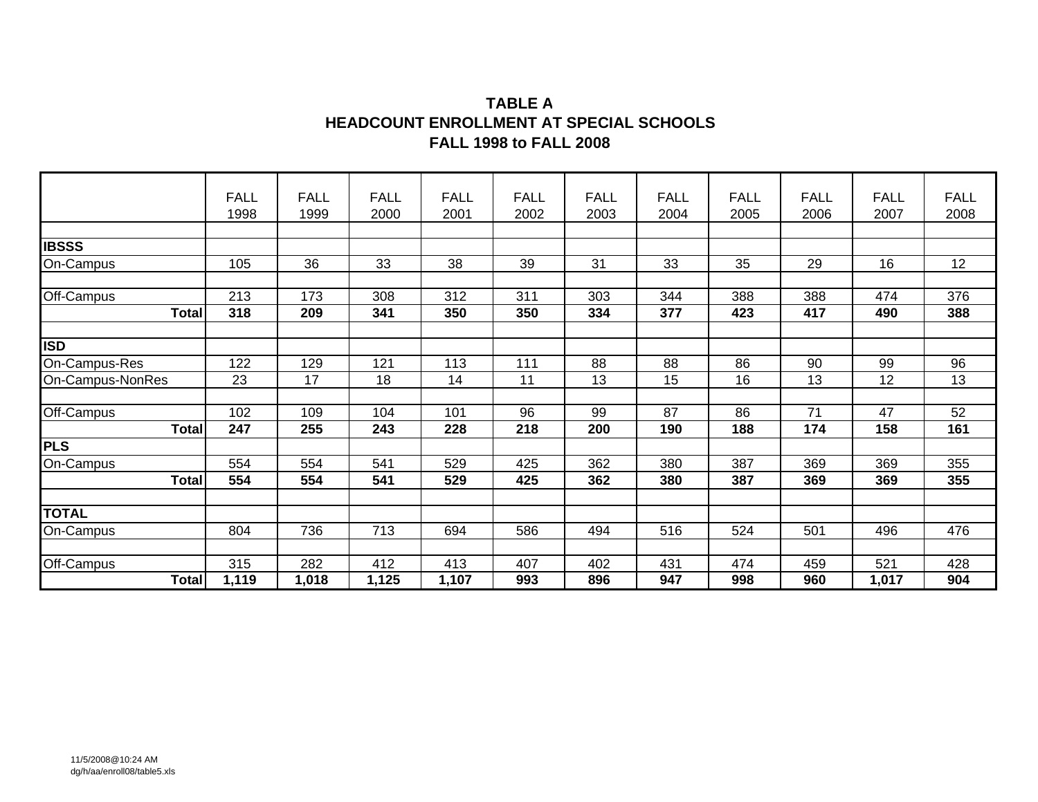### **TABLE A HEADCOUNT ENROLLMENT AT SPECIAL SCHOOLS FALL 1998 to FALL 2008**

|                  | <b>FALL</b><br>1998 | <b>FALL</b><br>1999 | <b>FALL</b><br>2000 | <b>FALL</b><br>2001 | <b>FALL</b><br>2002 | <b>FALL</b><br>2003 | <b>FALL</b><br>2004 | <b>FALL</b><br>2005 | <b>FALL</b><br>2006 | <b>FALL</b><br>2007 | <b>FALL</b><br>2008 |
|------------------|---------------------|---------------------|---------------------|---------------------|---------------------|---------------------|---------------------|---------------------|---------------------|---------------------|---------------------|
|                  |                     |                     |                     |                     |                     |                     |                     |                     |                     |                     |                     |
| <b>IBSSS</b>     |                     |                     |                     |                     |                     |                     |                     |                     |                     |                     |                     |
| On-Campus        | 105                 | 36                  | 33                  | 38                  | 39                  | 31                  | 33                  | 35                  | 29                  | 16                  | 12                  |
|                  |                     |                     |                     |                     |                     |                     |                     |                     |                     |                     |                     |
| Off-Campus       | 213                 | 173                 | 308                 | 312                 | 311                 | 303                 | 344                 | 388                 | 388                 | 474                 | 376                 |
| <b>Total</b>     | 318                 | 209                 | 341                 | 350                 | 350                 | 334                 | 377                 | 423                 | 417                 | 490                 | 388                 |
|                  |                     |                     |                     |                     |                     |                     |                     |                     |                     |                     |                     |
| ISD              |                     |                     |                     |                     |                     |                     |                     |                     |                     |                     |                     |
| On-Campus-Res    | 122                 | 129                 | 121                 | 113                 | 111                 | 88                  | 88                  | 86                  | 90                  | 99                  | 96                  |
| On-Campus-NonRes | 23                  | 17                  | 18                  | 14                  | 11                  | 13                  | 15                  | 16                  | 13                  | 12                  | 13                  |
|                  |                     |                     |                     |                     |                     |                     |                     |                     |                     |                     |                     |
| Off-Campus       | 102                 | 109                 | 104                 | 101                 | 96                  | 99                  | 87                  | 86                  | 71                  | 47                  | 52                  |
| <b>Total</b>     | 247                 | 255                 | 243                 | 228                 | 218                 | 200                 | 190                 | 188                 | 174                 | 158                 | 161                 |
| PLS              |                     |                     |                     |                     |                     |                     |                     |                     |                     |                     |                     |
| On-Campus        | 554                 | 554                 | 541                 | 529                 | 425                 | 362                 | 380                 | 387                 | 369                 | 369                 | 355                 |
| <b>Total</b>     | 554                 | 554                 | 541                 | 529                 | 425                 | 362                 | 380                 | 387                 | 369                 | 369                 | 355                 |
|                  |                     |                     |                     |                     |                     |                     |                     |                     |                     |                     |                     |
| <b>TOTAL</b>     |                     |                     |                     |                     |                     |                     |                     |                     |                     |                     |                     |
| On-Campus        | 804                 | 736                 | 713                 | 694                 | 586                 | 494                 | 516                 | 524                 | 501                 | 496                 | 476                 |
|                  |                     |                     |                     |                     |                     |                     |                     |                     |                     |                     |                     |
| Off-Campus       | 315                 | 282                 | 412                 | 413                 | 407                 | 402                 | 431                 | 474                 | 459                 | 521                 | 428                 |
| <b>Total</b>     | 1,119               | 1,018               | 1,125               | 1,107               | 993                 | 896                 | 947                 | 998                 | 960                 | 1,017               | 904                 |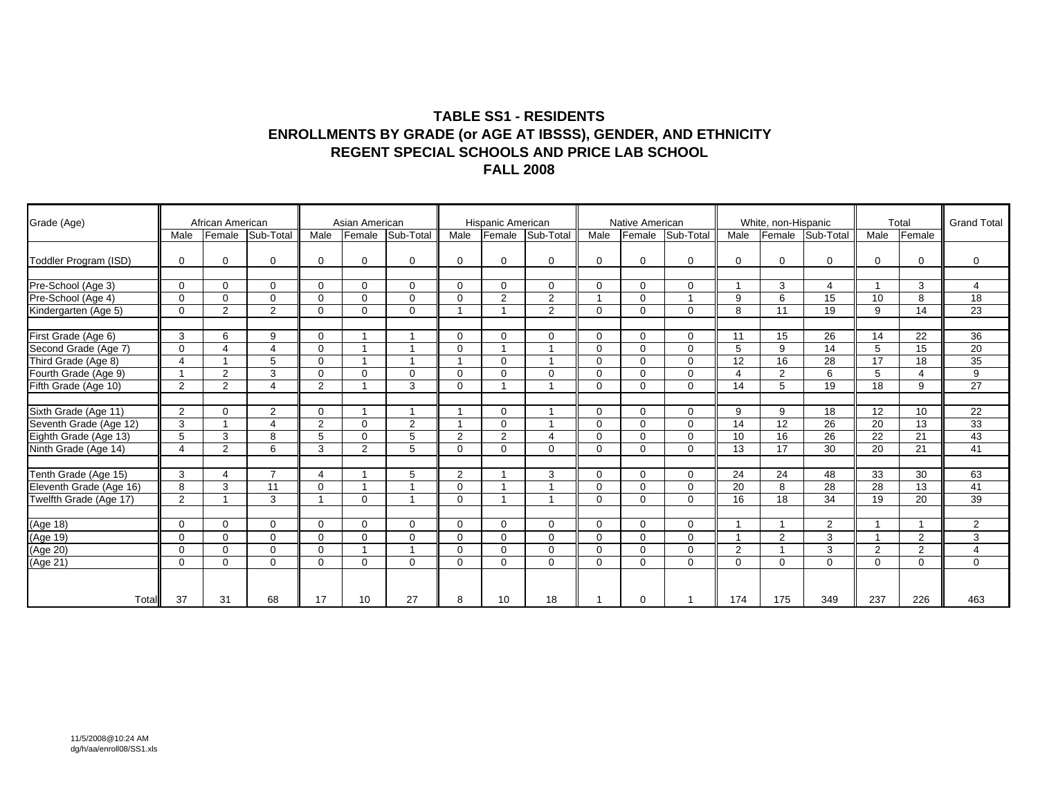#### **TABLE SS1 - RESIDENTS ENROLLMENTS BY GRADE (or AGE AT IBSSS), GENDER, AND ETHNICITY REGENT SPECIAL SCHOOLS AND PRICE LAB SCHOOL FALL 2008**

| Grade (Age)                                     |                       | African American |                          |                | Asian American |                |                | Hispanic American |                |             | Native American |              |                | White, non-Hispanic |                  |                 | Total           | <b>Grand Total</b> |
|-------------------------------------------------|-----------------------|------------------|--------------------------|----------------|----------------|----------------|----------------|-------------------|----------------|-------------|-----------------|--------------|----------------|---------------------|------------------|-----------------|-----------------|--------------------|
|                                                 | Male                  | Female           | Sub-Total                | Male           | Female         | Sub-Total      | Male           | Female            | Sub-Total      | Male        | Female          | Sub-Total    | Male           |                     | Female Sub-Total | Male            | Female          |                    |
| Toddler Program (ISD)                           | $\Omega$              | $\mathbf 0$      | $\Omega$                 | $\mathbf 0$    | $\Omega$       | $\Omega$       | $\Omega$       | $\mathbf 0$       | $\Omega$       | $\Omega$    | $\Omega$        | $\mathbf 0$  | $\mathbf 0$    | $\Omega$            | $\Omega$         | $\Omega$        | 0               | $\mathbf 0$        |
| Pre-School (Age 3)                              | $\Omega$              | $\Omega$         | $\Omega$                 | $\Omega$       | $\Omega$       | $\Omega$       | $\Omega$       | $\mathbf 0$       | $\Omega$       | $\Omega$    | $\Omega$        | $\mathbf 0$  | $\mathbf{1}$   | 3                   | 4                |                 | 3               | 4                  |
| Pre-School (Age 4)                              | $\Omega$              | $\Omega$         | $\mathbf 0$              | $\mathbf 0$    | $\Omega$       | $\mathbf 0$    | $\Omega$       | 2                 | 2              |             | $\Omega$        | $\mathbf{1}$ | 9              | 6                   | 15               | 10              | 8               | 18                 |
| Kindergarten (Age 5)                            | $\mathbf 0$           | 2                | 2                        | $\mathbf 0$    | $\Omega$       | $\mathbf 0$    |                |                   | 2              | 0           | $\mathbf 0$     | $\mathbf 0$  | 8              | 11                  | 19               | 9               | 14              | 23                 |
| First Grade (Age 6)                             | 3                     | 6                | 9                        | $\Omega$       |                |                | $\Omega$       | $\mathbf 0$       | $\Omega$       | $\mathbf 0$ | $\Omega$        | $\Omega$     | 11             | 15                  | 26               | 14              | 22              | 36                 |
| Second Grade (Age 7)                            | $\mathbf 0$           | 4                | $\overline{4}$           | $\mathbf 0$    | -1             |                | $\Omega$       |                   |                | $\mathbf 0$ | $\Omega$        | $\mathbf 0$  | 5              | 9                   | 14               | 5               | 15              | 20                 |
| Third Grade (Age 8)                             | $\Delta$              |                  | 5                        | $\Omega$       |                |                |                | $\mathbf 0$       |                | $\Omega$    | $\Omega$        | $\Omega$     | 12             | 16                  | 28               | 17              | 18              | 35                 |
| Fourth Grade (Age 9)                            |                       | 2                | 3                        | $\Omega$       | $\Omega$       | $\Omega$       | $\Omega$       | $\mathbf 0$       | $\Omega$       | $\Omega$    | $\Omega$        | $\mathbf 0$  | $\overline{4}$ | 2                   | 6                | 5               | 4               | $\overline{9}$     |
| Fifth Grade (Age 10)                            | 2                     | 2                | $\boldsymbol{\Delta}$    | 2              |                | 3              | $\Omega$       |                   |                | $\Omega$    | $\Omega$        | $\Omega$     | 14             | 5                   | 19               | 18              | 9               | 27                 |
|                                                 |                       |                  |                          |                |                |                |                |                   |                |             |                 |              |                |                     |                  |                 |                 |                    |
| Sixth Grade (Age 11)                            | 2                     | $\Omega$         | 2                        | $\Omega$       | -1             | 1              |                | $\mathbf 0$       |                | $\Omega$    | $\Omega$        | $\mathbf 0$  | 9              | 9                   | 18               | 12              | 10              | 22                 |
| Seventh Grade (Age 12)<br>Eighth Grade (Age 13) | 3                     |                  | $\overline{\mathcal{A}}$ | 2              | $\Omega$       | $\overline{2}$ |                | $\mathbf 0$       |                | $\Omega$    | $\Omega$        | $\mathbf 0$  | 14             | 12                  | 26               | $\overline{20}$ | 13              | 33                 |
|                                                 | 5                     | 3                | 8                        | 5              | $\Omega$       | 5              | 2              | $\overline{2}$    | $\overline{4}$ | $\Omega$    | $\Omega$        | $\mathbf 0$  | 10             | 16                  | 26               | 22              | 21              | 43                 |
| Ninth Grade (Age 14)                            | $\boldsymbol{\Delta}$ | $\overline{2}$   | 6                        | 3              | 2              | 5              | $\Omega$       | $\mathbf 0$       | $\Omega$       | $\Omega$    | $\Omega$        | $\Omega$     | 13             | 17                  | 30               | 20              | 21              | 41                 |
| Tenth Grade (Age 15)                            | 3                     | 4                | $\overline{7}$           | 4              |                | 5              | $\overline{2}$ |                   | 3              | $\Omega$    | $\Omega$        | $\mathbf 0$  | 24             | 24                  | 48               | 33              | 30              | 63                 |
| Eleventh Grade (Age 16)                         | 8                     | 3                | 11                       | $\mathbf 0$    |                |                | $\Omega$       |                   |                | $\Omega$    | $\mathbf 0$     | $\mathbf 0$  | 20             | 8                   | 28               | $\overline{28}$ | 13              | 41                 |
| Twelfth Grade (Age 17)                          | 2                     |                  | 3                        | $\overline{1}$ | $\Omega$       |                | $\Omega$       |                   |                | $\Omega$    | $\Omega$        | $\Omega$     | 16             | 18                  | 34               | 19              | $\overline{20}$ | $\overline{39}$    |
|                                                 |                       |                  |                          |                |                |                |                |                   |                |             |                 |              |                |                     |                  |                 |                 |                    |
|                                                 | $\Omega$              | $\Omega$         | $\mathbf 0$              | $\mathbf 0$    | $\Omega$       | $\mathbf{0}$   | $\Omega$       | $\mathbf 0$       | $\Omega$       | $\Omega$    | $\Omega$        | $\mathbf 0$  | 1              |                     | $\overline{2}$   |                 |                 | 2                  |
|                                                 | $\Omega$              | $\Omega$         | $\mathbf 0$              | $\mathbf 0$    | $\Omega$       | $\mathbf 0$    | $\Omega$       | $\mathbf 0$       | $\Omega$       | $\Omega$    | $\mathbf{0}$    | $\mathbf 0$  | $\overline{1}$ | 2                   | 3                |                 | $\overline{2}$  | 3                  |
|                                                 | $\Omega$              | $\Omega$         | $\mathbf 0$              | $\mathbf 0$    |                |                | $\Omega$       | $\mathbf 0$       | $\Omega$       | $\Omega$    | $\Omega$        | $\mathbf 0$  | 2              |                     | 3                | 2               | $\overline{2}$  | $\overline{4}$     |
| (Age 18)<br>(Age 19)<br>(Age 20)<br>(Age 21)    | $\mathbf 0$           | $\Omega$         | $\Omega$                 | $\Omega$       | $\Omega$       | $\Omega$       | $\Omega$       | $\mathbf 0$       | $\Omega$       | $\Omega$    | $\Omega$        | $\Omega$     | $\Omega$       | $\Omega$            | $\Omega$         | $\Omega$        | 0               | $\mathbf 0$        |
| Total                                           | 37                    | 31               | 68                       | 17             | 10             | 27             | 8              | 10                | 18             |             | $\Omega$        |              | 174            | 175                 | 349              | 237             | 226             | 463                |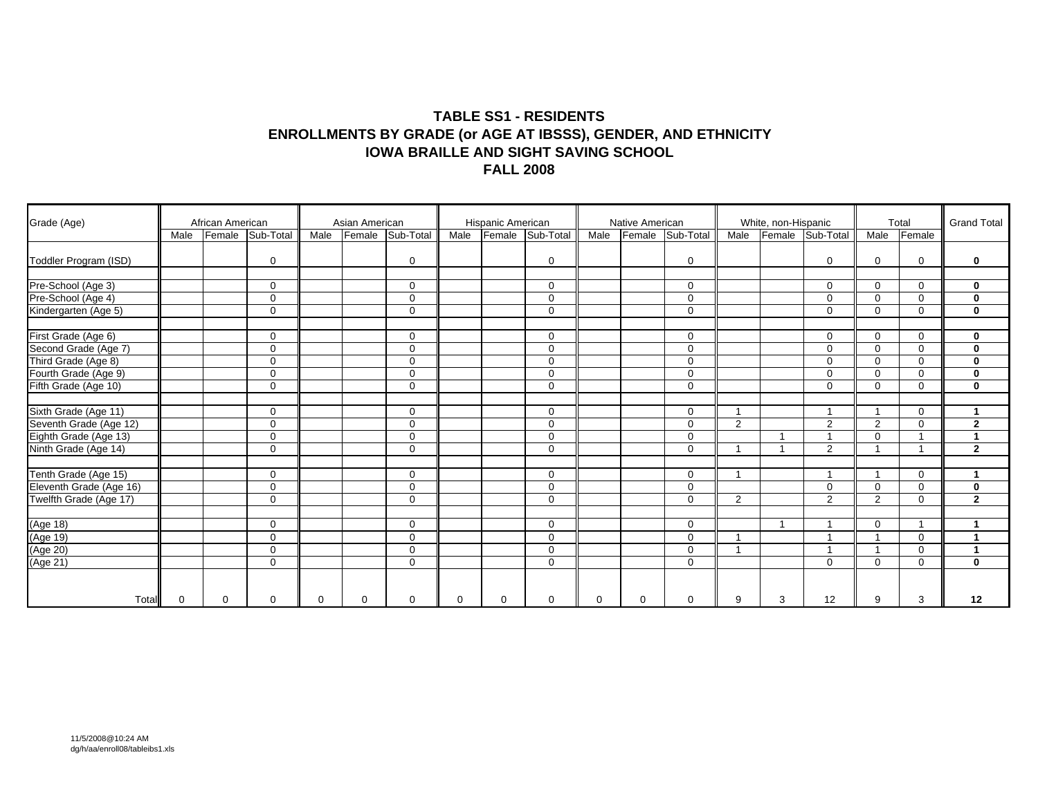#### **TABLE SS1 - RESIDENTS ENROLLMENTS BY GRADE (or AGE AT IBSSS), GENDER, AND ETHNICITY IOWA BRAILLE AND SIGHT SAVING SCHOOL FALL 2008**

| Grade (Age)                                     |             | African American |             |          | Asian American |             |          | Hispanic American |                  |          | Native American |              |      | White, non-Hispanic |                         |                         | Total       | <b>Grand Total</b>   |
|-------------------------------------------------|-------------|------------------|-------------|----------|----------------|-------------|----------|-------------------|------------------|----------|-----------------|--------------|------|---------------------|-------------------------|-------------------------|-------------|----------------------|
|                                                 | Male        | Female           | Sub-Total   | Male     | Female         | Sub-Total   | Male     |                   | Female Sub-Total | Male     | Female          | Sub-Total    | Male |                     | Female Sub-Total        | Male                    | Female      |                      |
| Toddler Program (ISD)                           |             |                  | $\mathbf 0$ |          |                | $\mathbf 0$ |          |                   | $\Omega$         |          |                 | $\mathbf 0$  |      |                     | 0                       | $\mathbf 0$             | 0           | $\mathbf 0$          |
| Pre-School (Age 3)                              |             |                  | $\Omega$    |          |                | $\mathbf 0$ |          |                   | $\Omega$         |          |                 | $\mathbf 0$  |      |                     | $\Omega$                | $\Omega$                | 0           | $\mathbf 0$          |
| Pre-School (Age 4)                              |             |                  | $\Omega$    |          |                | $\Omega$    |          |                   | $\Omega$         |          |                 | $\Omega$     |      |                     | $\Omega$                | $\Omega$                | $\Omega$    | $\mathbf 0$          |
| Kindergarten (Age 5)                            |             |                  | $\mathbf 0$ |          |                | $\mathbf 0$ |          |                   | $\mathbf 0$      |          |                 | $\mathbf 0$  |      |                     | $\Omega$                | $\mathbf 0$             | 0           | $\mathbf 0$          |
| First Grade (Age 6)                             |             |                  | $\Omega$    |          |                | $\Omega$    |          |                   | $\Omega$         |          |                 | $\mathbf 0$  |      |                     | $\Omega$                | $\overline{0}$          | $\Omega$    | $\mathbf 0$          |
|                                                 |             |                  | $\Omega$    |          |                | $\Omega$    |          |                   | $\Omega$         |          |                 | $\mathbf 0$  |      |                     | $\Omega$                | $\Omega$                | $\Omega$    | $\mathbf 0$          |
| Second Grade (Age 7)<br>Third Grade (Age 8)     |             |                  | $\mathbf 0$ |          |                | $\mathbf 0$ |          |                   | $\Omega$         |          |                 | $\mathbf 0$  |      |                     | $\Omega$                | $\mathbf 0$             | $\Omega$    | $\mathbf 0$          |
| Fourth Grade (Age 9)                            |             |                  | $\mathbf 0$ |          |                | $\mathbf 0$ |          |                   | $\mathbf 0$      |          |                 | $\mathbf{0}$ |      |                     | $\Omega$                | $\mathbf 0$             | 0           | $\mathbf{0}$         |
| Fifth Grade (Age 10)                            |             |                  | $\mathbf 0$ |          |                | $\Omega$    |          |                   | $\Omega$         |          |                 | $\mathbf 0$  |      |                     | $\Omega$                | $\Omega$                | 0           | $\mathbf 0$          |
| Sixth Grade (Age 11)                            |             |                  | $\Omega$    |          |                | $\mathbf 0$ |          |                   | $\Omega$         |          |                 | $\mathbf 0$  |      |                     |                         | $\overline{\mathbf{1}}$ | 0           | -1                   |
|                                                 |             |                  | $\Omega$    |          |                | $\Omega$    |          |                   | $\Omega$         |          |                 | $\Omega$     | 2    |                     | 2                       | $\overline{2}$          | $\Omega$    | $\overline{2}$       |
| Seventh Grade (Age 12)<br>Eighth Grade (Age 13) |             |                  | $\mathbf 0$ |          |                | 0           |          |                   | $\Omega$         |          |                 | $\mathbf 0$  |      |                     |                         | $\Omega$                |             | $\mathbf{1}$         |
| Ninth Grade (Age 14)                            |             |                  | $\mathbf 0$ |          |                | $\mathbf 0$ |          |                   | $\Omega$         |          |                 | $\mathbf 0$  |      |                     | 2                       | $\overline{\mathbf{1}}$ | -4          | $\overline{2}$       |
|                                                 |             |                  |             |          |                |             |          |                   |                  |          |                 |              |      |                     |                         |                         |             |                      |
| Tenth Grade (Age 15)<br>Eleventh Grade (Age 16) |             |                  | $\mathbf 0$ |          |                | $\mathbf 0$ |          |                   | $\mathbf 0$      |          |                 | $\mathbf 0$  |      |                     | 1                       | $\overline{\mathbf{1}}$ | 0           | $\mathbf{1}$         |
|                                                 |             |                  | 0           |          |                | $\mathbf 0$ |          |                   | $\Omega$         |          |                 | $\mathbf{0}$ |      |                     | $\Omega$                | $\overline{0}$          | $\Omega$    | $\bf{0}$             |
| Twelfth Grade (Age 17)                          |             |                  | $\mathbf 0$ |          |                | $\Omega$    |          |                   | $\mathbf 0$      |          |                 | $\mathbf 0$  | 2    |                     | 2                       | $\overline{2}$          | 0           | $\overline{2}$       |
| (Age 18)                                        |             |                  | $\Omega$    |          |                | 0           |          |                   | $\Omega$         |          |                 | $\mathbf 0$  |      |                     |                         | $\Omega$                |             |                      |
|                                                 |             |                  | $\mathbf 0$ |          |                | $\mathbf 0$ |          |                   | $\mathbf 0$      |          |                 | $\mathbf 0$  |      |                     | $\overline{\mathbf{A}}$ | $\overline{\mathbf{1}}$ | $\mathbf 0$ | $\mathbf{1}$         |
|                                                 |             |                  | $\mathbf 0$ |          |                | $\mathbf 0$ |          |                   | $\mathbf 0$      |          |                 | $\mathbf 0$  |      |                     |                         | $\overline{\mathbf{A}}$ | 0           | $\blacktriangleleft$ |
| (Age 19)<br>(Age 20)<br>(Age 21)                |             |                  | $\mathbf 0$ |          |                | $\mathbf 0$ |          |                   | $\mathbf 0$      |          |                 | $\mathbf 0$  |      |                     | $\mathbf 0$             | $\mathbf 0$             | 0           | $\mathbf 0$          |
|                                                 |             |                  |             |          |                |             |          |                   |                  |          |                 |              |      |                     |                         |                         |             |                      |
| Total                                           | $\mathbf 0$ | $\Omega$         | $\Omega$    | $\Omega$ | $\Omega$       | $\Omega$    | $\Omega$ | $\Omega$          | $\Omega$         | $\Omega$ | 0               | $\mathbf 0$  | 9    | 3                   | 12                      | 9                       | 3           | 12                   |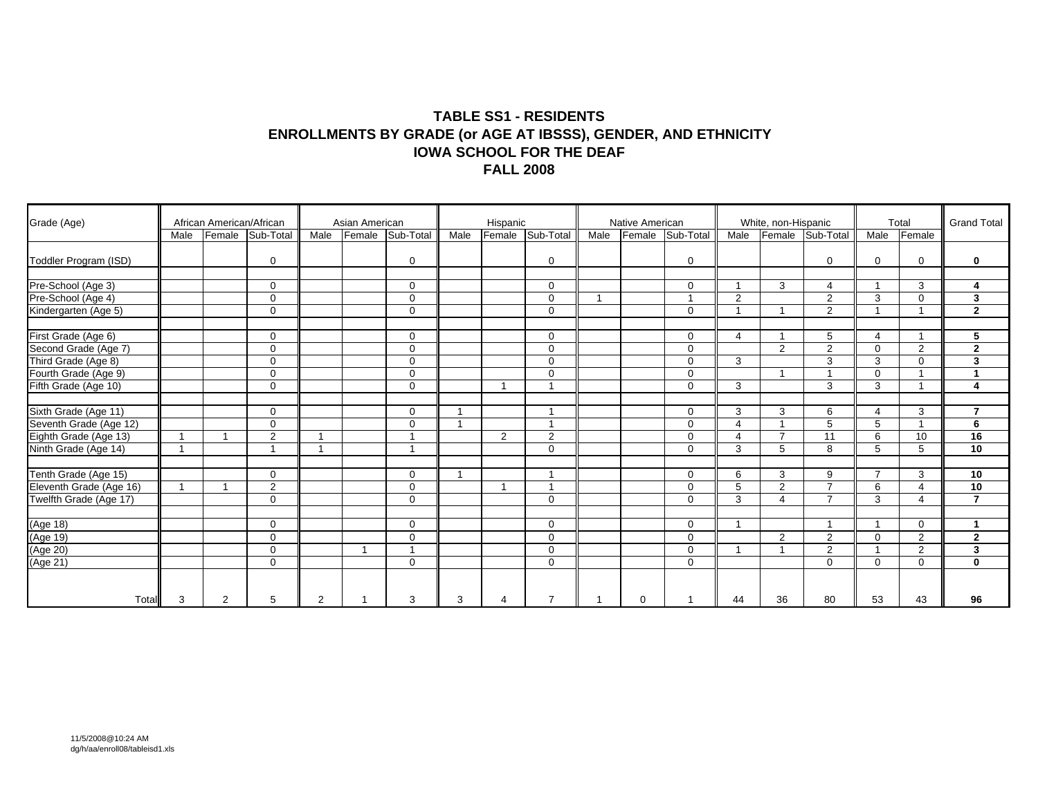#### **TABLE SS1 - RESIDENTS ENROLLMENTS BY GRADE (or AGE AT IBSSS), GENDER, AND ETHNICITY IOWA SCHOOL FOR THE DEAF FALL 2008**

| Grade (Age)                                     |      | African American/African |                         |                | Asian American |                          |      | Hispanic |                         |      | Native American |                         |                       | White, non-Hispanic |                  |                         | Total                    | <b>Grand Total</b>      |
|-------------------------------------------------|------|--------------------------|-------------------------|----------------|----------------|--------------------------|------|----------|-------------------------|------|-----------------|-------------------------|-----------------------|---------------------|------------------|-------------------------|--------------------------|-------------------------|
|                                                 | Male | Female                   | Sub-Total               | Male           | Female         | Sub-Total                | Male | Female   | Sub-Total               | Male | Female          | Sub-Total               | Male                  |                     | Female Sub-Total | Male                    | Female                   |                         |
| Toddler Program (ISD)                           |      |                          | $\mathbf 0$             |                |                | $\mathbf 0$              |      |          | $\Omega$                |      |                 | $\mathbf 0$             |                       |                     | 0                | $\mathbf 0$             | 0                        | $\mathbf 0$             |
| Pre-School (Age 3)                              |      |                          | $\Omega$                |                |                | $\mathbf 0$              |      |          | $\Omega$                |      |                 | $\mathbf 0$             |                       | 3                   | 4                | $\overline{\mathbf{1}}$ | 3                        | 4                       |
| Pre-School (Age 4)                              |      |                          | $\Omega$                |                |                | $\Omega$                 |      |          | $\Omega$                |      |                 | $\overline{\mathbf{A}}$ | 2                     |                     | 2                | 3                       | $\Omega$                 | 3                       |
| Kindergarten (Age 5)                            |      |                          | $\mathbf 0$             |                |                | $\mathbf 0$              |      |          | $\mathbf 0$             |      |                 | $\mathbf 0$             |                       |                     | 2                | $\overline{\mathbf{1}}$ | $\overline{\phantom{a}}$ | $\overline{2}$          |
| First Grade (Age 6)                             |      |                          | $\Omega$                |                |                | $\Omega$                 |      |          | $\Omega$                |      |                 | $\mathbf 0$             | $\overline{4}$        |                     | 5                | $\overline{4}$          |                          | 5                       |
| Second Grade (Age 7)<br>Third Grade (Age 8)     |      |                          | $\Omega$                |                |                | $\Omega$                 |      |          | $\Omega$                |      |                 | $\mathbf 0$             |                       | 2                   | $\overline{2}$   | $\Omega$                | $\overline{2}$           | $\mathbf{2}$            |
|                                                 |      |                          | $\mathbf 0$             |                |                | $\mathbf 0$              |      |          | $\Omega$                |      |                 | $\mathbf 0$             | 3                     |                     | 3                | 3                       | $\Omega$                 | 3                       |
| Fourth Grade (Age 9)                            |      |                          | $\mathbf 0$             |                |                | $\mathbf 0$              |      |          | $\mathbf 0$             |      |                 | $\mathbf 0$             |                       |                     |                  | $\mathbf 0$             |                          | $\mathbf{1}$            |
| Fifth Grade (Age 10)                            |      |                          | $\mathbf 0$             |                |                | $\Omega$                 |      |          |                         |      |                 | $\Omega$                | 3                     |                     | 3                | 3                       |                          | $\overline{\mathbf{4}}$ |
|                                                 |      |                          |                         |                |                |                          |      |          |                         |      |                 |                         |                       |                     |                  |                         |                          |                         |
| Sixth Grade (Age 11)                            |      |                          | $\Omega$                |                |                | $\mathbf 0$              |      |          | $\overline{\mathbf{A}}$ |      |                 | $\mathbf 0$             | 3                     | 3                   | 6                | $\boldsymbol{\Delta}$   | 3                        | $\overline{7}$          |
| Seventh Grade (Age 12)<br>Eighth Grade (Age 13) |      |                          | $\Omega$                |                |                | $\Omega$                 |      |          |                         |      |                 | $\mathbf 0$             | $\boldsymbol{\Delta}$ |                     | 5                | 5                       |                          | 6                       |
|                                                 |      |                          | $\overline{2}$          | -1             |                | $\overline{\phantom{a}}$ |      | 2        | 2                       |      |                 | $\mathbf 0$             | $\overline{4}$        | $\overline{7}$      | 11               | 6                       | 10                       | 16                      |
| Ninth Grade (Age 14)                            |      |                          | $\overline{\mathbf{A}}$ | $\overline{ }$ |                | $\overline{ }$           |      |          | $\Omega$                |      |                 | $\mathbf 0$             | 3                     | 5                   | 8                | 5                       | 5                        | 10                      |
| Tenth Grade (Age 15)                            |      |                          | $\mathbf 0$             |                |                | $\mathbf 0$              |      |          | $\overline{ }$          |      |                 | $\mathbf 0$             | 6                     | 3                   | 9                | $\overline{7}$          | 3                        | 10                      |
| Eleventh Grade (Age 16)                         |      |                          | $\overline{2}$          |                |                | $\mathbf 0$              |      |          |                         |      |                 | $\mathbf 0$             | 5                     | 2                   | $\overline{ }$   | 6                       | 4                        | 10                      |
| Twelfth Grade (Age 17)                          |      |                          | $\mathbf 0$             |                |                | $\Omega$                 |      |          | $\Omega$                |      |                 | $\mathbf 0$             | 3                     | $\Delta$            | $\overline{7}$   | 3                       | 4                        | $\overline{7}$          |
|                                                 |      |                          |                         |                |                |                          |      |          |                         |      |                 |                         |                       |                     |                  |                         |                          |                         |
| (Age 18)                                        |      |                          | $\Omega$                |                |                | 0                        |      |          | $\Omega$                |      |                 | $\mathbf 0$             |                       |                     |                  |                         | $\Omega$                 | -1                      |
|                                                 |      |                          | $\mathbf 0$             |                |                | $\Omega$                 |      |          | $\mathbf 0$             |      |                 | $\mathbf 0$             |                       | 2                   | 2                | $\mathbf 0$             | 2                        | $\mathbf{2}$            |
|                                                 |      |                          | $\mathbf 0$             |                |                | $\overline{\phantom{a}}$ |      |          | $\mathbf 0$             |      |                 | $\mathbf 0$             |                       |                     | 2                | $\overline{\mathbf{1}}$ | $\overline{2}$           | $\mathbf{3}$            |
| (Age 19)<br>(Age 20)<br>(Age 21)                |      |                          | $\mathbf 0$             |                |                | $\mathbf 0$              |      |          | $\mathbf 0$             |      |                 | $\mathbf 0$             |                       |                     | $\mathbf 0$      | $\overline{0}$          | 0                        | $\mathbf 0$             |
|                                                 |      |                          |                         |                |                |                          |      |          |                         |      |                 |                         |                       |                     |                  |                         |                          |                         |
| Total                                           | 3    | 2                        | 5                       | 2              |                | 3                        | 3    | $\Delta$ |                         |      | 0               |                         | 44                    | 36                  | 80               | 53                      | 43                       | 96                      |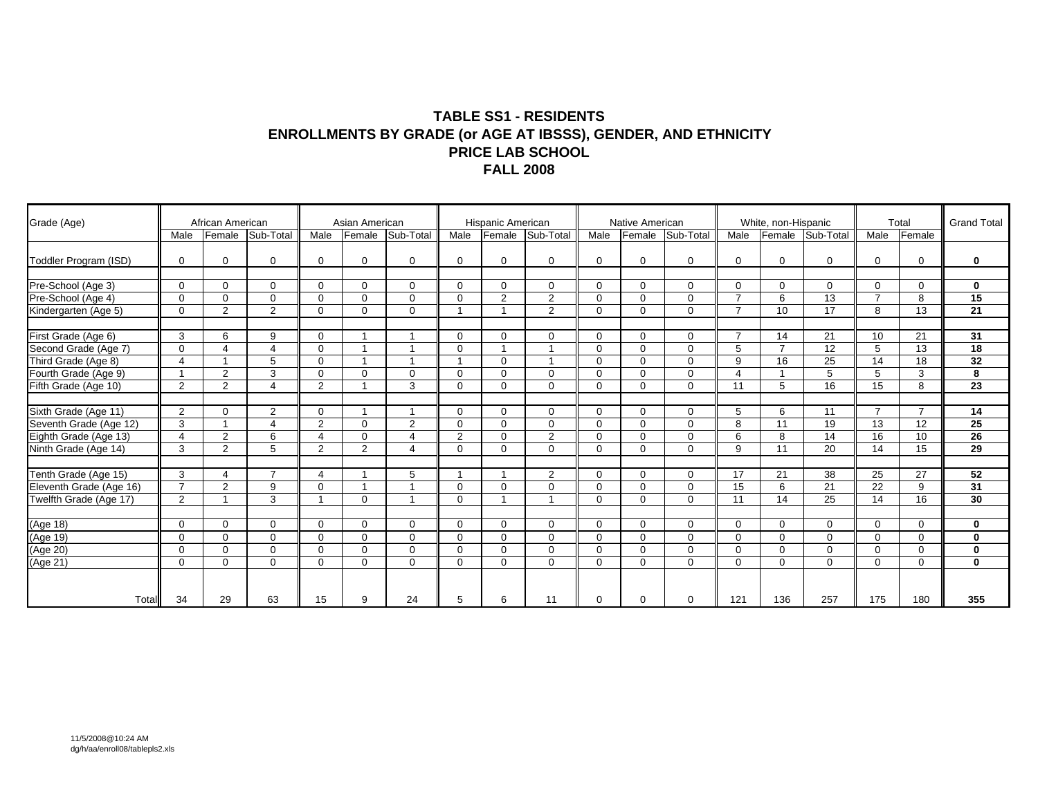#### **TABLE SS1 - RESIDENTS ENROLLMENTS BY GRADE (or AGE AT IBSSS), GENDER, AND ETHNICITY PRICE LAB SCHOOL FALL 2008**

| Grade (Age)                                     |                | African American      |                       |                          | Asian American |                          |          | Hispanic American       |                |             | Native American |             |                | White, non-Hispanic |                  |                | Total          | <b>Grand Total</b> |
|-------------------------------------------------|----------------|-----------------------|-----------------------|--------------------------|----------------|--------------------------|----------|-------------------------|----------------|-------------|-----------------|-------------|----------------|---------------------|------------------|----------------|----------------|--------------------|
|                                                 | Male           | Female                | Sub-Total             | Male                     | Female         | Sub-Total                | Male     | Female                  | Sub-Total      | Male        | Female          | Sub-Total   | Male           |                     | Female Sub-Total | Male           | Female         |                    |
| Toddler Program (ISD)                           | $\Omega$       | 0                     | $\mathbf 0$           | $\Omega$                 | $\Omega$       | 0                        | $\Omega$ | $\mathbf 0$             | $\Omega$       | $\Omega$    | $\Omega$        | $\mathbf 0$ | $\mathbf 0$    | $\Omega$            | 0                | $\Omega$       | 0              | 0                  |
| Pre-School (Age 3)                              | $\Omega$       | $\Omega$              | $\Omega$              | $\Omega$                 | $\Omega$       | $\Omega$                 | $\Omega$ | $\mathbf 0$             | $\Omega$       | $\Omega$    | $\Omega$        | $\mathbf 0$ | $\mathbf 0$    | $\Omega$            | 0                | $\Omega$       | $\mathbf 0$    | $\mathbf 0$        |
| Pre-School (Age 4)                              | $\Omega$       | $\Omega$              | $\mathbf 0$           | $\Omega$                 | $\Omega$       | $\Omega$                 | $\Omega$ | 2                       | $\overline{2}$ | $\Omega$    | $\Omega$        | $\mathbf 0$ | $\overline{7}$ | 6                   | 13               | $\overline{7}$ | 8              | 15                 |
| Kindergarten (Age 5)                            | $\mathbf 0$    | 2                     | 2                     | $\mathbf 0$              | $\Omega$       | 0                        |          | $\overline{1}$          | $\overline{2}$ | 0           | $\Omega$        | $\mathbf 0$ | $\overline{7}$ | 10                  | 17               | 8              | 13             | 21                 |
| First Grade (Age 6)                             | 3              | 6                     | 9                     | $\Omega$                 |                |                          | $\Omega$ | $\Omega$                | $\Omega$       | $\Omega$    | $\Omega$        | $\Omega$    | $\overline{7}$ | 14                  | 21               | 10             | 21             | 31                 |
| Second Grade (Age 7)                            | $\Omega$       | $\boldsymbol{\Delta}$ | $\boldsymbol{\Delta}$ | $\Omega$                 |                |                          | $\Omega$ |                         |                | $\Omega$    | $\Omega$        | $\mathbf 0$ | 5              | $\overline{7}$      | 12               | 5              | 13             | $\overline{18}$    |
| Third Grade (Age 8)                             | $\overline{4}$ |                       | 5                     | $\Omega$                 |                |                          |          | $\mathbf 0$             |                | $\Omega$    | $\Omega$        | $\mathbf 0$ | 9              | 16                  | 25               | 14             | 18             | 32                 |
| Fourth Grade (Age 9)                            |                | $\overline{2}$        | 3                     | $\mathbf 0$              | $\Omega$       | $\Omega$                 | $\Omega$ | $\mathbf 0$             | $\Omega$       | $\Omega$    | $\Omega$        | $\mathbf 0$ | $\overline{4}$ |                     | 5                | 5              | 3              | 8                  |
| Fifth Grade (Age 10)                            | 2              | 2                     | $\boldsymbol{\Delta}$ | 2                        |                | 3                        | $\Omega$ | $\mathbf 0$             | $\Omega$       | $\Omega$    | $\Omega$        | $\mathbf 0$ | 11             | 5                   | 16               | 15             | 8              | 23                 |
| Sixth Grade (Age 11)                            | 2              | $\Omega$              | 2                     | $\Omega$                 |                | $\overline{\phantom{a}}$ | $\Omega$ | $\mathbf 0$             | $\Omega$       | $\Omega$    | $\Omega$        | $\mathbf 0$ | 5              | 6                   | 11               | $\overline{7}$ | $\overline{7}$ | 14                 |
|                                                 | 3              |                       | $\overline{4}$        | 2                        | $\Omega$       | 2                        | $\Omega$ | $\mathbf 0$             | $\Omega$       | $\Omega$    | $\Omega$        | $\Omega$    | 8              | 11                  | 19               | 13             | 12             | 25                 |
| Seventh Grade (Age 12)<br>Eighth Grade (Age 13) | $\overline{4}$ | $\overline{2}$        | 6                     | $\overline{4}$           | $\Omega$       | 4                        | 2        | $\mathbf 0$             | $\overline{2}$ | $\Omega$    | $\Omega$        | $\mathbf 0$ | 6              | 8                   | 14               | 16             | 10             | $\overline{26}$    |
| Ninth Grade (Age 14)                            | 3              | $\overline{2}$        | 5                     | 2                        | $\overline{2}$ | 4                        | $\Omega$ | $\Omega$                | $\Omega$       | $\Omega$    | $\Omega$        | $\Omega$    | 9              | 11                  | 20               | 14             | 15             | $\overline{29}$    |
| Tenth Grade (Age 15)                            | 3              | 4                     | $\overline{7}$        | 4                        |                | 5                        |          | $\overline{ }$          | $\overline{2}$ | $\Omega$    | $\Omega$        | $\mathbf 0$ | 17             | 21                  | 38               | 25             | 27             | 52                 |
| Eleventh Grade (Age 16)                         | $\overline{7}$ | $\overline{2}$        | 9                     | $\Omega$                 |                |                          | $\Omega$ | $\mathbf 0$             | $\Omega$       | $\Omega$    | $\Omega$        | $\mathbf 0$ | 15             | 6                   | 21               | 22             | 9              | 31                 |
| Twelfth Grade (Age 17)                          | 2              | -1                    | 3                     | $\overline{\phantom{a}}$ | $\Omega$       | $\overline{ }$           | $\Omega$ | $\overline{\mathbf{A}}$ |                | $\Omega$    | $\Omega$        | $\Omega$    | 11             | 14                  | 25               | 14             | 16             | 30                 |
| (Age 18)                                        | $\Omega$       | $\Omega$              | $\mathbf 0$           | $\Omega$                 | $\Omega$       | $\Omega$                 | $\Omega$ | $\mathbf 0$             | $\Omega$       | $\Omega$    | $\Omega$        | $\mathbf 0$ | $\mathbf 0$    | $\Omega$            | $\Omega$         | $\Omega$       | 0              | $\bf{0}$           |
| (Age 19)                                        | $\Omega$       | $\Omega$              | $\mathbf 0$           | $\Omega$                 | $\Omega$       | $\Omega$                 | $\Omega$ | $\mathbf 0$             | $\Omega$       | $\Omega$    | $\Omega$        | $\mathbf 0$ | $\Omega$       | $\Omega$            | $\Omega$         | $\Omega$       | 0              | $\mathbf 0$        |
|                                                 | $\Omega$       | $\Omega$              | $\mathbf 0$           | $\Omega$                 | $\mathbf 0$    | $\mathbf 0$              | $\Omega$ | $\mathbf 0$             | $\Omega$       | $\Omega$    | $\Omega$        | $\mathbf 0$ | $\mathbf 0$    | $\Omega$            | $\Omega$         | $\mathbf 0$    | $\mathbf 0$    | 0                  |
| (Age 20)<br>(Age 21)                            | $\mathbf 0$    | $\mathbf{0}$          | $\mathbf 0$           | $\mathbf 0$              | $\Omega$       | $\mathbf 0$              | $\Omega$ | $\mathbf 0$             | $\mathbf 0$    | $\mathbf 0$ | $\Omega$        | $\mathbf 0$ | $\mathbf 0$    | $\mathbf 0$         | $\Omega$         | $\mathbf 0$    | $\mathbf 0$    | $\mathbf 0$        |
|                                                 |                |                       |                       |                          |                |                          |          |                         |                |             |                 |             |                |                     |                  |                |                |                    |
| Total                                           | 34             | 29                    | 63                    | 15                       | 9              | 24                       | 5        | 6                       | 11             | $\Omega$    | $\Omega$        | $\Omega$    | 121            | 136                 | 257              | 175            | 180            | 355                |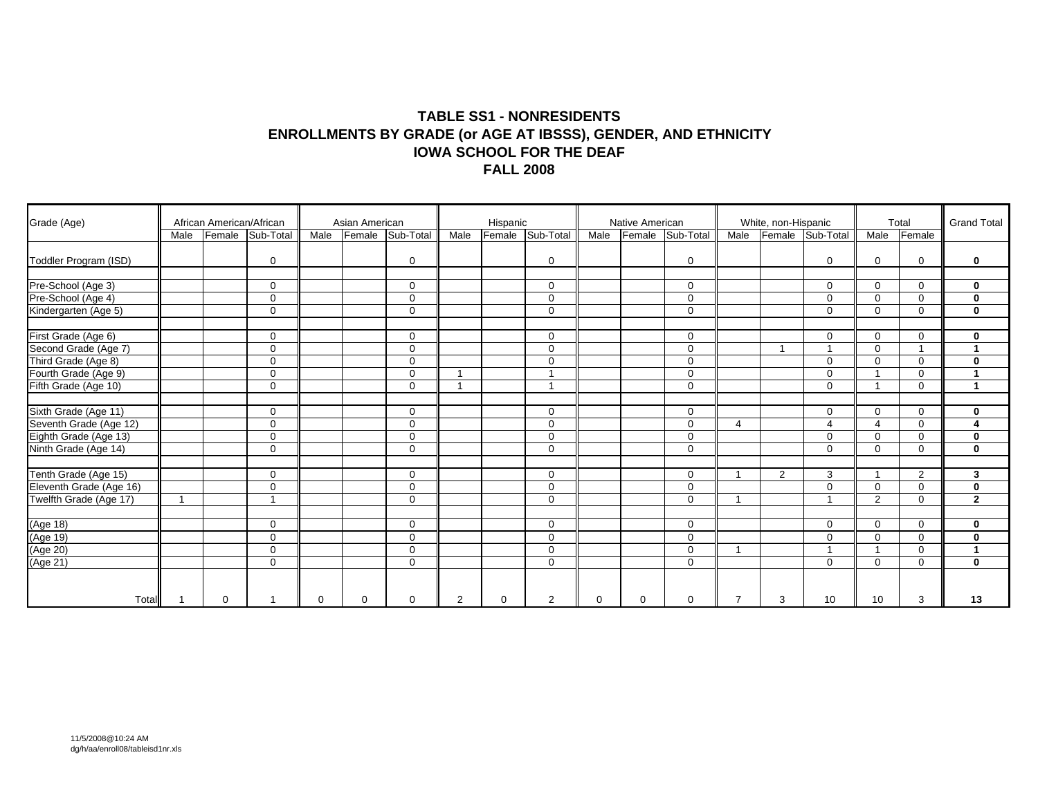#### **TABLE SS1 - NONRESIDENTS ENROLLMENTS BY GRADE (or AGE AT IBSSS), GENDER, AND ETHNICITY IOWA SCHOOL FOR THE DEAF FALL 2008**

| Grade (Age)                                     |      | African American/African |                         |          | Asian American |                  |                | Hispanic |                |          | Native American |              |                       | White, non-Hispanic |                         |                         | Total    | <b>Grand Total</b>      |
|-------------------------------------------------|------|--------------------------|-------------------------|----------|----------------|------------------|----------------|----------|----------------|----------|-----------------|--------------|-----------------------|---------------------|-------------------------|-------------------------|----------|-------------------------|
|                                                 | Male |                          | Female Sub-Total        | Male     |                | Female Sub-Total | Male           | Female   | Sub-Total      | Male     | Female          | Sub-Total    | Male                  |                     | Female Sub-Total        | Male                    | Female   |                         |
| Toddler Program (ISD)                           |      |                          | $\mathbf 0$             |          |                | $\mathbf 0$      |                |          | $\Omega$       |          |                 | $\mathbf 0$  |                       |                     | 0                       | $\mathbf 0$             | 0        | $\mathbf 0$             |
| Pre-School (Age 3)                              |      |                          | $\Omega$                |          |                | $\mathbf 0$      |                |          | $\Omega$       |          |                 | $\mathbf 0$  |                       |                     | $\Omega$                | $\Omega$                | $\Omega$ | $\mathbf 0$             |
| Pre-School (Age 4)                              |      |                          | $\Omega$                |          |                | $\Omega$         |                |          | $\Omega$       |          |                 | $\Omega$     |                       |                     | $\Omega$                | $\Omega$                | $\Omega$ | $\mathbf 0$             |
| Kindergarten (Age 5)                            |      |                          | $\mathbf 0$             |          |                | $\mathbf 0$      |                |          | $\mathbf 0$    |          |                 | $\mathbf 0$  |                       |                     | $\Omega$                | $\mathbf 0$             | 0        | $\mathbf 0$             |
| First Grade (Age 6)                             |      |                          | $\Omega$                |          |                | $\Omega$         |                |          | $\Omega$       |          |                 | $\mathbf 0$  |                       |                     | $\Omega$                | $\overline{0}$          | $\Omega$ | $\mathbf 0$             |
|                                                 |      |                          | $\Omega$                |          |                | $\Omega$         |                |          | $\Omega$       |          |                 | $\mathbf 0$  |                       |                     |                         | $\Omega$                |          | $\blacktriangleleft$    |
| Second Grade (Age 7)<br>Third Grade (Age 8)     |      |                          | $\mathbf 0$             |          |                | $\mathbf 0$      |                |          | $\Omega$       |          |                 | $\mathbf 0$  |                       |                     | $\Omega$                | $\Omega$                | $\Omega$ | $\mathbf 0$             |
| Fourth Grade (Age 9)                            |      |                          | $\mathbf 0$             |          |                | $\mathbf 0$      |                |          |                |          |                 | $\mathbf 0$  |                       |                     | $\Omega$                | $\overline{\mathbf{1}}$ | 0        | $\mathbf{1}$            |
| Fifth Grade (Age 10)                            |      |                          | $\mathbf 0$             |          |                | $\Omega$         |                |          |                |          |                 | $\mathbf{0}$ |                       |                     | $\Omega$                | $\overline{\mathbf{1}}$ | 0        | $\mathbf{1}$            |
|                                                 |      |                          |                         |          |                |                  |                |          |                |          |                 |              |                       |                     |                         |                         |          |                         |
| Sixth Grade (Age 11)                            |      |                          | $\Omega$                |          |                | $\mathbf 0$      |                |          | $\Omega$       |          |                 | $\mathbf 0$  |                       |                     | $\mathbf 0$             | $\Omega$                | 0        | $\mathbf 0$             |
| Seventh Grade (Age 12)<br>Eighth Grade (Age 13) |      |                          | $\Omega$                |          |                | $\Omega$         |                |          | $\Omega$       |          |                 | $\Omega$     | $\boldsymbol{\Delta}$ |                     | 4                       | $\overline{4}$          | $\Omega$ | $\overline{\mathbf{4}}$ |
|                                                 |      |                          | $\mathbf 0$             |          |                | $\mathbf 0$      |                |          | $\Omega$       |          |                 | $\mathbf 0$  |                       |                     | $\Omega$                | $\Omega$                | $\Omega$ | $\mathbf 0$             |
| Ninth Grade (Age 14)                            |      |                          | $\mathbf 0$             |          |                | $\mathbf 0$      |                |          | $\Omega$       |          |                 | $\mathbf 0$  |                       |                     | $\Omega$                | $\overline{0}$          | 0        | $\mathbf 0$             |
|                                                 |      |                          | $\mathbf 0$             |          |                | 0                |                |          | $\mathbf 0$    |          |                 | $\mathbf 0$  |                       | 2                   | 3                       | $\overline{\mathbf{1}}$ | 2        | 3                       |
| Tenth Grade (Age 15)<br>Eleventh Grade (Age 16) |      |                          | $\mathbf 0$             |          |                | $\mathbf 0$      |                |          | $\Omega$       |          |                 | $\mathbf 0$  |                       |                     | $\Omega$                | $\overline{0}$          | $\Omega$ | $\mathbf 0$             |
| Twelfth Grade (Age 17)                          |      |                          | $\overline{\mathbf{A}}$ |          |                | $\Omega$         |                |          | $\mathbf 0$    |          |                 | $\mathbf 0$  |                       |                     | $\overline{\mathbf{A}}$ | $\overline{2}$          | 0        | $\mathbf{2}$            |
|                                                 |      |                          |                         |          |                |                  |                |          |                |          |                 |              |                       |                     |                         |                         |          |                         |
| (Age 18)                                        |      |                          | $\Omega$                |          |                | 0                |                |          | $\Omega$       |          |                 | $\mathbf 0$  |                       |                     | $\Omega$                | $\Omega$                | $\Omega$ | $\bf{0}$                |
|                                                 |      |                          | $\mathbf 0$             |          |                | $\mathbf 0$      |                |          | $\mathbf 0$    |          |                 | $\mathbf 0$  |                       |                     | $\Omega$                | $\mathbf 0$             | 0        | $\mathbf 0$             |
| (Age 19)<br>(Age 20)<br>(Age 21)                |      |                          | $\mathbf 0$             |          |                | $\mathbf 0$      |                |          | $\mathbf 0$    |          |                 | $\mathbf 0$  |                       |                     |                         | $\overline{\mathbf{1}}$ | 0        | $\mathbf{1}$            |
|                                                 |      |                          | $\mathbf 0$             |          |                | $\mathbf 0$      |                |          | $\mathbf 0$    |          |                 | $\mathbf 0$  |                       |                     | $\mathbf 0$             | $\overline{0}$          | 0        | $\mathbf 0$             |
| Total                                           |      | $\Omega$                 |                         | $\Omega$ | $\Omega$       | $\Omega$         | $\overline{2}$ | $\Omega$ | $\overline{2}$ | $\Omega$ | 0               | $\mathbf 0$  | $\overline{7}$        | 3                   | 10                      | 10                      | 3        | 13                      |
|                                                 |      |                          |                         |          |                |                  |                |          |                |          |                 |              |                       |                     |                         |                         |          |                         |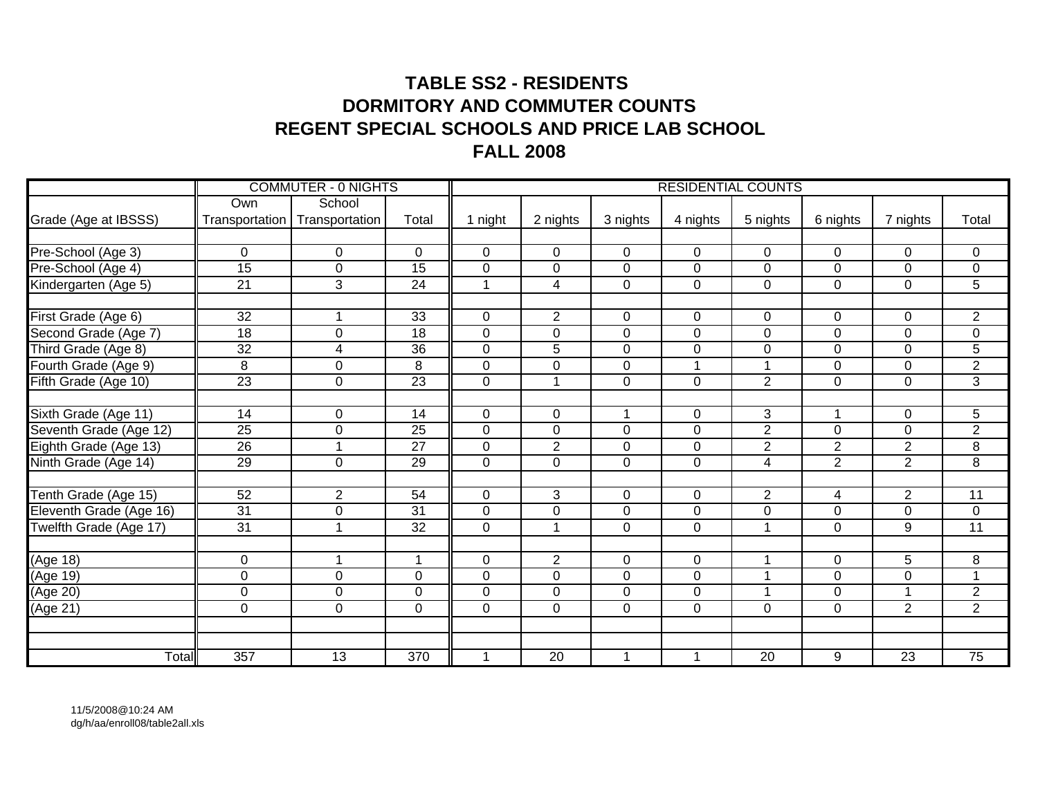## **TABLE SS2 - RESIDENTS DORMITORY AND COMMUTER COUNTSREGENT SPECIAL SCHOOLS AND PRICE LAB SCHOOLFALL 2008**

|                         |                 | <b>COMMUTER - 0 NIGHTS</b> |                  |              |                      |                |                | <b>RESIDENTIAL COUNTS</b> |                |                 |                     |
|-------------------------|-----------------|----------------------------|------------------|--------------|----------------------|----------------|----------------|---------------------------|----------------|-----------------|---------------------|
|                         | Own             | School                     |                  |              |                      |                |                |                           |                |                 |                     |
| Grade (Age at IBSSS)    | Transportation  | Transportation             | Total            | 1 night      | 2 nights             | 3 nights       | 4 nights       | 5 nights                  | 6 nights       | 7 nights        | Total               |
|                         |                 |                            |                  |              |                      |                |                |                           |                |                 |                     |
| Pre-School (Age 3)      | $\mathbf 0$     | $\mathbf 0$                | $\mathbf 0$      | $\mathbf 0$  | $\mathbf 0$          | $\mathbf 0$    | $\mathbf 0$    | $\overline{0}$            | $\mathbf 0$    | 0               | $\mathbf 0$         |
| Pre-School (Age 4)      | $\overline{15}$ | $\pmb{0}$                  | $\overline{15}$  | $\mathbf 0$  | $\pmb{0}$            | $\mathbf 0$    | $\mathbf 0$    | $\mathbf 0$               | $\mathbf 0$    | $\mathbf 0$     | $\mathbf 0$         |
| Kindergarten (Age 5)    | $\overline{21}$ | 3                          | $\overline{24}$  | 1            | $\overline{4}$       | $\mathbf 0$    | $\mathbf 0$    | $\overline{0}$            | $\mathbf 0$    | $\mathbf 0$     | 5                   |
|                         |                 |                            |                  |              |                      |                |                |                           |                |                 |                     |
| First Grade (Age 6)     | 32              |                            | 33               | $\mathbf 0$  | $\overline{2}$       | $\mathbf 0$    | $\mathbf 0$    | $\mathbf 0$               | $\mathbf 0$    | 0               | $\overline{2}$      |
| Second Grade (Age 7)    | $\overline{18}$ | $\mathbf 0$                | 18               | $\mathbf 0$  | $\overline{0}$       | $\mathbf 0$    | $\mathbf 0$    | $\overline{0}$            | $\mathbf 0$    | 0               | $\pmb{0}$           |
| Third Grade (Age 8)     | $\overline{32}$ | $\overline{4}$             | $\overline{36}$  | $\mathbf 0$  | $\overline{5}$       | $\mathbf 0$    | $\mathbf 0$    | $\mathbf 0$               | $\mathbf 0$    | $\mathbf 0$     | $\overline{5}$      |
| Fourth Grade (Age 9)    | 8               | $\overline{0}$             | 8                | $\Omega$     | $\mathbf 0$          | $\mathbf 0$    |                | $\mathbf{1}$              | $\mathbf 0$    | $\overline{0}$  | $\overline{2}$      |
| Fifth Grade (Age 10)    | $\overline{23}$ | $\mathbf 0$                | $\overline{23}$  | $\mathbf 0$  | $\blacktriangleleft$ | $\mathbf 0$    | $\overline{0}$ | $\overline{2}$            | $\mathbf 0$    | $\mathbf 0$     | $\overline{3}$      |
|                         |                 |                            |                  |              |                      |                |                |                           |                |                 |                     |
| Sixth Grade (Age 11)    | 14              | 0                          | $\overline{14}$  | $\mathbf 0$  | $\mathsf 0$          | 1              | $\Omega$       | $\overline{3}$            | 1              | 0               | 5                   |
| Seventh Grade (Age 12)  | $\overline{25}$ | $\overline{0}$             | $\overline{25}$  | $\Omega$     | $\overline{0}$       | 0              | $\Omega$       | $\overline{2}$            | $\mathbf 0$    | 0               | $\overline{2}$      |
| Eighth Grade (Age 13)   | $\overline{26}$ |                            | $\overline{27}$  | $\Omega$     | $\overline{2}$       | 0              | $\Omega$       | $\overline{2}$            | $\overline{2}$ | $\overline{2}$  | $\overline{8}$      |
| Ninth Grade (Age 14)    | 29              | $\mathbf 0$                | 29               | $\mathbf 0$  | $\overline{0}$       | $\overline{0}$ | $\mathbf 0$    | $\overline{4}$            | $\overline{2}$ | $\overline{2}$  | $\overline{8}$      |
|                         |                 |                            |                  |              |                      |                |                |                           |                |                 |                     |
| Tenth Grade (Age 15)    | $\overline{52}$ | $\overline{2}$             | $\overline{54}$  | $\mathbf 0$  | 3                    | 0              | $\mathbf 0$    | $\overline{2}$            | 4              | $\overline{2}$  | 11                  |
| Eleventh Grade (Age 16) | 31              | $\mathbf 0$                | 31               | $\mathbf 0$  | $\overline{0}$       | $\overline{0}$ | $\mathbf 0$    | $\boldsymbol{0}$          | $\mathbf 0$    | 0               | $\pmb{0}$           |
| Twelfth Grade (Age 17)  | $\overline{31}$ | 1                          | $\overline{32}$  | $\mathbf{0}$ | $\mathbf{1}$         | $\overline{0}$ | $\overline{0}$ | $\mathbf{1}$              | $\mathbf 0$    | 9               | $\overline{11}$     |
|                         |                 |                            | $\overline{1}$   |              |                      |                |                |                           |                |                 |                     |
| (Age 18)                | $\mathbf 0$     | $\mathbf 1$                |                  | 0            | $\overline{2}$       | 0              | $\mathbf 0$    | $\mathbf{1}$              | $\mathbf 0$    | 5               | 8<br>$\overline{ }$ |
| (Age 19)                | $\pmb{0}$       | $\mathbf 0$                | $\mathbf 0$      | $\mathbf 0$  | $\pmb{0}$            | $\mathbf 0$    | $\mathbf 0$    | 1                         | $\mathbf 0$    | 0               |                     |
| (Age 20)                | $\pmb{0}$       | $\mathbf 0$                | $\mathbf 0$      | $\mathbf 0$  | $\pmb{0}$            | $\overline{0}$ | $\overline{0}$ | $\mathbf{1}$              | $\mathbf 0$    |                 | $\overline{2}$      |
| (Age 21)                | $\pmb{0}$       | $\mathbf 0$                | $\mathbf 0$      | $\Omega$     | $\pmb{0}$            | $\mathbf 0$    | $\mathbf 0$    | $\overline{0}$            | $\mathbf 0$    | $\overline{2}$  | $\overline{2}$      |
|                         |                 |                            |                  |              |                      |                |                |                           |                |                 |                     |
| Total                   | 357             | $\overline{13}$            | $\overline{370}$ | $\mathbf{1}$ | $\overline{20}$      | $\mathbf 1$    | 1              | $\overline{20}$           | 9              | $\overline{23}$ | $\overline{75}$     |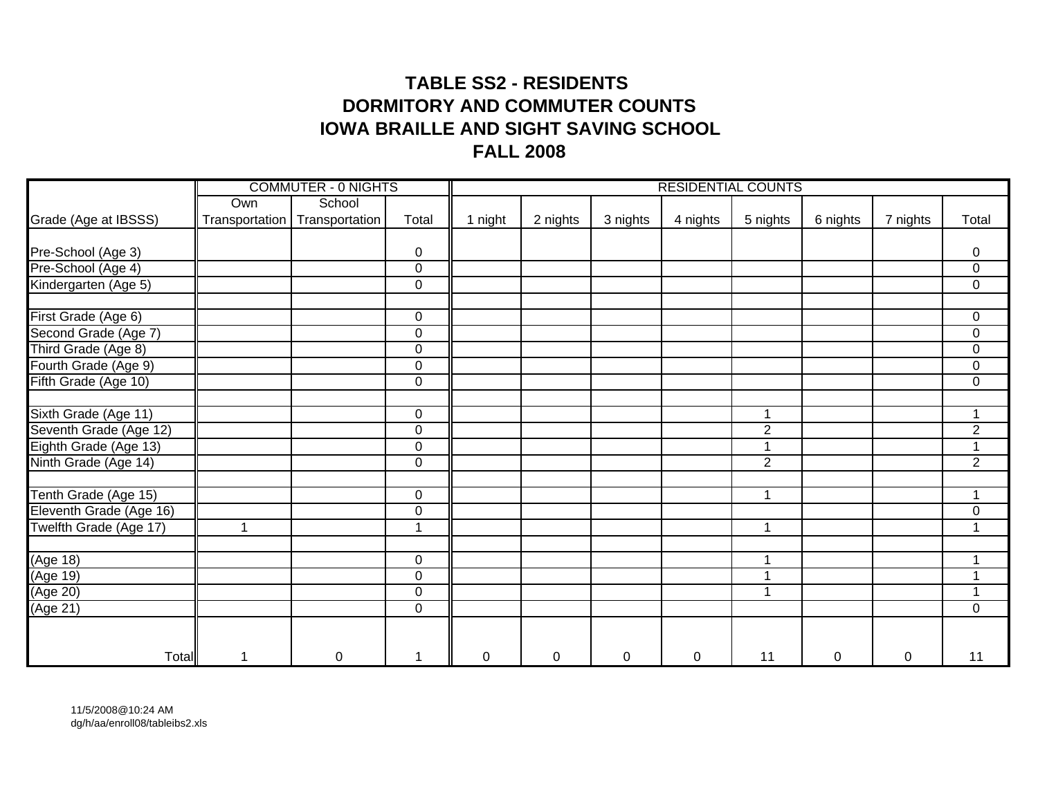## **TABLE SS2 - RESIDENTS DORMITORY AND COMMUTER COUNTSIOWA BRAILLE AND SIGHT SAVING SCHOOL FALL 2008**

|                         |                | <b>COMMUTER - 0 NIGHTS</b> |                |         |          |           |             | <b>RESIDENTIAL COUNTS</b> |             |          |                         |
|-------------------------|----------------|----------------------------|----------------|---------|----------|-----------|-------------|---------------------------|-------------|----------|-------------------------|
|                         | Own            | School                     |                |         |          |           |             |                           |             |          |                         |
| Grade (Age at IBSSS)    | Transportation | Transportation             | Total          | 1 night | 2 nights | 3 nights  | 4 nights    | 5 nights                  | 6 nights    | 7 nights | Total                   |
|                         |                |                            |                |         |          |           |             |                           |             |          |                         |
| Pre-School (Age 3)      |                |                            | $\pmb{0}$      |         |          |           |             |                           |             |          | 0                       |
| Pre-School (Age 4)      |                |                            | $\mathbf 0$    |         |          |           |             |                           |             |          | $\mathbf 0$             |
| Kindergarten (Age 5)    |                |                            | $\mathbf 0$    |         |          |           |             |                           |             |          | $\mathbf 0$             |
| First Grade (Age 6)     |                |                            | $\mathbf 0$    |         |          |           |             |                           |             |          | 0                       |
| Second Grade (Age 7)    |                |                            | $\pmb{0}$      |         |          |           |             |                           |             |          | 0                       |
| Third Grade (Age 8)     |                |                            | $\pmb{0}$      |         |          |           |             |                           |             |          | $\pmb{0}$               |
| Fourth Grade (Age 9)    |                |                            | $\pmb{0}$      |         |          |           |             |                           |             |          | $\pmb{0}$               |
| Fifth Grade (Age 10)    |                |                            | $\mathbf 0$    |         |          |           |             |                           |             |          | $\mathbf 0$             |
|                         |                |                            |                |         |          |           |             |                           |             |          |                         |
| Sixth Grade (Age 11)    |                |                            | $\mathbf 0$    |         |          |           |             | 1                         |             |          | 1                       |
| Seventh Grade (Age 12)  |                |                            | $\mathbf 0$    |         |          |           |             | $\overline{2}$            |             |          | $\overline{2}$          |
| Eighth Grade (Age 13)   |                |                            | $\mathbf 0$    |         |          |           |             | 1                         |             |          | 1                       |
| Ninth Grade (Age 14)    |                |                            | $\mathbf 0$    |         |          |           |             | $\overline{2}$            |             |          | $\overline{2}$          |
| Tenth Grade (Age 15)    |                |                            | $\pmb{0}$      |         |          |           |             | $\mathbf{1}$              |             |          | $\overline{1}$          |
| Eleventh Grade (Age 16) |                |                            | $\mathbf 0$    |         |          |           |             |                           |             |          | $\mathbf 0$             |
| Twelfth Grade (Age 17)  | $\mathbf{1}$   |                            | $\overline{ }$ |         |          |           |             | $\mathbf{1}$              |             |          | 1                       |
| (Age 18)                |                |                            | $\mathbf 0$    |         |          |           |             | $\mathbf{1}$              |             |          | 4                       |
| (Age 19)                |                |                            | $\pmb{0}$      |         |          |           |             | 1                         |             |          |                         |
| (Age 20)                |                |                            | $\pmb{0}$      |         |          |           |             | 1                         |             |          | $\overline{\mathbf{A}}$ |
| (Age 21)                |                |                            | $\mathbf 0$    |         |          |           |             |                           |             |          | $\mathbf 0$             |
|                         |                |                            |                |         |          |           |             |                           |             |          |                         |
| <b>Total</b>            | $\mathbf 1$    | 0                          | 1              | 0       | 0        | $\pmb{0}$ | $\mathbf 0$ | 11                        | $\mathbf 0$ | 0        | 11                      |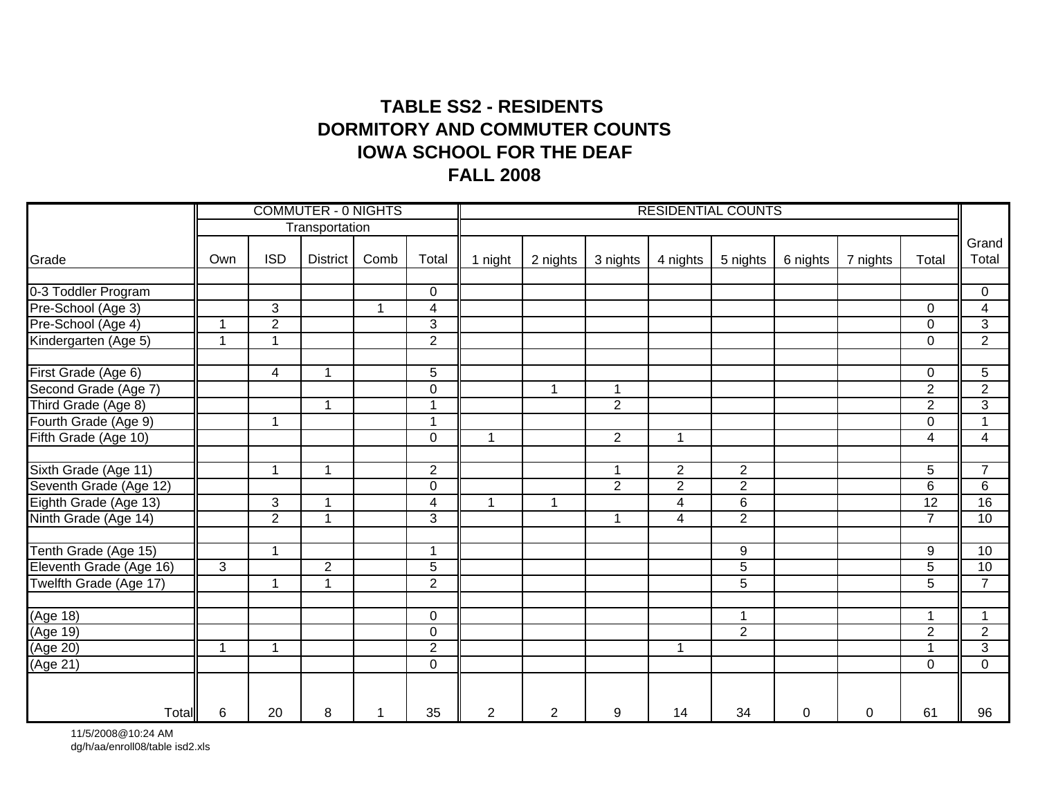## **TABLE SS2 - RESIDENTS IOWA SCHOOL FOR THE DEAFFALL 2008 DORMITORY AND COMMUTER COUNTS**

|                         |                |                | <b>COMMUTER - 0 NIGHTS</b> |      |                         |              |                |                | <b>RESIDENTIAL COUNTS</b> |                  |          |          |                |                         |
|-------------------------|----------------|----------------|----------------------------|------|-------------------------|--------------|----------------|----------------|---------------------------|------------------|----------|----------|----------------|-------------------------|
|                         |                |                | Transportation             |      |                         |              |                |                |                           |                  |          |          |                |                         |
| Grade                   | Own            | <b>ISD</b>     | <b>District</b>            | Comb | Total                   | 1 night      | 2 nights       | 3 nights       | 4 nights                  | 5 nights         | 6 nights | 7 nights | Total          | Grand<br>Total          |
| 0-3 Toddler Program     |                |                |                            |      | 0                       |              |                |                |                           |                  |          |          |                | 0                       |
| Pre-School (Age 3)      |                | $\overline{3}$ |                            | -1   | $\overline{\mathbf{4}}$ |              |                |                |                           |                  |          |          | $\Omega$       | $\overline{\mathbf{4}}$ |
| Pre-School (Age 4)      | $\overline{1}$ | $\overline{2}$ |                            |      | 3                       |              |                |                |                           |                  |          |          | $\Omega$       | 3                       |
| Kindergarten (Age 5)    | 1              | 1              |                            |      | $\overline{2}$          |              |                |                |                           |                  |          |          | $\Omega$       | $\overline{2}$          |
| First Grade (Age 6)     |                | $\overline{4}$ | $\overline{\mathbf{A}}$    |      | $\overline{5}$          |              |                |                |                           |                  |          |          | $\mathbf 0$    | 5                       |
| Second Grade (Age 7)    |                |                |                            |      | 0                       |              | $\mathbf 1$    | 1              |                           |                  |          |          | $\overline{2}$ | $\overline{2}$          |
| Third Grade (Age 8)     |                |                | $\blacktriangleleft$       |      | $\mathbf 1$             |              |                | $\overline{2}$ |                           |                  |          |          | $\overline{2}$ | $\overline{3}$          |
| Fourth Grade (Age 9)    |                | $\overline{1}$ |                            |      | $\overline{1}$          |              |                |                |                           |                  |          |          | $\Omega$       | 1                       |
| Fifth Grade (Age 10)    |                |                |                            |      | $\overline{0}$          | $\mathbf{1}$ |                | $\overline{2}$ | 1                         |                  |          |          | $\overline{4}$ | $\overline{4}$          |
| Sixth Grade (Age 11)    |                | -1             | 1                          |      | $\overline{2}$          |              |                | 1              | $\overline{2}$            | $\overline{2}$   |          |          | $\overline{5}$ | $\overline{7}$          |
| Seventh Grade (Age 12)  |                |                |                            |      | 0                       |              |                | $\overline{2}$ | $\overline{2}$            | $\overline{2}$   |          |          | 6              | $\overline{6}$          |
| Eighth Grade (Age 13)   |                | $\overline{3}$ |                            |      | 4                       |              | 1              |                | $\overline{4}$            | $\overline{6}$   |          |          | 12             | 16                      |
| Ninth Grade (Age 14)    |                | $\overline{2}$ | 4                          |      | 3                       |              |                | 1              | $\overline{4}$            | $\overline{2}$   |          |          | $\overline{7}$ | 10                      |
| Tenth Grade (Age 15)    |                | 1              |                            |      | 1                       |              |                |                |                           | $\boldsymbol{9}$ |          |          | 9              | 10                      |
| Eleventh Grade (Age 16) | 3              |                | $\overline{2}$             |      | $\overline{5}$          |              |                |                |                           | $\sqrt{5}$       |          |          | 5              | 10                      |
| Twelfth Grade (Age 17)  |                | 1              |                            |      | $\overline{2}$          |              |                |                |                           | $\overline{5}$   |          |          | 5              | $\overline{7}$          |
| (Age 18)                |                |                |                            |      | 0                       |              |                |                |                           | $\overline{1}$   |          |          |                | $\mathbf{1}$            |
| (Age 19)                |                |                |                            |      | 0                       |              |                |                |                           | $\overline{2}$   |          |          | $\overline{2}$ | $\overline{2}$          |
| (Age 20)                | $\mathbf 1$    | 1              |                            |      | $\overline{2}$          |              |                |                | 1                         |                  |          |          |                | $\overline{3}$          |
| (Age 21)                |                |                |                            |      | 0                       |              |                |                |                           |                  |          |          | $\Omega$       | $\overline{0}$          |
| Total                   | 6              | 20             | 8                          | 1    | 35                      | 2            | $\overline{2}$ | 9              | 14                        | 34               | 0        | 0        | 61             | 96                      |

11/5/2008@10:24 AM dg/h/aa/enroll08/table isd2.xls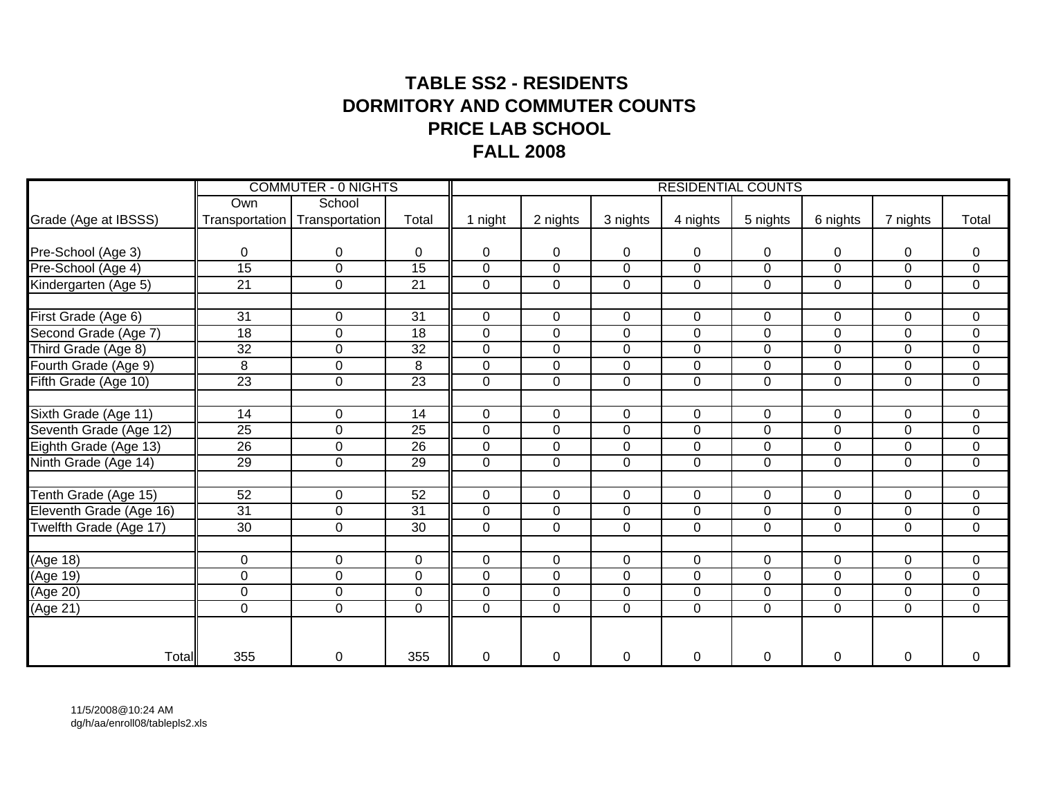## **TABLE SS2 - RESIDENTS DORMITORY AND COMMUTER COUNTSPRICE LAB SCHOOLFALL 2008**

|                         |                 | <b>COMMUTER - 0 NIGHTS</b>      |                 |                |                  |                  |                | <b>RESIDENTIAL COUNTS</b> |                |                |                |
|-------------------------|-----------------|---------------------------------|-----------------|----------------|------------------|------------------|----------------|---------------------------|----------------|----------------|----------------|
|                         | Own             | School                          |                 |                |                  |                  |                |                           |                |                |                |
| Grade (Age at IBSSS)    |                 | Transportation   Transportation | Total           | 1 night        | 2 nights         | 3 nights         | 4 nights       | 5 nights                  | 6 nights       | 7 nights       | Total          |
|                         |                 |                                 |                 |                |                  |                  |                |                           |                |                |                |
| Pre-School (Age 3)      | 0               | 0                               | $\Omega$        | 0              | 0                | 0                | 0              | 0                         | 0              | 0              | 0              |
| Pre-School (Age 4)      | $\overline{15}$ | $\mathbf 0$                     | $\overline{15}$ | 0              | $\boldsymbol{0}$ | $\mathbf 0$      | $\mathbf 0$    | $\mathbf 0$               | $\mathbf 0$    | 0              | $\pmb{0}$      |
| Kindergarten (Age 5)    | $\overline{21}$ | $\overline{0}$                  | $\overline{21}$ | $\overline{0}$ | $\overline{0}$   | $\overline{0}$   | $\mathbf 0$    | $\overline{0}$            | $\overline{0}$ | $\overline{0}$ | $\overline{0}$ |
|                         |                 |                                 |                 |                |                  |                  |                |                           |                |                |                |
| First Grade (Age 6)     | 31              | 0                               | 31              | $\mathbf 0$    | $\mathbf 0$      | 0                | $\Omega$       | 0                         | $\mathbf 0$    | 0              | $\mathbf 0$    |
| Second Grade (Age 7)    | 18              | $\mathsf 0$                     | 18              | $\mathbf 0$    | $\pmb{0}$        | $\pmb{0}$        | 0              | $\overline{0}$            | $\pmb{0}$      | 0              | $\pmb{0}$      |
| Third Grade (Age 8)     | $\overline{32}$ | $\mathbf 0$                     | $\overline{32}$ | 0              | $\mathbf 0$      | $\mathbf 0$      | $\mathbf{0}$   | $\mathbf 0$               | $\mathbf 0$    | $\overline{0}$ | $\mathbf 0$    |
| Fourth Grade (Age 9)    | 8               | $\mathbf 0$                     | 8               | 0              | $\overline{0}$   | $\boldsymbol{0}$ | $\mathbf 0$    | $\mathbf 0$               | $\pmb{0}$      | $\overline{0}$ | $\pmb{0}$      |
| Fifth Grade (Age 10)    | $\overline{23}$ | $\mathbf 0$                     | $\overline{23}$ | $\mathbf 0$    | $\mathbf 0$      | $\overline{0}$   | $\overline{0}$ | $\mathbf 0$               | $\mathbf 0$    | 0              | $\mathbf 0$    |
|                         |                 |                                 |                 |                |                  |                  |                |                           |                |                |                |
| Sixth Grade (Age 11)    | 14              | $\mathbf 0$                     | 14              | $\mathbf 0$    | 0                | $\mathbf 0$      | $\overline{0}$ | $\overline{0}$            | $\mathbf 0$    | $\overline{0}$ | $\mathbf 0$    |
| Seventh Grade (Age 12)  | $\overline{25}$ | $\overline{0}$                  | $\overline{25}$ | $\overline{0}$ | $\overline{0}$   | $\overline{0}$   | $\overline{0}$ | $\overline{0}$            | $\overline{0}$ | $\overline{0}$ | $\overline{0}$ |
| Eighth Grade (Age 13)   | $\overline{26}$ | $\mathbf 0$                     | $\overline{26}$ | $\mathbf 0$    | $\overline{0}$   | $\mathbf 0$      | $\mathbf{0}$   | $\mathbf 0$               | $\mathbf 0$    | $\overline{0}$ | $\mathsf 0$    |
| Ninth Grade (Age 14)    | $\overline{29}$ | $\mathbf 0$                     | 29              | $\mathbf 0$    | $\overline{0}$   | $\mathbf 0$      | 0              | $\mathbf 0$               | $\mathbf 0$    | 0              | $\mathbf 0$    |
|                         |                 |                                 |                 |                |                  |                  |                |                           |                |                |                |
| Tenth Grade (Age 15)    | 52              | $\mathbf 0$                     | 52              | $\mathbf 0$    | $\mathbf 0$      | $\overline{0}$   | $\mathbf{0}$   | $\mathbf 0$               | $\mathbf 0$    | 0              | $\mathbf 0$    |
| Eleventh Grade (Age 16) | $\overline{31}$ | $\mathbf 0$                     | 31              | $\mathbf 0$    | $\boldsymbol{0}$ | $\mathbf 0$      | $\mathbf{0}$   | 0                         | $\mathbf 0$    | 0              | $\pmb{0}$      |
| Twelfth Grade (Age 17)  | $\overline{30}$ | 0                               | $\overline{30}$ | $\overline{0}$ | $\mathbf 0$      | $\overline{0}$   | $\mathbf 0$    | $\overline{0}$            | $\mathbf 0$    | $\overline{0}$ | $\mathbf 0$    |
|                         |                 |                                 |                 |                |                  |                  |                |                           |                |                |                |
| $\overline{(Age 18)}$   | 0               | $\mathbf 0$                     | $\mathbf 0$     | 0              | $\mathbf 0$      | $\overline{0}$   | $\overline{0}$ | $\mathbf 0$               | $\mathbf 0$    | 0              | $\mathbf 0$    |
| (Age 19)                | 0               | $\mathbf 0$                     | 0               | $\mathbf 0$    | $\mathbf 0$      | $\mathbf 0$      | $\mathbf{0}$   | $\mathbf 0$               | $\mathbf 0$    | 0              | $\mathsf 0$    |
| (Age 20)                | 0               | $\mathbf 0$                     | 0               | 0              | 0                | $\mathbf 0$      | $\overline{0}$ | 0                         | $\mathbf 0$    | 0              | $\mathsf 0$    |
| (Age 21)                | 0               | $\mathbf 0$                     | $\mathbf 0$     | $\mathbf 0$    | $\boldsymbol{0}$ | $\mathbf 0$      | $\mathbf{0}$   | $\overline{0}$            | $\mathbf 0$    | 0              | $\mathsf 0$    |
|                         |                 |                                 |                 |                |                  |                  |                |                           |                |                |                |
|                         |                 |                                 |                 |                |                  |                  |                |                           |                |                |                |
| Total                   | 355             | 0                               | 355             | 0              | 0                | $\mathbf 0$      | 0              | 0                         | $\mathbf 0$    | 0              | $\mathbf 0$    |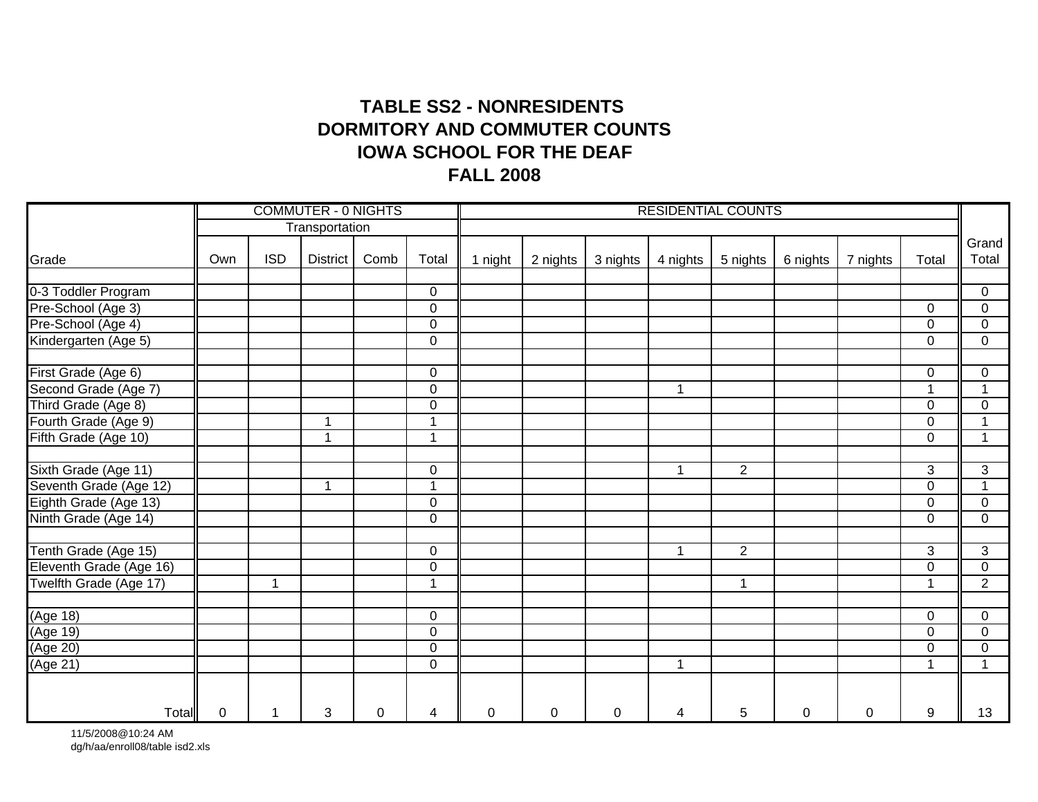### **TABLE SS2 - NONRESIDENTS IOWA SCHOOL FOR THE DEAFFALL 2008 DORMITORY AND COMMUTER COUNTS**

|                         |                |                         | <b>COMMUTER - 0 NIGHTS</b> |      |                |         |          |          | <b>RESIDENTIAL COUNTS</b> |                |          |          |                |                |
|-------------------------|----------------|-------------------------|----------------------------|------|----------------|---------|----------|----------|---------------------------|----------------|----------|----------|----------------|----------------|
|                         |                |                         | Transportation             |      |                |         |          |          |                           |                |          |          |                |                |
| Grade                   | Own            | <b>ISD</b>              | <b>District</b>            | Comb | Total          | 1 night | 2 nights | 3 nights | 4 nights                  | 5 nights       | 6 nights | 7 nights | Total          | Grand<br>Total |
| 0-3 Toddler Program     |                |                         |                            |      | 0              |         |          |          |                           |                |          |          |                | $\mathbf 0$    |
| Pre-School (Age 3)      |                |                         |                            |      | 0              |         |          |          |                           |                |          |          | $\Omega$       | 0              |
| Pre-School (Age 4)      |                |                         |                            |      | 0              |         |          |          |                           |                |          |          | $\Omega$       | $\mathbf 0$    |
| Kindergarten (Age 5)    |                |                         |                            |      | 0              |         |          |          |                           |                |          |          | $\Omega$       | 0              |
| First Grade (Age 6)     |                |                         |                            |      | 0              |         |          |          |                           |                |          |          | $\mathbf 0$    | $\mathbf 0$    |
| Second Grade (Age 7)    |                |                         |                            |      | 0              |         |          |          |                           |                |          |          |                | 1              |
| Third Grade (Age 8)     |                |                         |                            |      | 0              |         |          |          |                           |                |          |          | $\Omega$       | $\mathbf 0$    |
| Fourth Grade (Age 9)    |                |                         | $\overline{\mathbf{A}}$    |      | 1              |         |          |          |                           |                |          |          | $\Omega$       | $\mathbf{1}$   |
| Fifth Grade (Age 10)    |                |                         | $\overline{\mathbf{A}}$    |      | $\mathbf{1}$   |         |          |          |                           |                |          |          | $\mathbf 0$    | $\mathbf{1}$   |
| Sixth Grade (Age 11)    |                |                         |                            |      | 0              |         |          |          | 1                         | $\overline{2}$ |          |          | $\overline{3}$ | $\overline{3}$ |
| Seventh Grade (Age 12)  |                |                         | -1                         |      | $\mathbf 1$    |         |          |          |                           |                |          |          | $\mathbf 0$    | $\mathbf{1}$   |
| Eighth Grade (Age 13)   |                |                         |                            |      | $\overline{0}$ |         |          |          |                           |                |          |          | $\Omega$       | 0              |
| Ninth Grade (Age 14)    |                |                         |                            |      | 0              |         |          |          |                           |                |          |          | $\Omega$       | $\overline{0}$ |
| Tenth Grade (Age 15)    |                |                         |                            |      | 0              |         |          |          | 1                         | 2              |          |          | 3              | 3              |
| Eleventh Grade (Age 16) |                |                         |                            |      | $\mathbf 0$    |         |          |          |                           |                |          |          | $\Omega$       | 0              |
| Twelfth Grade (Age 17)  |                | $\overline{\mathbf{A}}$ |                            |      | $\overline{1}$ |         |          |          |                           | $\overline{ }$ |          |          |                | $\overline{2}$ |
| (Age 18)                |                |                         |                            |      | 0              |         |          |          |                           |                |          |          | $\Omega$       | $\mathbf 0$    |
| (Age 19)                |                |                         |                            |      | 0              |         |          |          |                           |                |          |          | $\Omega$       | 0              |
| (Age 20)                |                |                         |                            |      | 0              |         |          |          |                           |                |          |          | $\Omega$       | $\mathbf 0$    |
| (Age 21)                |                |                         |                            |      | 0              |         |          |          | 1                         |                |          |          |                | $\mathbf{1}$   |
| Total                   | $\overline{0}$ | $\mathbf{1}$            | 3                          | 0    | 4              | 0       | 0        | 0        | 4                         | 5              | 0        | 0        | 9              | 13             |

11/5/2008@10:24 AM dg/h/aa/enroll08/table isd2.xls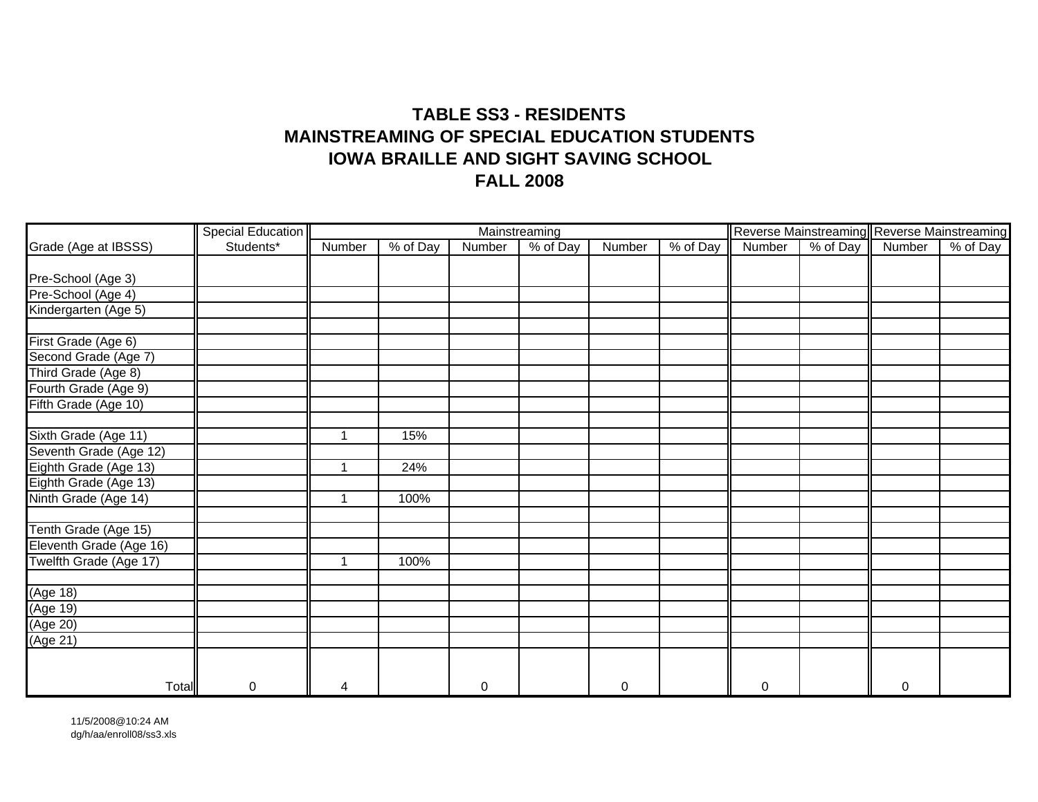### **TABLE SS3 - RESIDENTSMAINSTREAMING OF SPECIAL EDUCATION STUDENTSIOWA BRAILLE AND SIGHT SAVING SCHOOL FALL 2008**

|                         | <b>Special Education</b> |                      |          |             | Mainstreaming |                  |          |             |          | Reverse Mainstreaming Reverse Mainstreaming |          |
|-------------------------|--------------------------|----------------------|----------|-------------|---------------|------------------|----------|-------------|----------|---------------------------------------------|----------|
| Grade (Age at IBSSS)    | Students*                | Number               | % of Day | Number      | % of Day      | Number           | % of Day | Number      | % of Day | Number                                      | % of Day |
|                         |                          |                      |          |             |               |                  |          |             |          |                                             |          |
| Pre-School (Age 3)      |                          |                      |          |             |               |                  |          |             |          |                                             |          |
| Pre-School (Age 4)      |                          |                      |          |             |               |                  |          |             |          |                                             |          |
| Kindergarten (Age 5)    |                          |                      |          |             |               |                  |          |             |          |                                             |          |
| First Grade (Age 6)     |                          |                      |          |             |               |                  |          |             |          |                                             |          |
| Second Grade (Age 7)    |                          |                      |          |             |               |                  |          |             |          |                                             |          |
| Third Grade (Age 8)     |                          |                      |          |             |               |                  |          |             |          |                                             |          |
| Fourth Grade (Age 9)    |                          |                      |          |             |               |                  |          |             |          |                                             |          |
| Fifth Grade (Age 10)    |                          |                      |          |             |               |                  |          |             |          |                                             |          |
|                         |                          |                      |          |             |               |                  |          |             |          |                                             |          |
| Sixth Grade (Age 11)    |                          |                      | 15%      |             |               |                  |          |             |          |                                             |          |
| Seventh Grade (Age 12)  |                          |                      |          |             |               |                  |          |             |          |                                             |          |
| Eighth Grade (Age 13)   |                          | -1                   | 24%      |             |               |                  |          |             |          |                                             |          |
| Eighth Grade (Age 13)   |                          |                      |          |             |               |                  |          |             |          |                                             |          |
| Ninth Grade (Age 14)    |                          | $\blacktriangleleft$ | 100%     |             |               |                  |          |             |          |                                             |          |
|                         |                          |                      |          |             |               |                  |          |             |          |                                             |          |
| Tenth Grade (Age 15)    |                          |                      |          |             |               |                  |          |             |          |                                             |          |
| Eleventh Grade (Age 16) |                          |                      |          |             |               |                  |          |             |          |                                             |          |
| Twelfth Grade (Age 17)  |                          | 1                    | 100%     |             |               |                  |          |             |          |                                             |          |
|                         |                          |                      |          |             |               |                  |          |             |          |                                             |          |
| $(A)$ ge 18)            |                          |                      |          |             |               |                  |          |             |          |                                             |          |
| (Age 19)                |                          |                      |          |             |               |                  |          |             |          |                                             |          |
| (Age 20)                |                          |                      |          |             |               |                  |          |             |          |                                             |          |
| (Age 21)                |                          |                      |          |             |               |                  |          |             |          |                                             |          |
|                         |                          |                      |          |             |               |                  |          |             |          |                                             |          |
| Total                   | 0                        | 4                    |          | $\mathbf 0$ |               | $\boldsymbol{0}$ |          | $\mathbf 0$ |          | $\mathbf 0$                                 |          |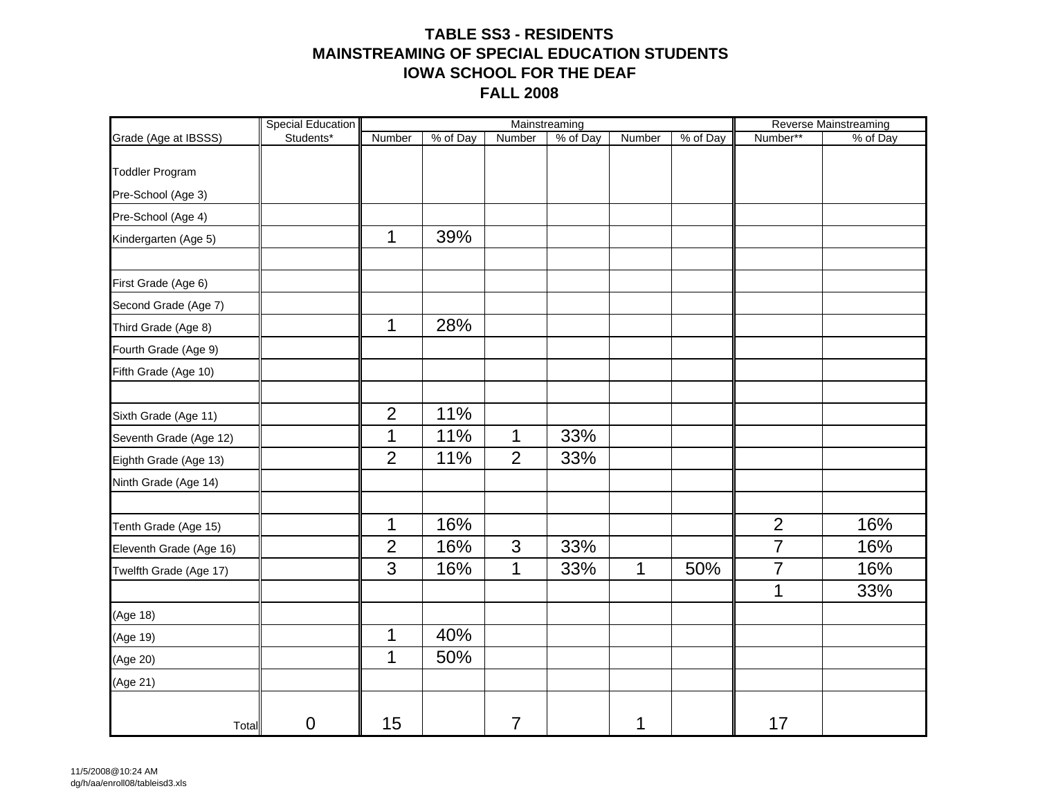### **TABLE SS3 - RESIDENTSMAINSTREAMING OF SPECIAL EDUCATION STUDENTSIOWA SCHOOL FOR THE DEAFFALL 2008**

|                         | Special Education |                |          |                | Mainstreaming |        |          |                | Reverse Mainstreaming |
|-------------------------|-------------------|----------------|----------|----------------|---------------|--------|----------|----------------|-----------------------|
| Grade (Age at IBSSS)    | Students*         | Number         | % of Day | <b>Number</b>  | % of Day      | Number | % of Day | Number**       | % of Day              |
|                         |                   |                |          |                |               |        |          |                |                       |
| <b>Toddler Program</b>  |                   |                |          |                |               |        |          |                |                       |
| Pre-School (Age 3)      |                   |                |          |                |               |        |          |                |                       |
| Pre-School (Age 4)      |                   |                |          |                |               |        |          |                |                       |
| Kindergarten (Age 5)    |                   | $\mathbf{1}$   | 39%      |                |               |        |          |                |                       |
|                         |                   |                |          |                |               |        |          |                |                       |
| First Grade (Age 6)     |                   |                |          |                |               |        |          |                |                       |
| Second Grade (Age 7)    |                   |                |          |                |               |        |          |                |                       |
| Third Grade (Age 8)     |                   | $\mathbf{1}$   | 28%      |                |               |        |          |                |                       |
| Fourth Grade (Age 9)    |                   |                |          |                |               |        |          |                |                       |
| Fifth Grade (Age 10)    |                   |                |          |                |               |        |          |                |                       |
|                         |                   |                |          |                |               |        |          |                |                       |
| Sixth Grade (Age 11)    |                   | $\overline{2}$ | 11%      |                |               |        |          |                |                       |
| Seventh Grade (Age 12)  |                   | 1              | 11%      | $\mathbf{1}$   | 33%           |        |          |                |                       |
| Eighth Grade (Age 13)   |                   | $\overline{2}$ | 11%      | $\overline{2}$ | 33%           |        |          |                |                       |
| Ninth Grade (Age 14)    |                   |                |          |                |               |        |          |                |                       |
|                         |                   |                |          |                |               |        |          |                |                       |
| Tenth Grade (Age 15)    |                   | $\mathbf 1$    | 16%      |                |               |        |          | $\overline{2}$ | 16%                   |
| Eleventh Grade (Age 16) |                   | $\overline{2}$ | 16%      | 3              | 33%           |        |          | $\overline{7}$ | 16%                   |
| Twelfth Grade (Age 17)  |                   | 3              | 16%      | $\mathbf{1}$   | 33%           | 1      | 50%      | $\overline{7}$ | 16%                   |
|                         |                   |                |          |                |               |        |          | 1              | 33%                   |
| (Age 18)                |                   |                |          |                |               |        |          |                |                       |
| (Age 19)                |                   | 1              | 40%      |                |               |        |          |                |                       |
| (Age 20)                |                   | 1              | 50%      |                |               |        |          |                |                       |
| (Age 21)                |                   |                |          |                |               |        |          |                |                       |
| Total                   | $\mathbf 0$       | 15             |          | $\overline{7}$ |               | 1      |          | 17             |                       |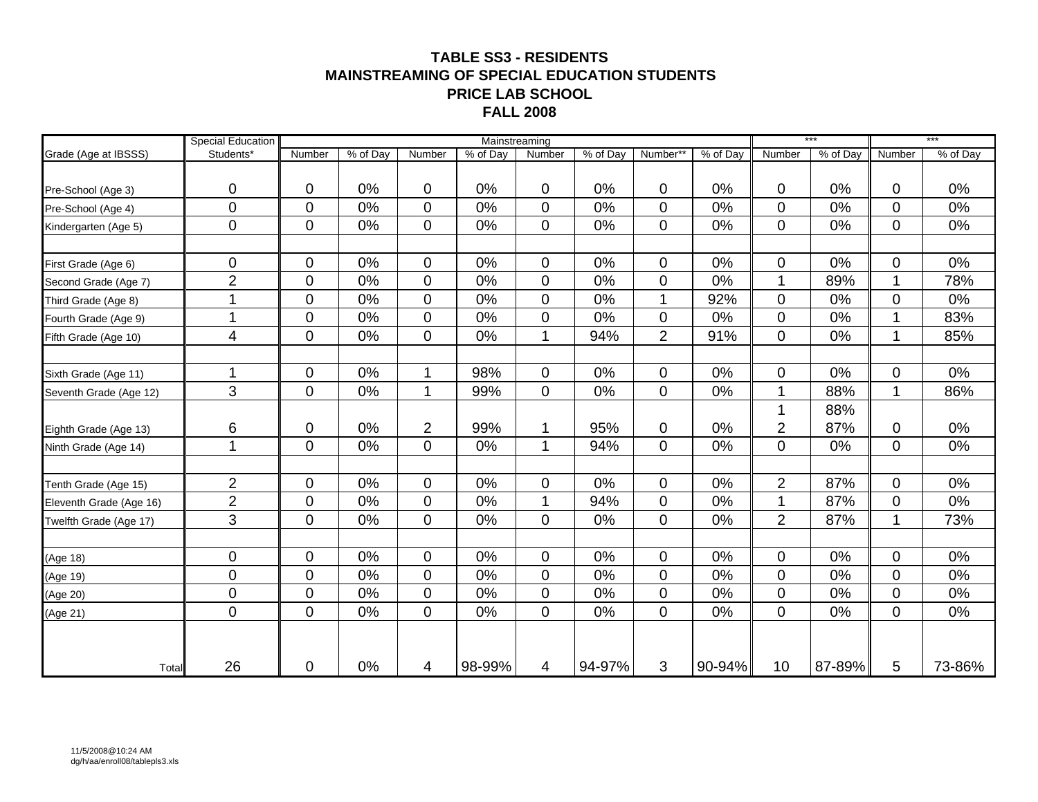#### **TABLE SS3 - RESIDENTSMAINSTREAMING OF SPECIAL EDUCATION STUDENTSPRICE LAB SCHOOL FALL 2008**

|                         | <b>Special Education</b> | Mainstreaming  |          |                |          |                  |          | $***$          |          | $***$          |          |              |          |
|-------------------------|--------------------------|----------------|----------|----------------|----------|------------------|----------|----------------|----------|----------------|----------|--------------|----------|
| Grade (Age at IBSSS)    | Students*                | Number         | % of Day | Number         | % of Day | Number           | % of Day | Number*        | % of Day | Number         | % of Day | Number       | % of Day |
|                         |                          |                |          |                |          |                  |          |                |          |                |          |              |          |
| Pre-School (Age 3)      | 0                        | $\mathbf 0$    | 0%       | $\mathbf 0$    | 0%       | $\overline{0}$   | 0%       | $\mathbf 0$    | 0%       | 0              | 0%       | 0            | 0%       |
| Pre-School (Age 4)      | $\mathbf 0$              | $\overline{0}$ | 0%       | $\mathbf 0$    | 0%       | 0                | 0%       | 0              | 0%       | 0              | 0%       | 0            | 0%       |
| Kindergarten (Age 5)    | $\mathbf 0$              | $\mathbf 0$    | 0%       | $\mathbf 0$    | 0%       | $\overline{0}$   | 0%       | $\mathbf 0$    | 0%       | 0              | 0%       | 0            | 0%       |
| First Grade (Age 6)     | 0                        | 0              | 0%       | $\pmb{0}$      | 0%       | $\mathbf 0$      | 0%       | $\mathbf 0$    | 0%       | 0              | 0%       | 0            | 0%       |
| Second Grade (Age 7)    | $\overline{2}$           | $\mathbf 0$    | 0%       | $\mathbf 0$    | 0%       | 0                | 0%       | $\pmb{0}$      | 0%       |                | 89%      | 1            | 78%      |
| Third Grade (Age 8)     |                          | 0              | 0%       | $\pmb{0}$      | 0%       | $\mathbf 0$      | 0%       | 1              | 92%      | 0              | 0%       | 0            | 0%       |
| Fourth Grade (Age 9)    | -1                       | $\mathbf{0}$   | 0%       | $\pmb{0}$      | 0%       | $\mathbf 0$      | 0%       | $\mathbf 0$    | 0%       | 0              | 0%       | 1            | 83%      |
| Fifth Grade (Age 10)    | 4                        | 0              | 0%       | $\pmb{0}$      | 0%       | 1                | 94%      | $\overline{2}$ | 91%      | 0              | 0%       | 1            | 85%      |
|                         |                          |                |          |                |          |                  |          |                |          |                |          |              |          |
| Sixth Grade (Age 11)    | 1                        | 0              | 0%       | 1              | 98%      | $\boldsymbol{0}$ | 0%       | $\pmb{0}$      | 0%       | 0              | 0%       | $\mathbf 0$  | 0%       |
| Seventh Grade (Age 12)  | 3                        | $\overline{0}$ | 0%       | 1              | 99%      | $\overline{0}$   | 0%       | $\mathbf 0$    | 0%       | $\mathbf 1$    | 88%      | $\mathbf{1}$ | 86%      |
|                         |                          |                |          |                |          |                  |          |                |          |                | 88%      |              |          |
| Eighth Grade (Age 13)   | 6                        | 0              | 0%       | $\overline{2}$ | 99%      | 1                | 95%      | 0              | 0%       | $\overline{2}$ | 87%      | 0            | 0%       |
| Ninth Grade (Age 14)    | 1                        | $\overline{0}$ | 0%       | $\mathbf 0$    | 0%       | $\mathbf{1}$     | 94%      | $\overline{0}$ | 0%       | 0              | 0%       | 0            | $0\%$    |
|                         | $\overline{2}$           | 0              | 0%       | $\pmb{0}$      | 0%       | 0                | 0%       | 0              | 0%       | $\overline{2}$ | 87%      | 0            | 0%       |
| Tenth Grade (Age 15)    | $\overline{2}$           | $\overline{0}$ | 0%       | $\pmb{0}$      | 0%       | $\overline{1}$   | 94%      | $\mathbf 0$    | 0%       | 1              | 87%      | 0            | 0%       |
| Eleventh Grade (Age 16) | 3                        |                |          |                |          |                  |          |                |          |                |          | 1            |          |
| Twelfth Grade (Age 17)  |                          | 0              | 0%       | $\pmb{0}$      | 0%       | $\mathbf 0$      | 0%       | 0              | 0%       | $\overline{2}$ | 87%      |              | 73%      |
| (Age 18)                | 0                        | $\mathbf 0$    | 0%       | 0              | 0%       | 0                | 0%       | 0              | 0%       | 0              | 0%       | 0            | 0%       |
| (Age 19)                | 0                        | $\overline{0}$ | 0%       | $\mathbf 0$    | 0%       | $\overline{0}$   | 0%       | $\mathbf 0$    | 0%       | 0              | 0%       | 0            | 0%       |
| (Age 20)                | $\mathbf 0$              | $\mathbf 0$    | 0%       | $\pmb{0}$      | 0%       | 0                | 0%       | $\mathbf 0$    | 0%       | 0              | 0%       | 0            | 0%       |
| (Age 21)                | $\mathbf 0$              | $\mathbf 0$    | 0%       | $\mathbf 0$    | 0%       | $\overline{0}$   | 0%       | $\mathbf 0$    | 0%       | 0              | 0%       | 0            | 0%       |
|                         |                          |                |          |                |          |                  |          |                |          |                |          |              |          |
| Total                   | 26                       | 0              | 0%       | 4              | 98-99%   | 4                | 94-97%   | 3              | 90-94%   | 10             | 87-89%   | 5            | 73-86%   |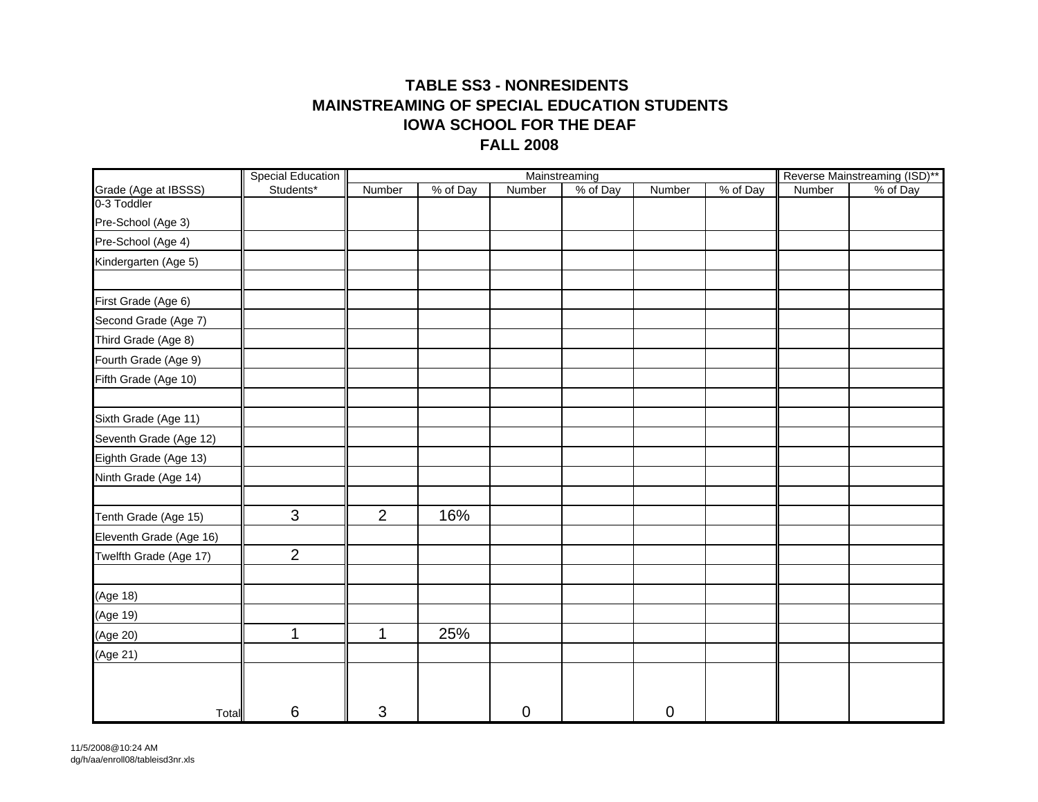#### **TABLE SS3 - NONRESIDENTS MAINSTREAMING OF SPECIAL EDUCATION STUDENTS FALL 2008 IOWA SCHOOL FOR THE DEAF**

|                         | <b>Special Education</b> |                |          | Reverse Mainstreaming (ISD)** |                           |             |          |        |          |
|-------------------------|--------------------------|----------------|----------|-------------------------------|---------------------------|-------------|----------|--------|----------|
| Grade (Age at IBSSS)    | Students*                | Number         | % of Day | Number                        | Mainstreaming<br>% of Day | Number      | % of Day | Number | % of Day |
| 0-3 Toddler             |                          |                |          |                               |                           |             |          |        |          |
| Pre-School (Age 3)      |                          |                |          |                               |                           |             |          |        |          |
| Pre-School (Age 4)      |                          |                |          |                               |                           |             |          |        |          |
| Kindergarten (Age 5)    |                          |                |          |                               |                           |             |          |        |          |
|                         |                          |                |          |                               |                           |             |          |        |          |
| First Grade (Age 6)     |                          |                |          |                               |                           |             |          |        |          |
| Second Grade (Age 7)    |                          |                |          |                               |                           |             |          |        |          |
| Third Grade (Age 8)     |                          |                |          |                               |                           |             |          |        |          |
| Fourth Grade (Age 9)    |                          |                |          |                               |                           |             |          |        |          |
| Fifth Grade (Age 10)    |                          |                |          |                               |                           |             |          |        |          |
|                         |                          |                |          |                               |                           |             |          |        |          |
| Sixth Grade (Age 11)    |                          |                |          |                               |                           |             |          |        |          |
| Seventh Grade (Age 12)  |                          |                |          |                               |                           |             |          |        |          |
| Eighth Grade (Age 13)   |                          |                |          |                               |                           |             |          |        |          |
| Ninth Grade (Age 14)    |                          |                |          |                               |                           |             |          |        |          |
|                         |                          |                |          |                               |                           |             |          |        |          |
| Tenth Grade (Age 15)    | 3                        | $\overline{2}$ | 16%      |                               |                           |             |          |        |          |
| Eleventh Grade (Age 16) |                          |                |          |                               |                           |             |          |        |          |
| Twelfth Grade (Age 17)  | $\overline{2}$           |                |          |                               |                           |             |          |        |          |
|                         |                          |                |          |                               |                           |             |          |        |          |
| (Age 18)                |                          |                |          |                               |                           |             |          |        |          |
| (Age 19)                |                          |                |          |                               |                           |             |          |        |          |
| (Age 20)                | $\mathbf 1$              | 1              | 25%      |                               |                           |             |          |        |          |
| (Age 21)                |                          |                |          |                               |                           |             |          |        |          |
|                         |                          |                |          |                               |                           |             |          |        |          |
|                         |                          |                |          |                               |                           |             |          |        |          |
| Total                   | 6                        | 3              |          | 0                             |                           | $\mathbf 0$ |          |        |          |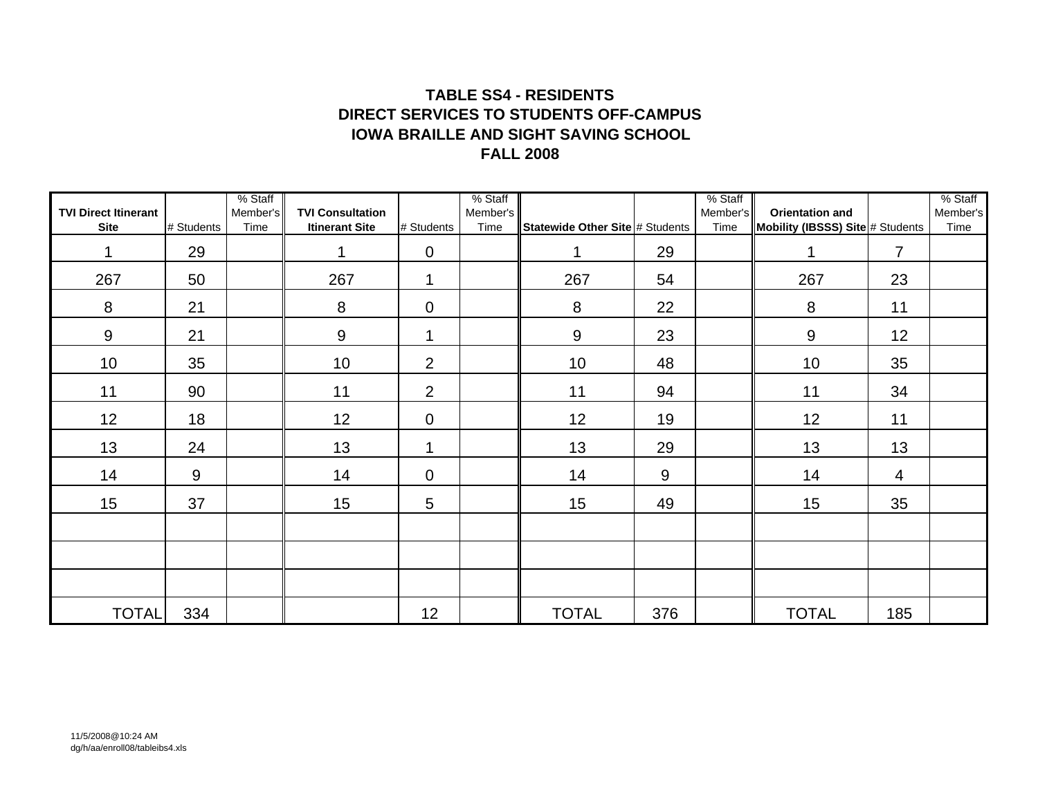### **TABLE SS4 - RESIDENTSDIRECT SERVICES TO STUDENTS OFF-CAMPUSFALL 2008IOWA BRAILLE AND SIGHT SAVING SCHOOL**

| <b>TVI Direct Itinerant</b><br><b>Site</b> | # Students | % Staff<br>Member's<br>Time | <b>TVI Consultation</b><br><b>Itinerant Site</b> | # Students      | % Staff<br>Member's<br>Time | Statewide Other Site # Students |     | % Staff<br>Member's<br>Time | <b>Orientation and</b><br>Mobility (IBSSS) Site # Students |                | % Staff<br>Member's<br>Time |
|--------------------------------------------|------------|-----------------------------|--------------------------------------------------|-----------------|-----------------------------|---------------------------------|-----|-----------------------------|------------------------------------------------------------|----------------|-----------------------------|
| 1                                          | 29         |                             | 1                                                | $\mathbf 0$     |                             | 1                               | 29  |                             | 1                                                          | $\overline{7}$ |                             |
| 267                                        | 50         |                             | 267                                              | 1               |                             | 267                             | 54  |                             | 267                                                        | 23             |                             |
| 8                                          | 21         |                             | 8                                                | $\mathbf 0$     |                             | 8                               | 22  |                             | 8                                                          | 11             |                             |
| 9                                          | 21         |                             | 9                                                | $\mathbf 1$     |                             | 9                               | 23  |                             | 9                                                          | 12             |                             |
| 10                                         | 35         |                             | 10                                               | $\overline{2}$  |                             | 10                              | 48  |                             | 10                                                         | 35             |                             |
| 11                                         | 90         |                             | 11                                               | 2               |                             | 11                              | 94  |                             | 11                                                         | 34             |                             |
| 12                                         | 18         |                             | 12                                               | $\mathbf 0$     |                             | 12                              | 19  |                             | 12                                                         | 11             |                             |
| 13                                         | 24         |                             | 13                                               | 1               |                             | 13                              | 29  |                             | 13                                                         | 13             |                             |
| 14                                         | 9          |                             | 14                                               | $\mathbf 0$     |                             | 14                              | 9   |                             | 14                                                         | 4              |                             |
| 15                                         | 37         |                             | 15                                               | $5\phantom{.0}$ |                             | 15                              | 49  |                             | 15                                                         | 35             |                             |
|                                            |            |                             |                                                  |                 |                             |                                 |     |                             |                                                            |                |                             |
|                                            |            |                             |                                                  |                 |                             |                                 |     |                             |                                                            |                |                             |
|                                            |            |                             |                                                  |                 |                             |                                 |     |                             |                                                            |                |                             |
| <b>TOTAL</b>                               | 334        |                             |                                                  | 12              |                             | <b>TOTAL</b>                    | 376 |                             | <b>TOTAL</b>                                               | 185            |                             |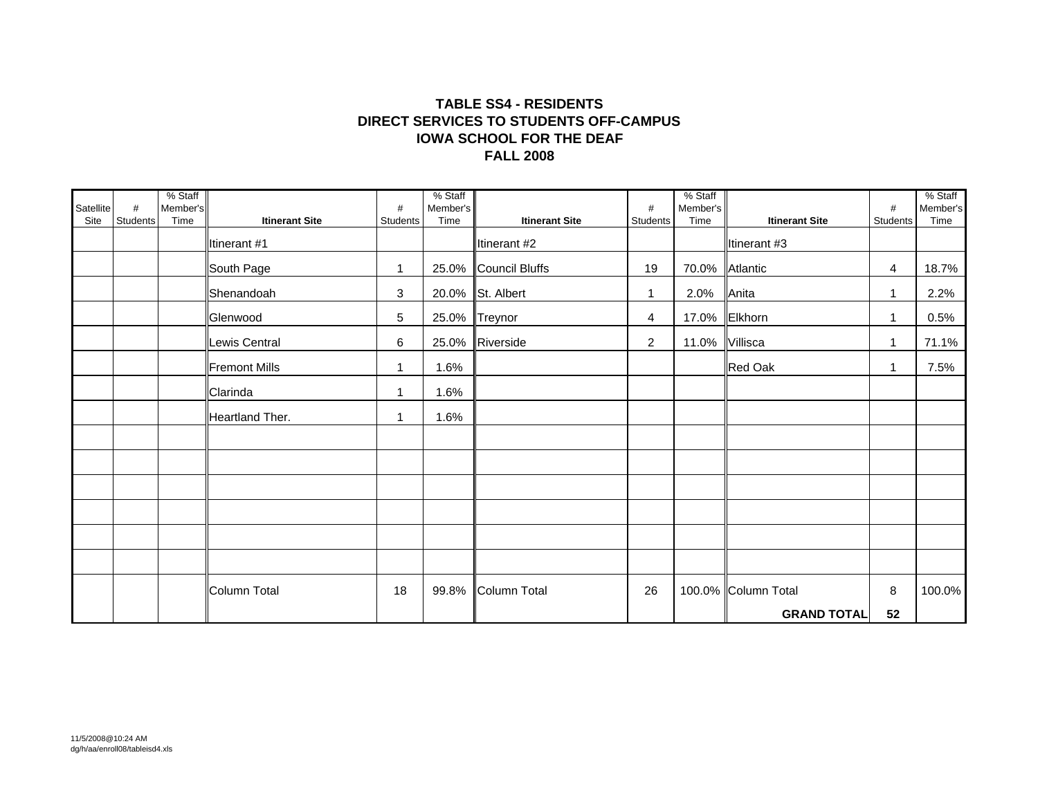#### **TABLE SS4 - RESIDENTS DIRECT SERVICES TO STUDENTS OFF-CAMPUSFALL 2008 IOWA SCHOOL FOR THE DEAF**

| Satellite | #        | % Staff<br>Member's |                       | #           | % Staff<br>Member's |                       | $\#$            | % Staff<br>Member's |                       | $\#$         | % Staff<br>Member's |
|-----------|----------|---------------------|-----------------------|-------------|---------------------|-----------------------|-----------------|---------------------|-----------------------|--------------|---------------------|
| Site      | Students | Time                | <b>Itinerant Site</b> | Students    | Time                | <b>Itinerant Site</b> | <b>Students</b> | Time                | <b>Itinerant Site</b> | Students     | Time                |
|           |          |                     | Itinerant #1          |             |                     | Itinerant #2          |                 |                     | Itinerant #3          |              |                     |
|           |          |                     | South Page            | 1           |                     | 25.0% Council Bluffs  | 19              | 70.0%               | Atlantic              | 4            | 18.7%               |
|           |          |                     | Shenandoah            | 3           |                     | 20.0% St. Albert      | $\mathbf{1}$    | 2.0%                | Anita                 | $\mathbf{1}$ | 2.2%                |
|           |          |                     | Glenwood              | 5           | 25.0%               | Treynor               | 4               | 17.0%               | Elkhorn               | 1            | 0.5%                |
|           |          |                     | Lewis Central         | 6           |                     | 25.0% Riverside       | $\overline{2}$  | 11.0%               | Villisca              | 1            | 71.1%               |
|           |          |                     | <b>Fremont Mills</b>  | $\mathbf 1$ | 1.6%                |                       |                 |                     | Red Oak               | 1            | 7.5%                |
|           |          |                     | Clarinda              | 1           | 1.6%                |                       |                 |                     |                       |              |                     |
|           |          |                     | Heartland Ther.       | 1           | 1.6%                |                       |                 |                     |                       |              |                     |
|           |          |                     |                       |             |                     |                       |                 |                     |                       |              |                     |
|           |          |                     |                       |             |                     |                       |                 |                     |                       |              |                     |
|           |          |                     |                       |             |                     |                       |                 |                     |                       |              |                     |
|           |          |                     |                       |             |                     |                       |                 |                     |                       |              |                     |
|           |          |                     |                       |             |                     |                       |                 |                     |                       |              |                     |
|           |          |                     |                       |             |                     |                       |                 |                     |                       |              |                     |
|           |          |                     | Column Total          | 18          |                     | 99.8% Column Total    | 26              |                     | 100.0% Column Total   | 8            | 100.0%              |
|           |          |                     |                       |             |                     |                       |                 |                     | <b>GRAND TOTAL</b>    | 52           |                     |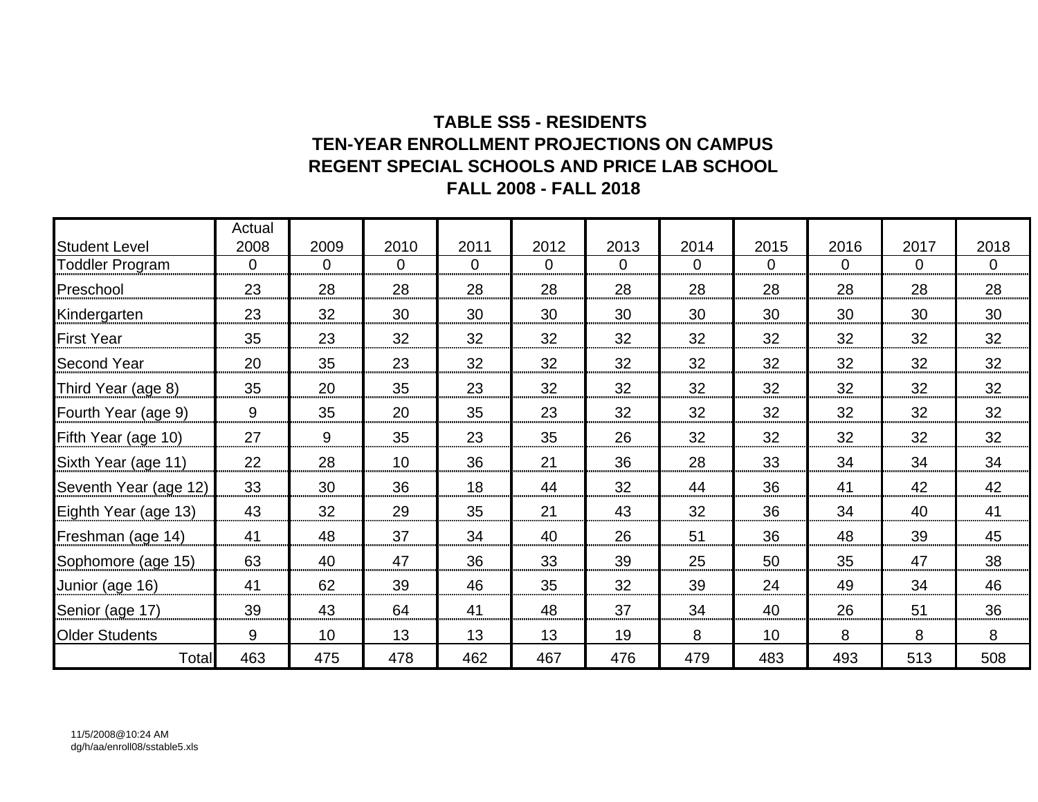### **TABLE SS5 - RESIDENTS TEN-YEAR ENROLLMENT PROJECTIONS ON CAMPUSREGENT SPECIAL SCHOOLS AND PRICE LAB SCHOOL FALL 2008 - FALL 2018**

|                        | Actual   |                |          |                |          |          |          |          |          |                |                |
|------------------------|----------|----------------|----------|----------------|----------|----------|----------|----------|----------|----------------|----------------|
| <b>Student Level</b>   | 2008     | 2009           | 2010     | 2011           | 2012     | 2013     | 2014     | 2015     | 2016     | 2017           | 2018           |
| <b>Toddler Program</b> | $\Omega$ | $\overline{0}$ | $\Omega$ | $\overline{0}$ | $\Omega$ | $\Omega$ | $\Omega$ | $\Omega$ | $\Omega$ | $\overline{0}$ | $\overline{0}$ |
| Preschool              | 23       | 28             | 28       | 28             | 28       | 28       | 28       | 28       | 28       | 28             | 28             |
| Kindergarten           | 23       | 32             | 30       | 30             | 30       | 30       | 30       | 30       | 30       | 30             | 30             |
| <b>First Year</b>      | 35       | 23             | 32       | 32             | 32       | 32       | 32       | 32       | 32       | 32             | 32             |
| <b>Second Year</b>     | 20       | 35             | 23       | 32             | 32       | 32       | 32       | 32       | 32       | 32             | 32             |
| Third Year (age 8)     | 35       | 20             | 35       | 23             | 32       | 32       | 32       | 32       | 32       | 32             | 32             |
| Fourth Year (age 9)    | 9        | 35             | 20       | 35             | 23       | 32       | 32       | 32       | 32       | 32             | 32             |
| Fifth Year (age 10)    | 27       | 9              | 35       | 23             | 35       | 26       | 32       | 32       | 32       | 32             | 32             |
| Sixth Year (age 11)    | 22       | 28             | 10       | 36             | 21       | 36       | 28       | 33       | 34       | 34             | 34             |
| Seventh Year (age 12)  | 33       | 30             | 36       | 18             | 44       | 32       | 44       | 36       | 41       | 42             | 42             |
| Eighth Year (age 13)   | 43       | 32             | 29       | 35             | 21       | 43       | 32       | 36       | 34       | 40             | 41             |
| Freshman (age 14)      | 41       | 48             | 37       | 34             | 40       | 26       | 51       | 36       | 48       | 39             | 45             |
| Sophomore (age 15)     | 63       | 40             | 47       | 36             | 33       | 39       | 25       | 50       | 35       | 47             | 38             |
| Junior (age 16)        | 41       | 62             | 39       | 46             | 35       | 32       | 39       | 24       | 49       | 34             | 46             |
| Senior (age 17)        | 39       | 43             | 64       | 41             | 48       | 37       | 34       | 40       | 26       | 51             | 36             |
| <b>Older Students</b>  | 9        | 10             | 13       | 13             | 13       | 19       | 8        | 10       | 8        | 8              | 8              |
| Total                  | 463      | 475            | 478      | 462            | 467      | 476      | 479      | 483      | 493      | 513            | 508            |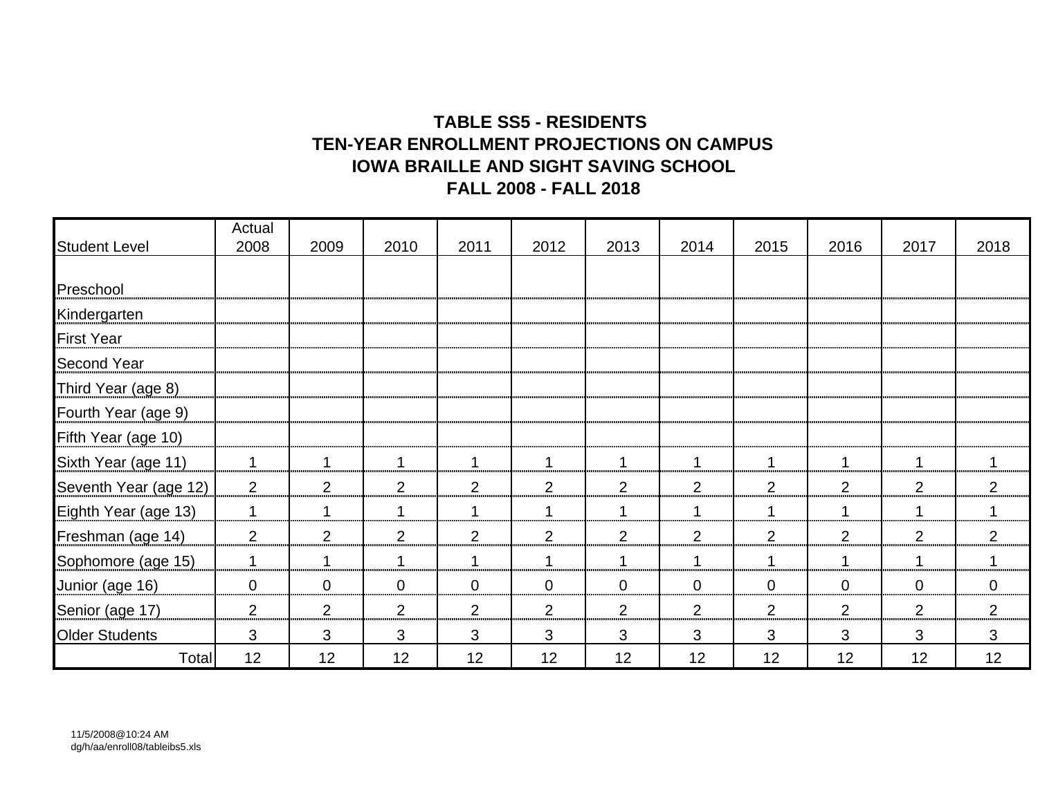### **TABLE SS5 - RESIDENTS TEN-YEAR ENROLLMENT PROJECTIONS ON CAMPUSIOWA BRAILLE AND SIGHT SAVING SCHOOL FALL 2008 - FALL 2018**

|                       | Actual         |                |                |                |                |                |                |                |                |                |                |
|-----------------------|----------------|----------------|----------------|----------------|----------------|----------------|----------------|----------------|----------------|----------------|----------------|
| <b>Student Level</b>  | 2008           | 2009           | 2010           | 2011           | 2012           | 2013           | 2014           | 2015           | 2016           | 2017           | 2018           |
|                       |                |                |                |                |                |                |                |                |                |                |                |
| Preschool             |                |                |                |                |                |                |                |                |                |                |                |
| Kindergarten          |                |                |                |                |                |                |                |                |                |                |                |
| <b>First Year</b>     |                |                |                |                |                |                |                |                |                |                |                |
| <b>Second Year</b>    |                |                |                |                |                |                |                |                |                |                |                |
| Third Year (age 8)    |                |                |                |                |                |                |                |                |                |                |                |
| Fourth Year (age 9)   |                |                |                |                |                |                |                |                |                |                |                |
| Fifth Year (age 10)   |                |                |                |                |                |                |                |                |                |                |                |
| Sixth Year (age 11)   | 1              | 1              | 1              | $\mathbf 1$    | $\mathbf{1}$   | -1             | 1              | 1              | 1              | 1              | 1              |
| Seventh Year (age 12) | 2              | $\overline{2}$ | $\overline{2}$ | $\overline{2}$ | $\overline{2}$ | $\overline{2}$ | $\overline{2}$ | $\overline{2}$ | 2              | $\overline{2}$ | $\overline{2}$ |
| Eighth Year (age 13)  | 1              |                | 1              | 1              | 1              |                |                | $\mathbf 1$    | 1              | 1              | 1              |
| Freshman (age 14)     | $\overline{2}$ | $\overline{2}$ | 2              | 2              | 2              | $\overline{2}$ | 2              | $\overline{2}$ | 2              | 2              | $\overline{2}$ |
| Sophomore (age 15)    | 1              |                | 1              | 1              | 1              |                |                | $\mathbf 1$    | -1             | 1              |                |
| Junior (age 16)       | $\overline{0}$ | $\overline{0}$ | $\mathbf{0}$   | $\mathbf 0$    | $\overline{0}$ | $\mathbf 0$    | $\mathbf 0$    | $\overline{0}$ | $\overline{0}$ | $\mathbf{0}$   | $\overline{0}$ |
| Senior (age 17)       | $\overline{2}$ | $\overline{2}$ | 2              | $\overline{2}$ | $\overline{2}$ | $\overline{2}$ | $\overline{2}$ | $\overline{2}$ | 2              | $\overline{2}$ | $\overline{2}$ |
| <b>Older Students</b> | 3              | 3              | 3              | 3              | 3              | 3              | 3              | 3              | 3              | 3              | 3              |
| Total                 | 12             | 12             | 12             | 12             | 12             | 12             | 12             | 12             | 12             | 12             | 12             |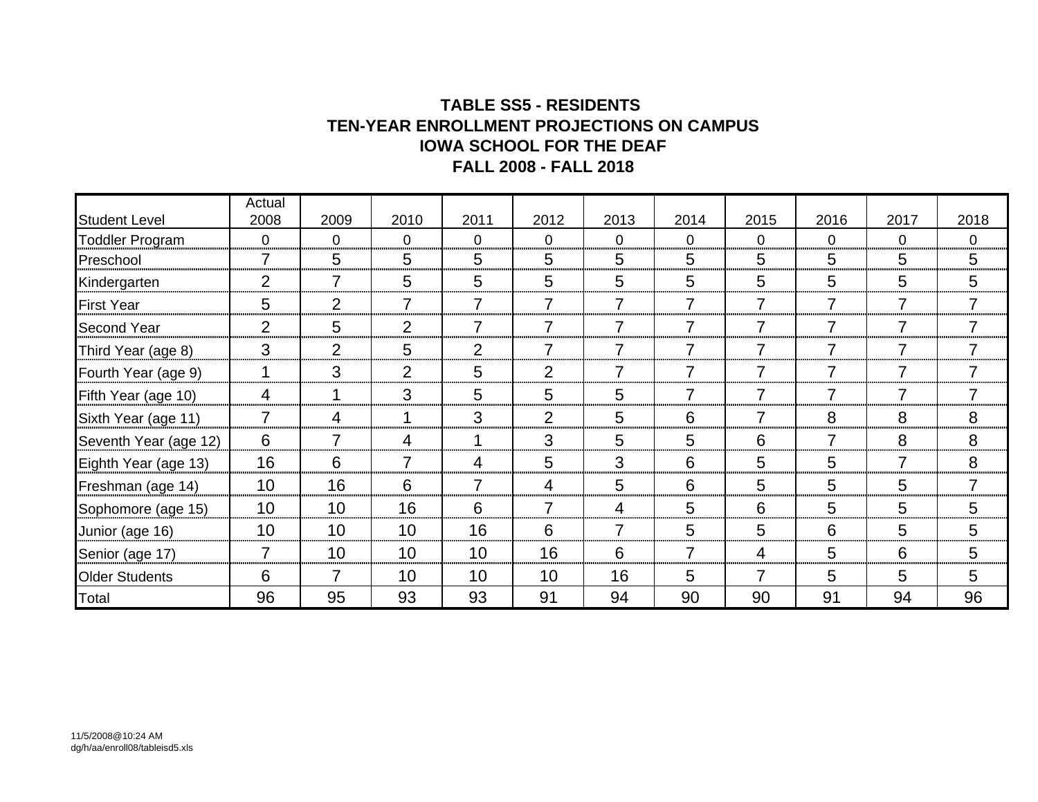### **TABLE SS5 - RESIDENTS TEN-YEAR ENROLLMENT PROJECTIONS ON CAMPUS IOWA SCHOOL FOR THE DEAF FALL 2008 - FALL 2018**

|                        | Actual          |                |                |                |                |                |                |                |                 |                |                |
|------------------------|-----------------|----------------|----------------|----------------|----------------|----------------|----------------|----------------|-----------------|----------------|----------------|
| <b>Student Level</b>   | 2008            | 2009           | 2010           | 2011           | 2012           | 2013           | 2014           | 2015           | 2016            | 2017           | 2018           |
| <b>Toddler Program</b> | $\overline{0}$  | $\overline{0}$ | $\overline{0}$ | $\overline{0}$ | $\overline{0}$ | $\overline{0}$ | $\overline{0}$ | $\overline{0}$ | $\overline{0}$  | $\overline{0}$ | $\overline{0}$ |
| Preschool              | 7               | 5              | 5              | 5<br>          | 5              | 5              | 5              | 5              | 5               | 5              | 5              |
| Kindergarten           | $\overline{2}$  |                | 5              | 5<br>          | 5              | 5              | 5              | 5<br>          | 5               | 5<br>,,,,,,,,  | 5              |
| <b>First Year</b>      | 5               | $\overline{2}$ | 7              | 7              |                | 7              | 7              |                | $\overline{7}$  | 7              |                |
| <b>Second Year</b>     | $\overline{2}$  | 5              | 2              | $\overline{7}$ | 7              | $\overline{7}$ | 7              |                | $\overline{7}$  | 7              |                |
| Third Year (age 8)     | 3               | $\overline{2}$ | 5              | 2              | 7              | 7              | 7              |                | 7               | 7              |                |
| Fourth Year (age 9)    |                 | 3              | 2              | 5              | 2              | 7              | 7              |                | $\overline{7}$  | 7              |                |
| Fifth Year (age 10)    | 4               |                | 3              | 5              | 5              | 5              | 7              |                | 7               | 7              | 7              |
| Sixth Year (age 11)    | 7               | 4              | 1              | 3              | 2              | 5              | 6              | 7              | 8               | 8              | 8              |
| Seventh Year (age 12)  | 6               | $\overline{7}$ | 4              | 1              | 3              | 5              | 5              | 6              | $\overline{7}$  | 8              | 8              |
| Eighth Year (age 13)   | 16              | 6              | $\overline{7}$ | 4              | 5              | 3              | 6              | 5              | 5               | 7              | 8              |
| Freshman (age 14)      | 10 <sup>1</sup> | 16             | 6              | $\overline{7}$ | 4              | 5              | 6              | 5              | 5               | 5              | $\overline{7}$ |
| Sophomore (age 15)     | 10              | 10             | 16             | 6              | $\overline{7}$ | 4              | 5              | 6              | 5               | 5              | 5              |
| Junior (age 16)        | 10              | 10             | 10             | 16             | 6              | $\overline{7}$ | 5              | 5              | 6               | 5              | 5              |
| Senior (age 17)        | 7               | 10             | 10             | 10             | 16             | 6              | 7              | 4              | 5               | 6              | 5              |
| <b>Older Students</b>  | 6               | 7              | 10             | 10             | 10             | 16             | 5              |                | $5\phantom{.0}$ | 5              | 5              |
| Total                  | 96              | 95             | 93             | 93             | 91             | 94             | 90             | 90             | 91              | 94             | 96             |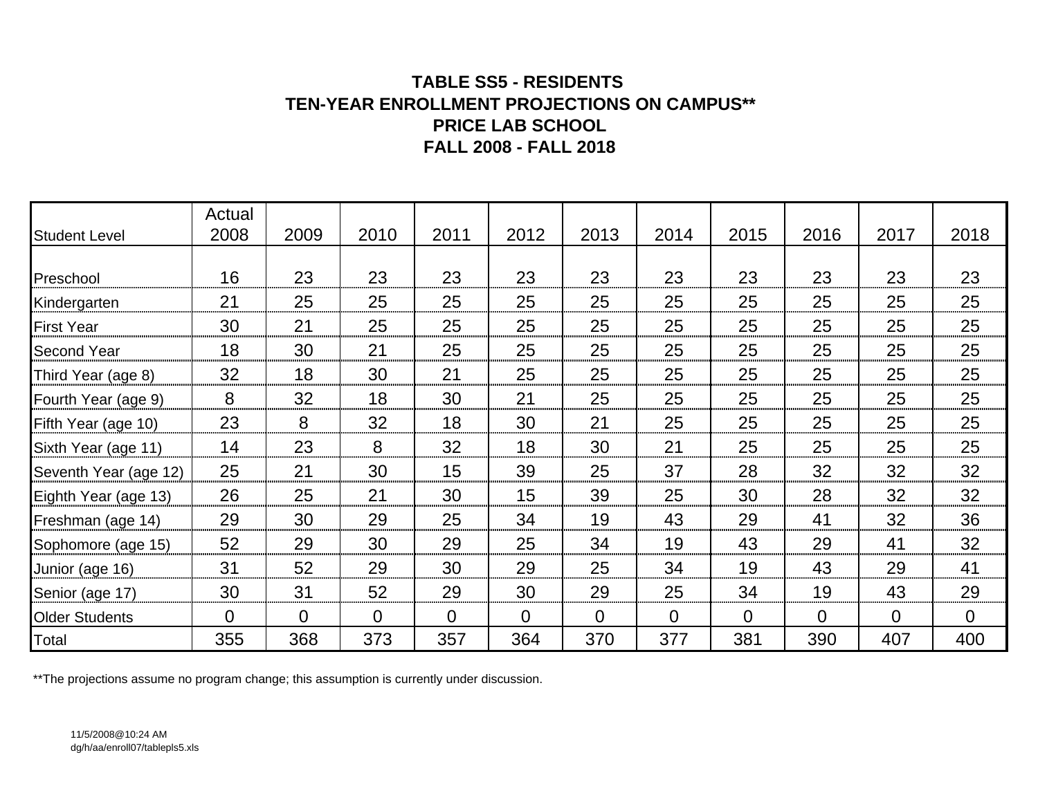### **TABLE SS5 - RESIDENTS TEN-YEAR ENROLLMENT PROJECTIONS ON CAMPUS\*\* PRICE LAB SCHOOLFALL 2008 - FALL 2018**

| <b>Student Level</b>  | Actual<br>2008 | 2009           | 2010           | 2011           | 2012           | 2013           | 2014           | 2015           | 2016     | 2017           | 2018           |
|-----------------------|----------------|----------------|----------------|----------------|----------------|----------------|----------------|----------------|----------|----------------|----------------|
|                       |                |                |                |                |                |                |                |                |          |                |                |
| Preschool             | 16             | 23             | 23             | 23             | 23             | 23             | 23             | 23             | 23       | 23             | 23             |
| Kindergarten          | 21             | 25             | 25             | 25             | 25             | 25             | 25             | 25             | 25       | 25             | 25             |
| <b>First Year</b>     | 30             | 21             | 25             | 25             | 25             | 25             | 25             | 25             | 25       | 25             | 25             |
| <b>Second Year</b>    | 18             | 30             | 21             | 25             | 25             | 25             | 25             | 25             | 25       | 25             | 25             |
| Third Year (age 8)    | 32             | 18             | 30             | 21             | 25             | 25             | 25             | 25             | 25       | 25             | 25             |
| Fourth Year (age 9)   | 8              | 32             | 18             | 30             | 21             | 25             | 25             | 25             | 25       | 25             | 25             |
| Fifth Year (age 10)   | 23             | 8              | 32             | 18             | 30             | 21             | 25             | 25             | 25       | 25             | 25             |
| Sixth Year (age 11)   | 14             | 23             | 8              | 32             | 18             | 30             | 21             | 25             | 25       | 25             | 25             |
| Seventh Year (age 12) | 25             | 21             | 30             | 15             | 39             | 25             | 37             | 28             | 32       | 32             | 32             |
| Eighth Year (age 13)  | 26             | 25             | 21             | 30             | 15             | 39             | 25             | 30             | 28       | 32             | 32             |
| Freshman (age 14)     | 29             | 30             | 29             | 25             | 34             | 19             | 43             | 29             | 41       | 32             | 36             |
| Sophomore (age 15)    | 52             | 29             | 30             | 29             | 25             | 34             | 19             | 43             | 29       | 41             | 32             |
| Junior (age 16)       | 31             | 52             | 29             | 30             | 29             | 25             | 34             | 19             | 43       | 29             | 41             |
| Senior (age 17)       | 30             | 31             | 52             | 29             | 30             | 29             | 25             | 34             | 19       | 43             | 29             |
| <b>Older Students</b> | $\overline{0}$ | $\overline{0}$ | $\overline{0}$ | $\overline{0}$ | $\overline{0}$ | $\overline{0}$ | $\overline{0}$ | $\overline{0}$ | $\Omega$ | $\overline{0}$ | $\overline{0}$ |
| Total                 | 355            | 368            | 373            | 357            | 364            | 370            | 377            | 381            | 390      | 407            | 400            |

\*\*The projections assume no program change; this assumption is currently under discussion.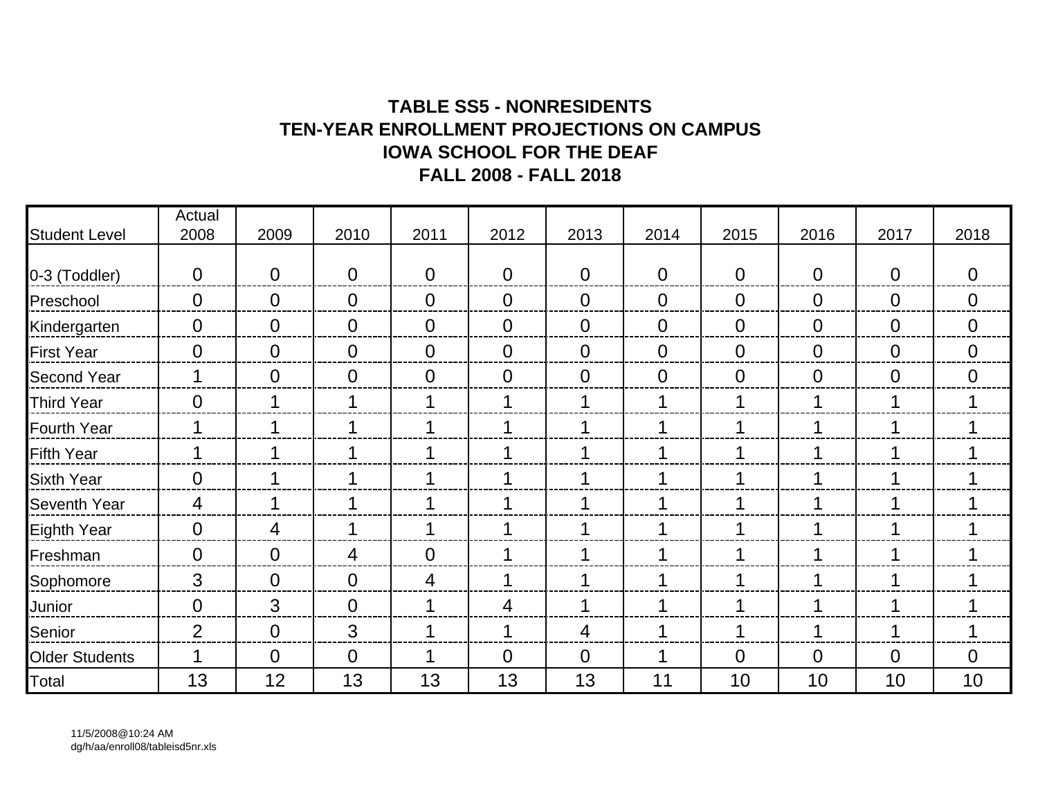# **TABLE SS5 - NONRESIDENTSTEN-YEAR ENROLLMENT PROJECTIONS ON CAMPUSIOWA SCHOOL FOR THE DEAFFALL 2008 - FALL 2018**

| <b>Student Level</b>  | Actual<br>2008   | 2009           | 2010           | 2011           | 2012           | 2013           | 2014           | 2015           | 2016           | 2017           | 2018           |
|-----------------------|------------------|----------------|----------------|----------------|----------------|----------------|----------------|----------------|----------------|----------------|----------------|
|                       |                  |                |                |                |                |                |                |                |                |                |                |
| 0-3 (Toddler)         | $\overline{0}$   | $\overline{0}$ | $\overline{0}$ | $\overline{0}$ | $\overline{0}$ | $\overline{0}$ | $\theta$       | $\mathbf 0$    | $\overline{0}$ | $\overline{0}$ | $\mathbf 0$    |
| Preschool             | $\overline{0}$   | $\overline{0}$ | $\overline{0}$ | $\overline{0}$ | $\overline{0}$ | $\overline{0}$ | $\theta$       | $\mathbf 0$    | $\overline{0}$ | $\overline{0}$ | $\overline{0}$ |
| Kindergarten          | $\overline{0}$   | $\overline{0}$ | $\overline{0}$ | $\overline{0}$ | $\overline{0}$ | $\overline{0}$ | $\overline{0}$ | $\overline{0}$ | $\overline{0}$ | $\overline{0}$ | $\overline{0}$ |
| <b>First Year</b>     | $\overline{0}$   | $\overline{0}$ | $\overline{0}$ | $\overline{0}$ | $\overline{0}$ | $\overline{0}$ | $\overline{0}$ | $\overline{0}$ | $\overline{0}$ | $\overline{0}$ | $\overline{0}$ |
| Second Year           |                  | $\overline{0}$ | $\overline{0}$ | $\overline{0}$ | $\overline{0}$ | $\overline{0}$ | $\overline{0}$ | 0              | $\overline{0}$ | $\overline{0}$ | $\overline{0}$ |
| <b>Third Year</b>     | $\overline{0}$   |                |                | 1              | 1              | и              | 1              |                | 1              |                | 1              |
| <b>Fourth Year</b>    | 1                |                | 1              | 1              | 1              |                | 1              |                | 1              |                | $\mathbf 1$    |
| <b>Fifth Year</b>     | 1                |                |                | 1              | 1              |                | 1              |                | 1              |                | $\mathbf 1$    |
| <b>Sixth Year</b>     | $\mathbf 0$      |                |                | 1              | 1              |                | 1              |                | 1              |                | 1              |
| <b>Seventh Year</b>   | 4                |                |                | 1              | 1              |                |                |                | 1              |                | 1              |
| <b>Eighth Year</b>    | $\overline{0}$   | 4              | 1              | 1              | 1              |                | 1              |                | 1              |                | 1              |
| Freshman              | $\boldsymbol{0}$ | $\overline{0}$ | 4              | $\overline{0}$ | 1              |                |                |                | 1              |                | 1              |
| Sophomore             | 3                | $\overline{0}$ | $\overline{0}$ | $\overline{4}$ | 1              |                |                |                | 1              |                | 1              |
| Junior                | $\overline{0}$   | 3              | $\overline{0}$ | 1              | 4              | ◀              | 1              |                | 1              |                | 1              |
| Senior                | $\overline{2}$   | $\overline{0}$ | 3              | 1              | 1              | 4              |                |                | 1              |                | 1              |
| <b>Older Students</b> |                  | $\overline{0}$ | $\overline{0}$ | 1              | $\overline{0}$ | $\overline{0}$ | 1              | 0              | $\overline{0}$ | $\overline{0}$ | $\overline{0}$ |
| Total                 | 13               | 12             | 13             | 13             | 13             | 13             | 11             | 10             | 10             | 10             | 10             |

11/5/2008@10:24 AM dg/h/aa/enroll08/tableisd5nr.xls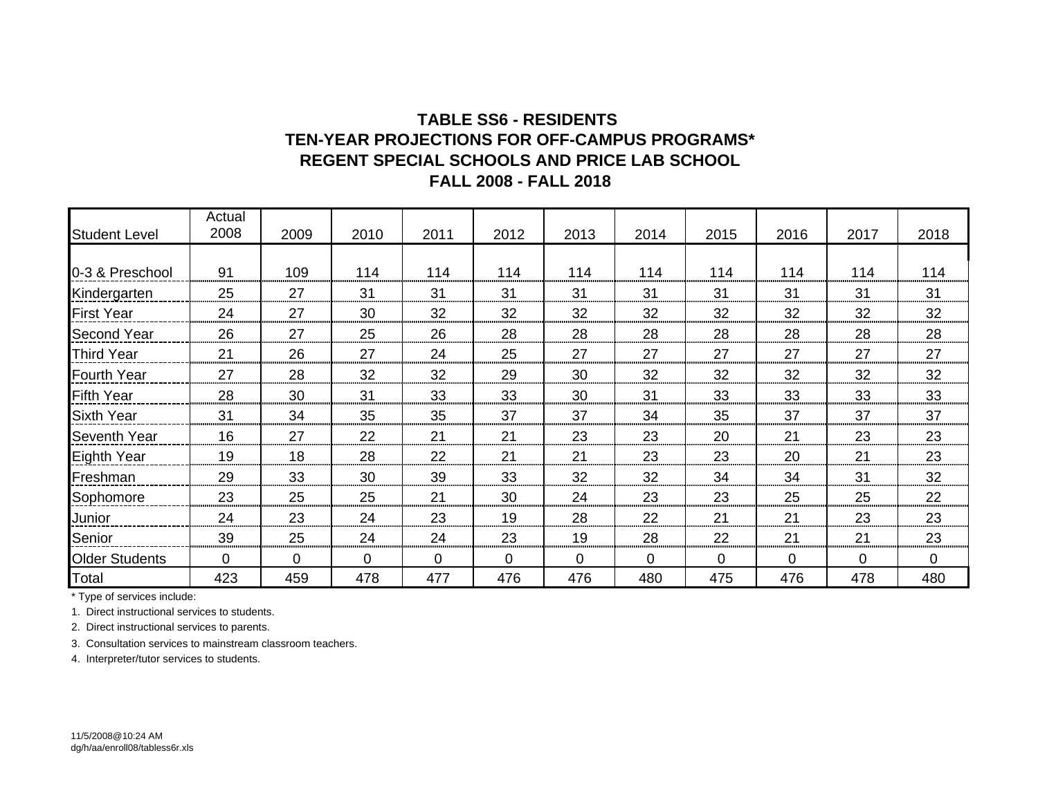### **TABLE SS6 - RESIDENTS REGENT SPECIAL SCHOOLS AND PRICE LAB SCHOOLTEN-YEAR PROJECTIONS FOR OFF-CAMPUS PROGRAMS\*FALL 2008 - FALL 2018**

|                       | Actual         |             |          |             |             |              |              |      |             |          |          |
|-----------------------|----------------|-------------|----------|-------------|-------------|--------------|--------------|------|-------------|----------|----------|
| <b>Student Level</b>  | 2008           | 2009        | 2010     | 2011        | 2012        | 2013         | 2014         | 2015 | 2016        | 2017     | 2018     |
|                       |                |             |          |             |             |              |              |      |             |          |          |
| 0-3 & Preschool       | 91             | 109         | 114      | 114         | 114         | 114          | 114          | 114  | 114         | 114      | 114      |
| Kindergarten          | 25             | 27          | 31       | 31          | 31          | 31           | 31           | 31   | 31          | 31       | 31       |
| <b>First Year</b>     | 24             | 27          | 30       | 32          | 32          | 32           | 32           | 32   | 32          | 32       | 32       |
| <b>Second Year</b>    | 26             | 27          | 25       | 26          | 28          | 28           | 28           | 28   | 28          | 28       | 28       |
| <b>Third Year</b>     | 21             | 26          | 27       | 24          | 25          | 27           | 27           | 27   | 27          | 27       | 27       |
| <b>Fourth Year</b>    | 27             | 28          | 32       | 32          | 29          | 30           | 32           | 32   | 32          | 32       | 32       |
| <b>Fifth Year</b>     | 28             | 30          | 31       | 33          | 33          | 30           | 31           | 33   | 33          | 33       | 33       |
| <b>Sixth Year</b>     | 31             | 34          | 35       | 35          | 37          | 37           | 34           | 35   | 37          | 37       | 37       |
| <b>Seventh Year</b>   | 16             | 27          | 22       | 21          | 21          | 23           | 23           | 20   | 21          | 23       | 23       |
| Eighth Year           | 19             | 18          | 28       | 22          | 21          | 21           | 23           | 23   | 20          | 21       | 23       |
| Freshman              | 29             | 33          | 30       | 39          | 33          | 32           | 32           | 34   | 34          | 31       | 32       |
| Sophomore             | 23             | 25          | 25       | 21          | 30          | 24           | 23           | 23   | 25          | 25       | 22       |
| Junior                | 24             | 23          | 24       | 23          | 19          | 28           | 22           | 21   | 21          | 23       | 23       |
| Senior                | 39             | 25          | 24       | 24          | 23          | 19           | 28           | 22   | 21          | 21       | 23       |
| <b>Older Students</b> | $\overline{0}$ | $\mathbf 0$ | $\Omega$ | $\mathbf 0$ | $\mathbf 0$ | $\mathbf{0}$ | $\mathbf{0}$ | 0    | $\mathbf 0$ | $\Omega$ | $\Omega$ |
| Total                 | 423            | 459         | 478      | 477         | 476         | 476          | 480          | 475  | 476         | 478      | 480      |

\* Type of services include:

1. Direct instructional services to students.

2. Direct instructional services to parents.

3. Consultation services to mainstream classroom teachers.

4. Interpreter/tutor services to students.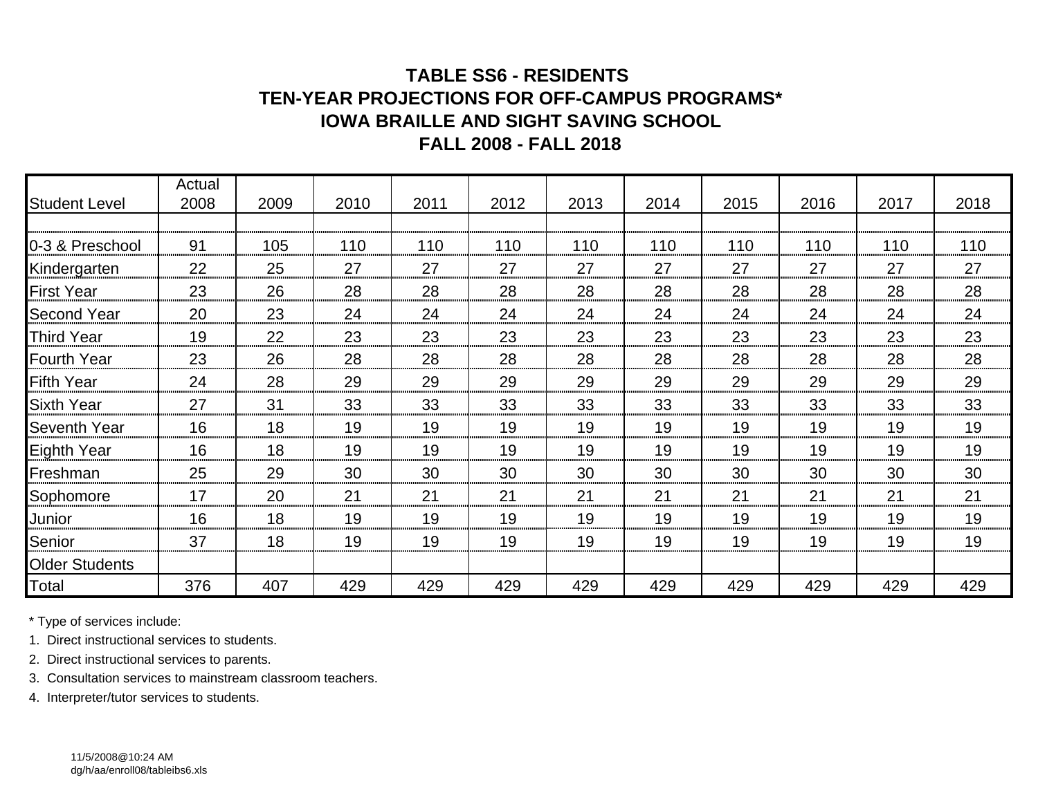## **TABLE SS6 - RESIDENTS TEN-YEAR PROJECTIONS FOR OFF-CAMPUS PROGRAMS\* IOWA BRAILLE AND SIGHT SAVING SCHOOLFALL 2008 - FALL 2018**

| <b>Student Level</b>  | Actual<br>2008 | 2009 | 2010 | 2011 | 2012 | 2013 | 2014 | 2015 | 2016 | 2017 | 2018 |
|-----------------------|----------------|------|------|------|------|------|------|------|------|------|------|
|                       |                |      |      |      |      |      |      |      |      |      |      |
| 0-3 & Preschool       | 91             | 105  | 110  | 110  | 110  | 110  | 110  | 110  | 110  | 110  | 110  |
| Kindergarten          | 22             | 25   | 27   | 27   | 27   | 27   | 27   | 27   | 27   | 27   | 27   |
| <b>First Year</b>     | 23             | 26   | 28   | 28   | 28   | 28   | 28   | 28   | 28   | 28   | 28   |
| <b>Second Year</b>    | 20             | 23   | 24   | 24   | 24   | 24   | 24   | 24   | 24   | 24   | 24   |
| <b>Third Year</b>     | 19             | 22   | 23   | 23   | 23   | 23   | 23   | 23   | 23   | 23   | 23   |
| <b>Fourth Year</b>    | 23             | 26   | 28   | 28   | 28   | 28   | 28   | 28   | 28   | 28   | 28   |
| <b>Fifth Year</b>     | 24             | 28   | 29   | 29   | 29   | 29   | 29   | 29   | 29   | 29   | 29   |
| <b>Sixth Year</b>     | 27             | 31   | 33   | 33   | 33   | 33   | 33   | 33   | 33   | 33   | 33   |
| Seventh Year          | 16             | 18   | 19   | 19   | 19   | 19   | 19   | 19   | 19   | 19   | 19   |
| Eighth Year           | 16             | 18   | 19   | 19   | 19   | 19   | 19   | 19   | 19   | 19   | 19   |
| Freshman              | 25             | 29   | 30   | 30   | 30   | 30   | 30   | 30   | 30   | 30   | 30   |
| Sophomore             | 17             | 20   | 21   | 21   | 21   | 21   | 21   | 21   | 21   | 21   | 21   |
| Junior                | 16             | 18   | 19   | 19   | 19   | 19   | 19   | 19   | 19   | 19   | 19   |
| Senior                | 37             | 18   | 19   | 19   | 19   | 19   | 19   | 19   | 19   | 19   | 19   |
| <b>Older Students</b> |                |      |      |      |      |      |      |      |      |      |      |
| Total                 | 376            | 407  | 429  | 429  | 429  | 429  | 429  | 429  | 429  | 429  | 429  |

\* Type of services include:

1. Direct instructional services to students.

2. Direct instructional services to parents.

3. Consultation services to mainstream classroom teachers.

4. Interpreter/tutor services to students.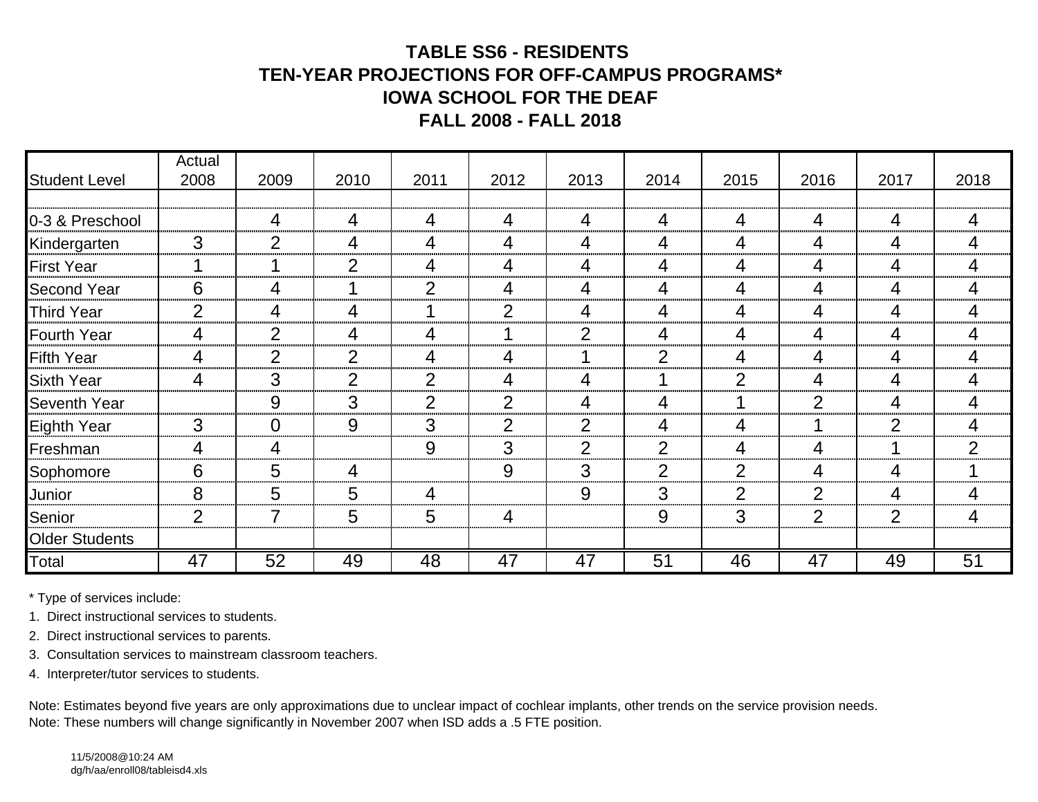# **TABLE SS6 - RESIDENTS TEN-YEAR PROJECTIONS FOR OFF-CAMPUS PROGRAMS\*IOWA SCHOOL FOR THE DEAFFALL 2008 - FALL 2018**

|                       | Actual         |                |                |                |                |                |                 |                |                |                |                |
|-----------------------|----------------|----------------|----------------|----------------|----------------|----------------|-----------------|----------------|----------------|----------------|----------------|
| <b>Student Level</b>  | 2008           | 2009           | 2010           | 2011           | 2012           | 2013           | 2014            | 2015           | 2016           | 2017           | 2018           |
|                       |                |                |                |                |                |                |                 |                |                |                |                |
| 0-3 & Preschool       |                | 4              | 4              | 4              | 4              | 4              | 4               | 4              | $\overline{4}$ | 4              | $\overline{4}$ |
| Kindergarten          | 3              | $\overline{2}$ | 4              | 4              | 4              | 4              | 4               | 4              | 4              | 4              | 4              |
| <b>First Year</b>     |                |                | $\mathcal{P}$  | 4              | 4              | 4              | 4               | 4              | $\overline{4}$ | 4              | 4              |
| <b>Second Year</b>    | 6              | 4              |                | 2              | 4              | 4              | 4               | 4              | 4              | 4              | 4              |
| <b>Third Year</b>     | $\overline{2}$ | 4              | 4              |                | 2              | 4              | 4               | 4              | 4              | 4              | 4              |
| <b>Fourth Year</b>    | 4              | $\overline{2}$ | 4              | 4              |                | 2              | 4               | 4              | $\overline{4}$ | 4              | 4              |
| <b>Fifth Year</b>     | 4              | $\overline{2}$ | $\overline{2}$ | 4              | 4              | 1              | $\overline{2}$  | 4              | 4              | 4              | 4              |
| <b>Sixth Year</b>     | 4              | 3              | $\overline{2}$ | $\overline{2}$ | 4              | 4              |                 | $\overline{2}$ | 4              | 4              | 4              |
| Seventh Year          |                | 9              | 3              | $\mathcal{P}$  | $\overline{2}$ | 4              | 4               |                | $\overline{2}$ | 4              | 4              |
| Eighth Year           | 3              | $\Omega$       | 9              | 3              | $\overline{2}$ | $\overline{2}$ | 4               | 4              |                | $\overline{2}$ | 4              |
| Freshman              | 4              | 4              |                | 9              | 3              | 2              | $\overline{2}$  | 4              | 4              |                | $\overline{2}$ |
| Sophomore             | 6              | 5              | 4              |                | 9              | 3              | $\overline{2}$  | $\overline{2}$ | 4              | 4              |                |
| Junior                | 8              | 5              | 5              | 4              |                | 9              | 3               | $\overline{2}$ | $\overline{2}$ | 4              | 4              |
| Senior                | $\overline{2}$ | 7              | 5              | 5              | 4              |                | 9               | 3              | $\overline{2}$ | $\overline{2}$ | 4              |
| <b>Older Students</b> |                |                |                |                |                |                |                 |                |                |                |                |
| Total                 | 47             | 52             | 49             | 48             | 47             | 47             | $\overline{51}$ | 46             | 47             | 49             | 51             |

\* Type of services include:

1. Direct instructional services to students.

2. Direct instructional services to parents.

3. Consultation services to mainstream classroom teachers.

4. Interpreter/tutor services to students.

Note: Estimates beyond five years are only approximations due to unclear impact of cochlear implants, other trends on the service provision needs. Note: These numbers will change significantly in November 2007 when ISD adds a .5 FTE position.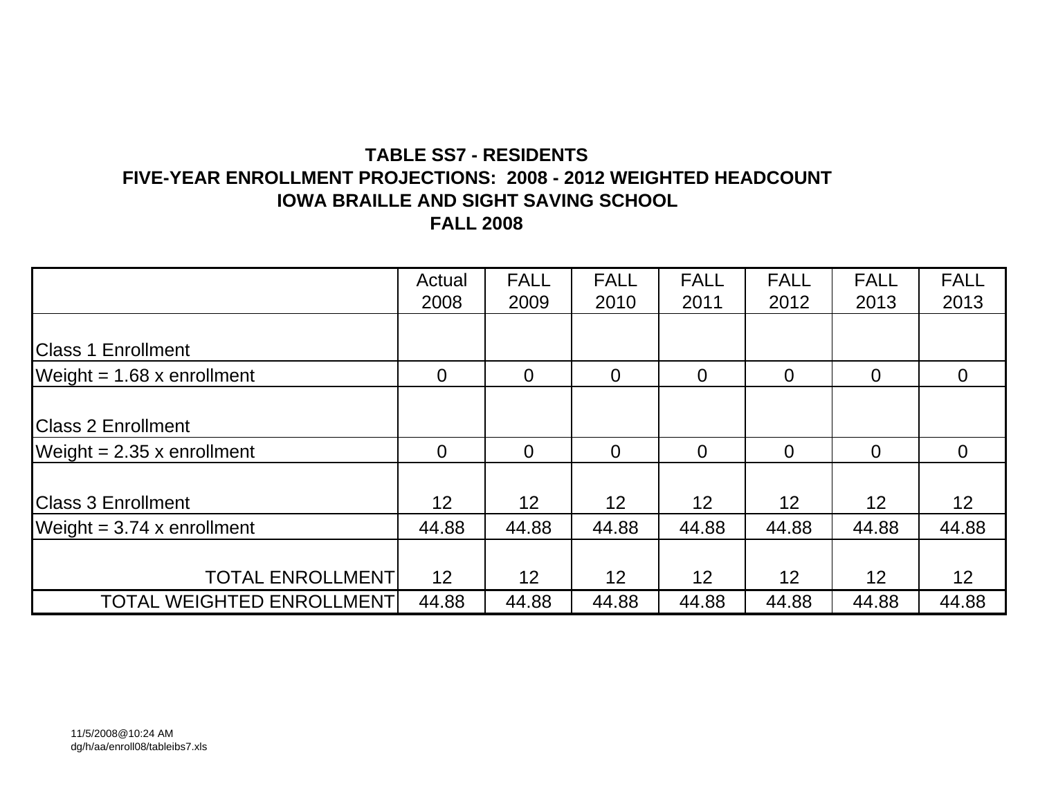# **TABLE SS7 - RESIDENTSFIVE-YEAR ENROLLMENT PROJECTIONS: 2008 - 2012 WEIGHTED HEADCOUNT IOWA BRAILLE AND SIGHT SAVING SCHOOL**

**FALL 2008**

|                                  | Actual          | <b>FALL</b>     | <b>FALL</b>    | <b>FALL</b>    | <b>FALL</b>    | <b>FALL</b>    | <b>FALL</b>     |
|----------------------------------|-----------------|-----------------|----------------|----------------|----------------|----------------|-----------------|
|                                  | 2008            | 2009            | 2010           | 2011           | 2012           | 2013           | 2013            |
|                                  |                 |                 |                |                |                |                |                 |
| <b>Class 1 Enrollment</b>        |                 |                 |                |                |                |                |                 |
| Weight = $1.68$ x enrollment     | $\overline{0}$  | $\Omega$        | $\overline{0}$ | $\overline{0}$ | $\overline{0}$ | $\overline{0}$ | $\overline{0}$  |
|                                  |                 |                 |                |                |                |                |                 |
| <b>Class 2 Enrollment</b>        |                 |                 |                |                |                |                |                 |
| Weight = $2.35$ x enrollment     | $\overline{0}$  | $\overline{0}$  | $\overline{0}$ | $\overline{0}$ | $\overline{0}$ | $\overline{0}$ | $\overline{0}$  |
|                                  |                 |                 |                |                |                |                |                 |
| <b>Class 3 Enrollment</b>        | 12 <sub>2</sub> | 12              | 12             | 12             | 12             | 12             | 12 <sub>2</sub> |
| Weight = $3.74$ x enrollment     | 44.88           | 44.88           | 44.88          | 44.88          | 44.88          | 44.88          | 44.88           |
|                                  |                 |                 |                |                |                |                |                 |
| <b>TOTAL ENROLLMENT</b>          | 12              | 12 <sub>2</sub> | 12             | 12             | 12             | 12             | 12 <sub>2</sub> |
| <b>TOTAL WEIGHTED ENROLLMENT</b> | 44.88           | 44.88           | 44.88          | 44.88          | 44.88          | 44.88          | 44.88           |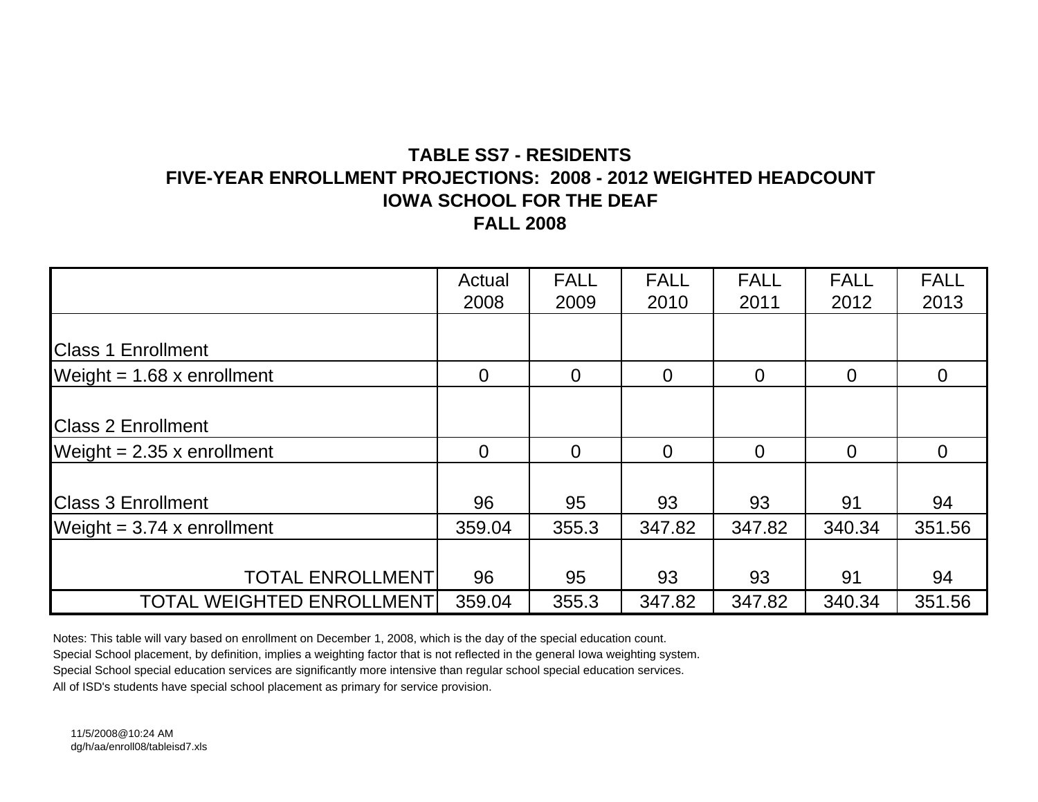## **TABLE SS7 - RESIDENTSFIVE-YEAR ENROLLMENT PROJECTIONS: 2008 - 2012 WEIGHTED HEADCOUNTIOWA SCHOOL FOR THE DEAFFALL 2008**

|                                  | Actual         | <b>FALL</b>    | <b>FALL</b> | <b>FALL</b>    | <b>FALL</b> | <b>FALL</b>    |
|----------------------------------|----------------|----------------|-------------|----------------|-------------|----------------|
|                                  | 2008           | 2009           | 2010        | 2011           | 2012        | 2013           |
|                                  |                |                |             |                |             |                |
| <b>Class 1 Enrollment</b>        |                |                |             |                |             |                |
| Weight = $1.68$ x enrollment     | $\overline{0}$ | $\overline{0}$ | $\Omega$    | $\overline{0}$ | $\Omega$    | $\overline{0}$ |
|                                  |                |                |             |                |             |                |
| <b>IClass 2 Enrollment</b>       |                |                |             |                |             |                |
| Weight = $2.35$ x enrollment     | $\overline{0}$ | $\overline{0}$ | $\Omega$    | $\overline{0}$ | $\Omega$    | $\overline{0}$ |
|                                  |                |                |             |                |             |                |
| <b>Class 3 Enrollment</b>        | 96             | 95             | 93          | 93             | 91          | 94             |
| Weight = $3.74$ x enrollment     | 359.04         | 355.3          | 347.82      | 347.82         | 340.34      | 351.56         |
|                                  |                |                |             |                |             |                |
| <b>TOTAL ENROLLMENT</b>          | 96             | 95             | 93          | 93             | 91          | 94             |
| <b>TOTAL WEIGHTED ENROLLMENT</b> | 359.04         | 355.3          | 347.82      | 347.82         | 340.34      | 351.56         |

Notes: This table will vary based on enrollment on December 1, 2008, which is the day of the special education count.

Special School placement, by definition, implies a weighting factor that is not reflected in the general Iowa weighting system.

Special School special education services are significantly more intensive than regular school special education services.

All of ISD's students have special school placement as primary for service provision.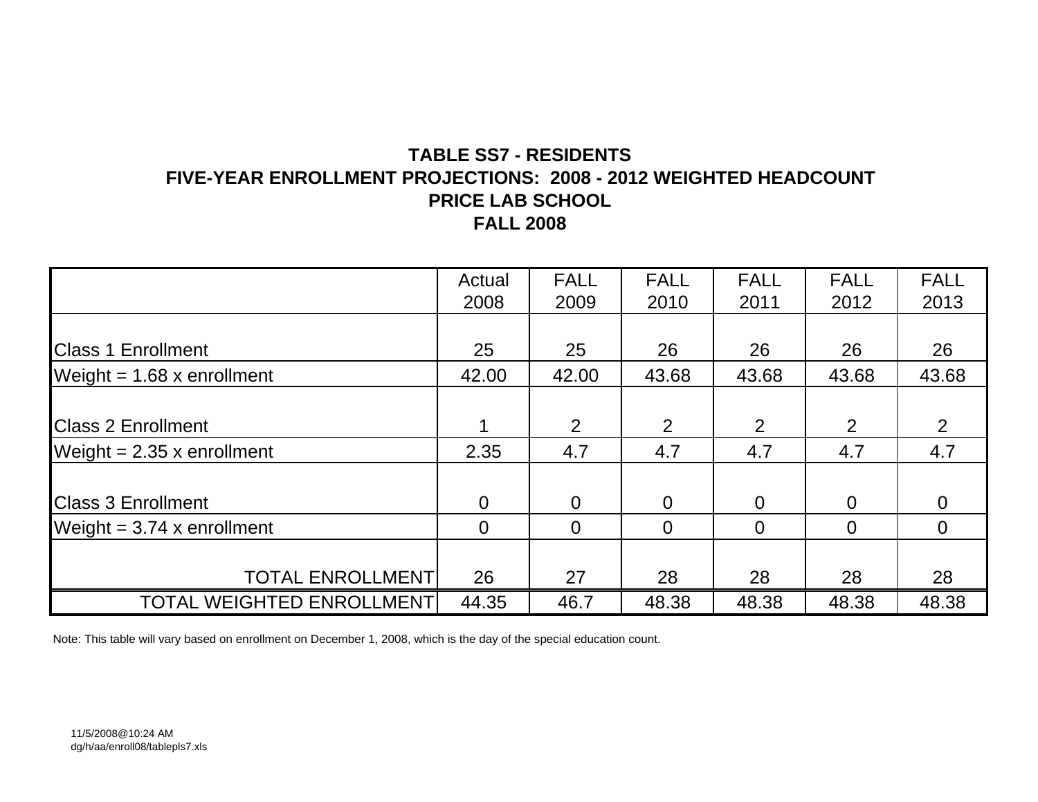## **TABLE SS7 - RESIDENTSFIVE-YEAR ENROLLMENT PROJECTIONS: 2008 - 2012 WEIGHTED HEADCOUNT PRICE LAB SCHOOL FALL 2008**

|                                  | Actual         | <b>FALL</b>    | <b>FALL</b> | <b>FALL</b> | <b>FALL</b>    | <b>FALL</b> |
|----------------------------------|----------------|----------------|-------------|-------------|----------------|-------------|
|                                  | 2008           | 2009           | 2010        | 2011        | 2012           | 2013        |
|                                  |                |                |             |             |                |             |
| <b>Class 1 Enrollment</b>        | 25             | 25             | 26          | 26          | 26             | 26          |
| Weight = $1.68$ x enrollment     | 42.00          | 42.00          | 43.68       | 43.68       | 43.68          | 43.68       |
|                                  |                |                |             |             |                |             |
| <b>Class 2 Enrollment</b>        |                | $\overline{2}$ | 2           | 2           | 2              | 2           |
| Weight = $2.35$ x enrollment     | 2.35           | 4.7            | 4.7         | 4.7         | 4.7            | 4.7         |
|                                  |                |                |             |             |                |             |
| <b>Class 3 Enrollment</b>        | $\overline{0}$ | $\Omega$       | $\Omega$    | $\Omega$    | $\overline{0}$ | $\Omega$    |
| Weight = $3.74$ x enrollment     | $\overline{0}$ | $\Omega$       | 0           | $\Omega$    | $\Omega$       | $\Omega$    |
|                                  |                |                |             |             |                |             |
| <b>TOTAL ENROLLMENT</b>          | 26             | 27             | 28          | 28          | 28             | 28          |
| <b>TOTAL WEIGHTED ENROLLMENT</b> | 44.35          | 46.7           | 48.38       | 48.38       | 48.38          | 48.38       |

Note: This table will vary based on enrollment on December 1, 2008, which is the day of the special education count.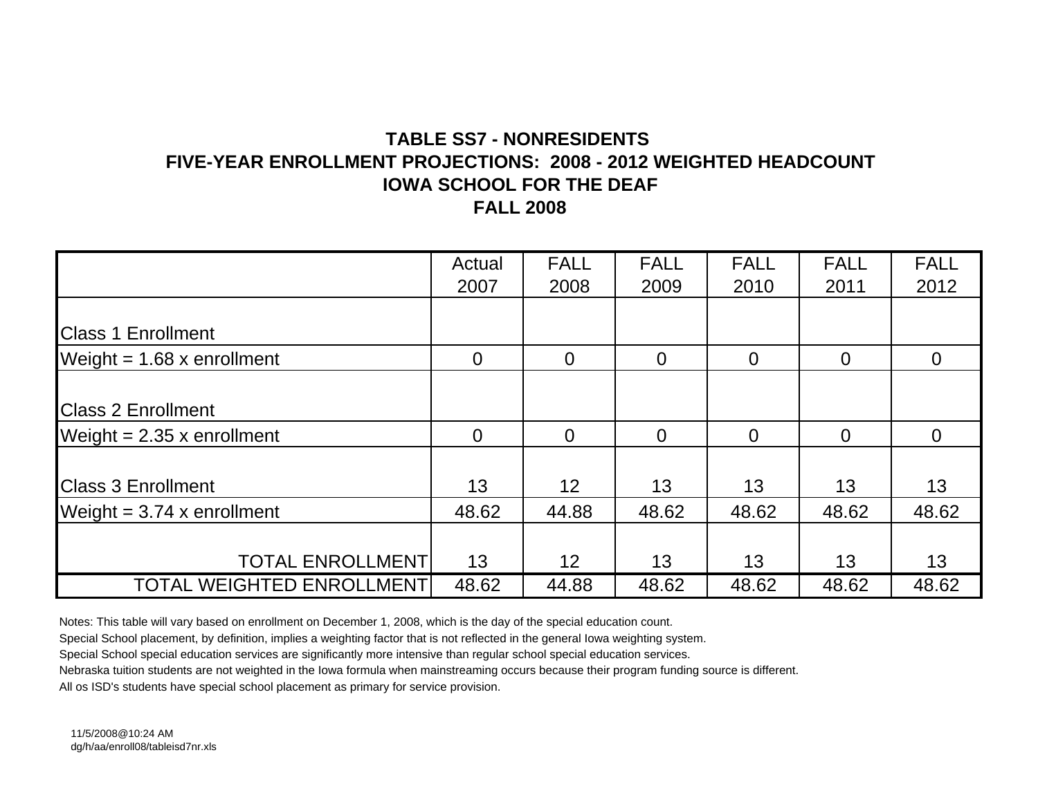### **TABLE SS7 - NONRESIDENTS FIVE-YEAR ENROLLMENT PROJECTIONS: 2008 - 2012 WEIGHTED HEADCOUNTIOWA SCHOOL FOR THE DEAFFALL 2008**

|                                  | Actual         | <b>FALL</b>     | <b>FALL</b>    | <b>FALL</b>    | <b>FALL</b>    | <b>FALL</b> |
|----------------------------------|----------------|-----------------|----------------|----------------|----------------|-------------|
|                                  | 2007           | 2008            | 2009           | 2010           | 2011           | 2012        |
|                                  |                |                 |                |                |                |             |
| <b>Class 1 Enrollment</b>        |                |                 |                |                |                |             |
| Weight = $1.68$ x enrollment     | $\overline{0}$ | $\Omega$        | $\overline{0}$ | $\overline{0}$ | $\overline{0}$ | $\Omega$    |
|                                  |                |                 |                |                |                |             |
| <b>Class 2 Enrollment</b>        |                |                 |                |                |                |             |
| Weight = $2.35$ x enrollment     | $\Omega$       | $\Omega$        | $\Omega$       | $\overline{0}$ | $\overline{0}$ | $\Omega$    |
|                                  |                |                 |                |                |                |             |
| <b>Class 3 Enrollment</b>        | 13             | 12 <sup>2</sup> | 13             | 13             | 13             | 13          |
| Weight = $3.74$ x enrollment     | 48.62          | 44.88           | 48.62          | 48.62          | 48.62          | 48.62       |
|                                  |                |                 |                |                |                |             |
| <b>TOTAL ENROLLMENT</b>          | 13             | 12 <sup>2</sup> | 13             | 13             | 13             | 13          |
| <b>TOTAL WEIGHTED ENROLLMENT</b> | 48.62          | 44.88           | 48.62          | 48.62          | 48.62          | 48.62       |

Notes: This table will vary based on enrollment on December 1, 2008, which is the day of the special education count.

Special School placement, by definition, implies a weighting factor that is not reflected in the general Iowa weighting system.

Special School special education services are significantly more intensive than regular school special education services.

Nebraska tuition students are not weighted in the Iowa formula when mainstreaming occurs because their program funding source is different.

All os ISD's students have special school placement as primary for service provision.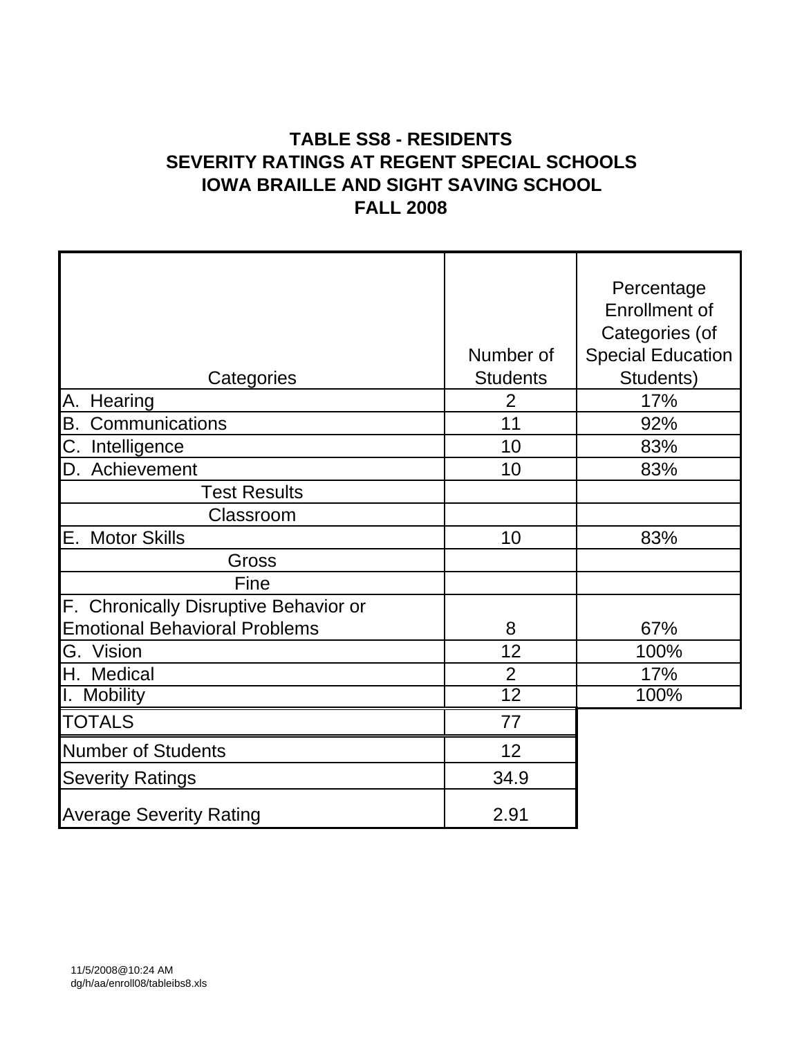# **TABLE SS8 - RESIDENTS SEVERITY RATINGS AT REGENT SPECIAL SCHOOLS IOWA BRAILLE AND SIGHT SAVING SCHOOL FALL 2008**

|                                       |                 | Percentage               |
|---------------------------------------|-----------------|--------------------------|
|                                       |                 | Enrollment of            |
|                                       |                 | Categories (of           |
|                                       | Number of       | <b>Special Education</b> |
| Categories                            | <b>Students</b> | Students)                |
| Hearing<br>Α.                         | $\overline{2}$  | 17%                      |
| B.<br>Communications                  | 11              | 92%                      |
| C.<br>Intelligence                    | 10              | 83%                      |
| Achievement<br>ID.                    | 10              | 83%                      |
| <b>Test Results</b>                   |                 |                          |
| Classroom                             |                 |                          |
| IE.<br><b>Motor Skills</b>            | 10              | 83%                      |
| Gross                                 |                 |                          |
| Fine                                  |                 |                          |
| F. Chronically Disruptive Behavior or |                 |                          |
| <b>Emotional Behavioral Problems</b>  | 8               | 67%                      |
| G. Vision                             | 12              | 100%                     |
| H.<br>Medical                         | $\overline{2}$  | 17%                      |
| I. Mobility                           | $\overline{12}$ | 100%                     |
| <b>TOTALS</b>                         | 77              |                          |
| <b>Number of Students</b>             | 12              |                          |
| <b>Severity Ratings</b>               | 34.9            |                          |
| <b>Average Severity Rating</b>        | 2.91            |                          |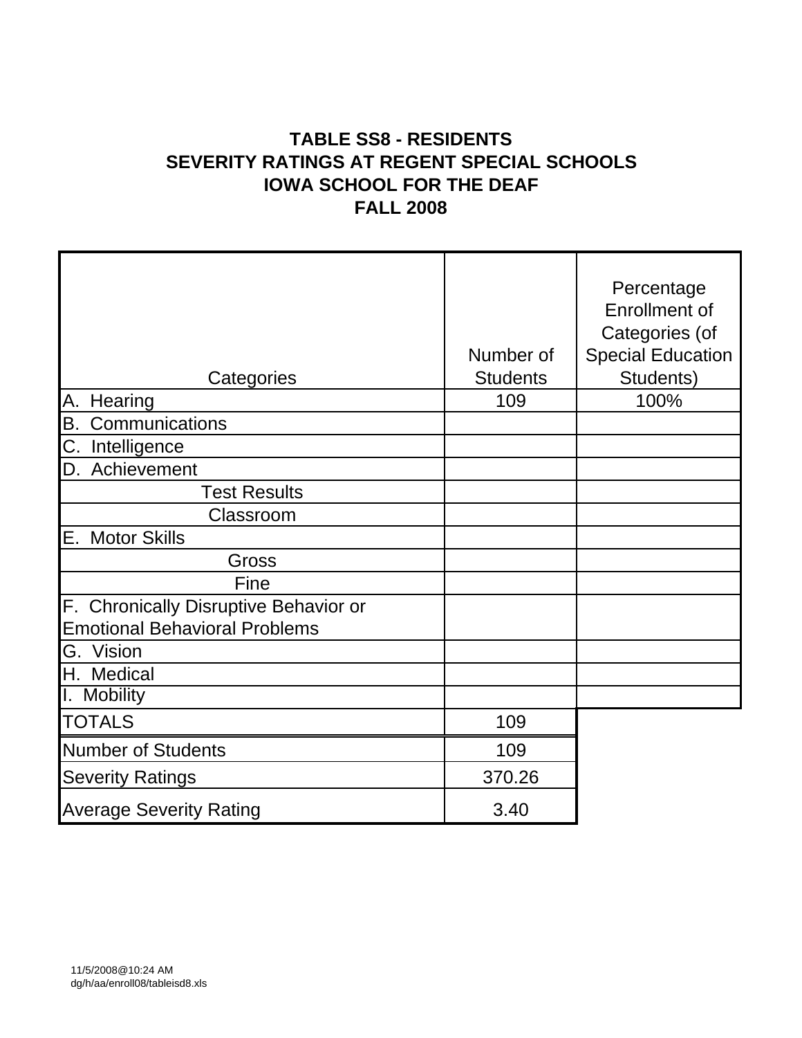# **TABLE SS8 - RESIDENTS SEVERITY RATINGS AT REGENT SPECIAL SCHOOLS IOWA SCHOOL FOR THE DEAF FALL 2008**

| Categories                            | Number of<br><b>Students</b> | Percentage<br><b>Enrollment of</b><br>Categories (of<br><b>Special Education</b><br>Students) |
|---------------------------------------|------------------------------|-----------------------------------------------------------------------------------------------|
| А.<br>Hearing                         | 109                          | 100%                                                                                          |
| В.<br>Communications                  |                              |                                                                                               |
| C. Intelligence                       |                              |                                                                                               |
| D. Achievement                        |                              |                                                                                               |
| <b>Test Results</b>                   |                              |                                                                                               |
| Classroom                             |                              |                                                                                               |
| Е.<br><b>Motor Skills</b>             |                              |                                                                                               |
| Gross                                 |                              |                                                                                               |
| Fine                                  |                              |                                                                                               |
| F. Chronically Disruptive Behavior or |                              |                                                                                               |
| <b>Emotional Behavioral Problems</b>  |                              |                                                                                               |
| G.<br>Vision                          |                              |                                                                                               |
| H. Medical                            |                              |                                                                                               |
| I. Mobility                           |                              |                                                                                               |
| <b>TOTALS</b>                         | 109                          |                                                                                               |
| <b>Number of Students</b>             | 109                          |                                                                                               |
| <b>Severity Ratings</b>               | 370.26                       |                                                                                               |
| <b>Average Severity Rating</b>        | 3.40                         |                                                                                               |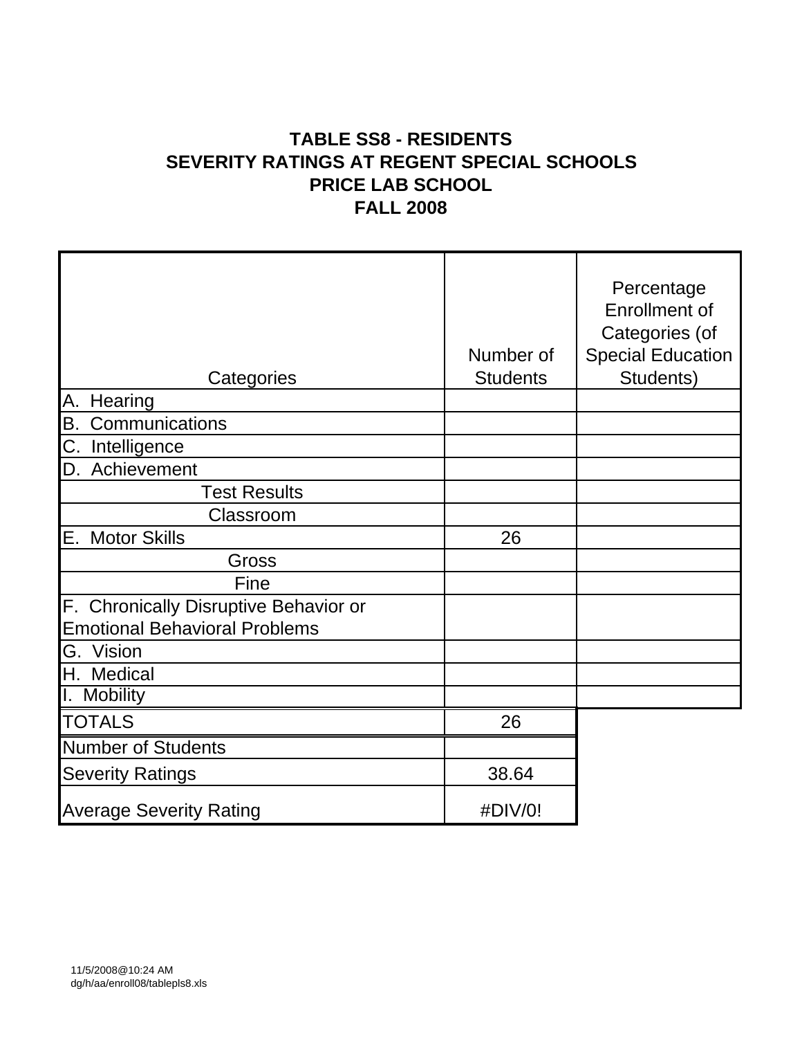# **TABLE SS8 - RESIDENTS SEVERITY RATINGS AT REGENT SPECIAL SCHOOLS PRICE LAB SCHOOL FALL 2008**

| Categories                            | Number of<br><b>Students</b> | Percentage<br><b>Enrollment of</b><br>Categories (of<br><b>Special Education</b><br>Students) |
|---------------------------------------|------------------------------|-----------------------------------------------------------------------------------------------|
| Hearing<br>А.                         |                              |                                                                                               |
| В.<br>Communications                  |                              |                                                                                               |
| C. Intelligence                       |                              |                                                                                               |
| D. Achievement                        |                              |                                                                                               |
| <b>Test Results</b>                   |                              |                                                                                               |
| Classroom                             |                              |                                                                                               |
| Е.<br><b>Motor Skills</b>             | 26                           |                                                                                               |
| Gross                                 |                              |                                                                                               |
| Fine                                  |                              |                                                                                               |
| F. Chronically Disruptive Behavior or |                              |                                                                                               |
| <b>Emotional Behavioral Problems</b>  |                              |                                                                                               |
| G. Vision                             |                              |                                                                                               |
| H. Medical                            |                              |                                                                                               |
| I. Mobility                           |                              |                                                                                               |
| <b>TOTALS</b>                         | 26                           |                                                                                               |
| <b>Number of Students</b>             |                              |                                                                                               |
| <b>Severity Ratings</b>               | 38.64                        |                                                                                               |
| <b>Average Severity Rating</b>        | #DIV/0!                      |                                                                                               |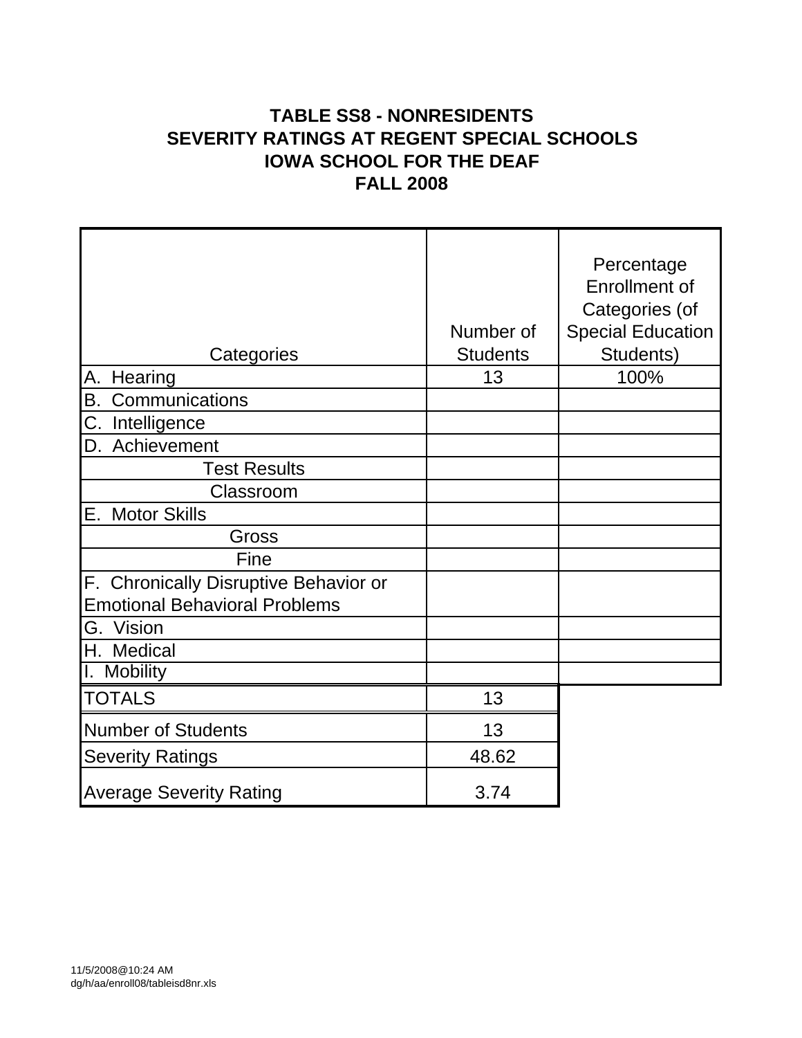## **TABLE SS8 - NONRESIDENTS SEVERITY RATINGS AT REGENT SPECIAL SCHOOLS IOWA SCHOOL FOR THE DEAF FALL 2008**

|                                       |                 | Percentage               |
|---------------------------------------|-----------------|--------------------------|
|                                       |                 | <b>Enrollment of</b>     |
|                                       |                 | Categories (of           |
|                                       | Number of       | <b>Special Education</b> |
| Categories                            | <b>Students</b> | Students)                |
| А.<br>Hearing                         | 13              | 100%                     |
| <b>B.</b><br>Communications           |                 |                          |
| C.<br>Intelligence                    |                 |                          |
| Achievement<br>D.                     |                 |                          |
| <b>Test Results</b>                   |                 |                          |
| Classroom                             |                 |                          |
| Ε.<br><b>Motor Skills</b>             |                 |                          |
| Gross                                 |                 |                          |
| Fine                                  |                 |                          |
| F. Chronically Disruptive Behavior or |                 |                          |
| <b>Emotional Behavioral Problems</b>  |                 |                          |
| G. Vision                             |                 |                          |
| H. Medical                            |                 |                          |
| <b>Mobility</b>                       |                 |                          |
| <b>TOTALS</b>                         | 13              |                          |
| <b>Number of Students</b>             | 13              |                          |
| <b>Severity Ratings</b>               | 48.62           |                          |
| <b>Average Severity Rating</b>        | 3.74            |                          |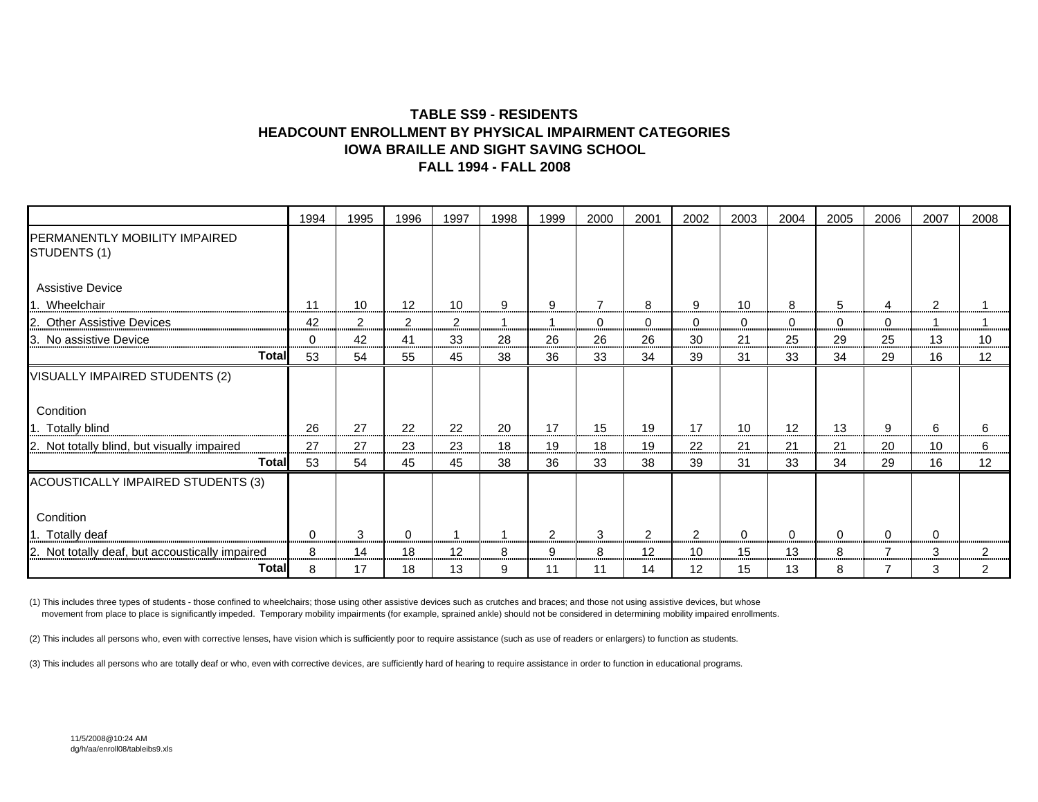#### **TABLE SS9 - RESIDENTSHEADCOUNT ENROLLMENT BY PHYSICAL IMPAIRMENT CATEGORIESIOWA BRAILLE AND SIGHT SAVING SCHOOLFALL 1994 - FALL 2008**

|                                                 | 1994     | 1995 | 1996              | 1997           | 1998                     | 1999 | 2000 | 2001              | 2002           | 2003 | 2004        | 2005 | 2006 | 2007           | 2008 |
|-------------------------------------------------|----------|------|-------------------|----------------|--------------------------|------|------|-------------------|----------------|------|-------------|------|------|----------------|------|
| PERMANENTLY MOBILITY IMPAIRED<br>STUDENTS (1)   |          |      |                   |                |                          |      |      |                   |                |      |             |      |      |                |      |
| <b>Assistive Device</b>                         |          |      |                   |                |                          |      |      |                   |                |      |             |      |      |                |      |
| 1. Wheelchair                                   | 11       | 10   | $12 \overline{ }$ | 10             | 9                        | 9    | 7    | 8                 | 9              | 10   | 8           | 5    | 4    | $\overline{2}$ |      |
| 2. Other Assistive Devices                      | 42       | 2    | $\overline{2}$    | $\overline{2}$ | $\overline{\phantom{a}}$ |      | 0    | 0                 | 0              | 0    | 0           | 0    | 0    |                |      |
| 3. No assistive Device                          | $\Omega$ | 42   | 41                | 33             | 28                       | 26   | 26   | 26                | 30             | 21   | 25          | 29   | 25   | 13             | 10   |
| Total                                           | 53       | 54   | 55                | 45             | 38                       | 36   | 33   | 34                | 39             | 31   | 33          | 34   | 29   | 16             | 12   |
| VISUALLY IMPAIRED STUDENTS (2)                  |          |      |                   |                |                          |      |      |                   |                |      |             |      |      |                |      |
| Condition                                       |          |      |                   |                |                          |      |      |                   |                |      |             |      |      |                |      |
| 1. Totally blind                                | 26       | 27   | 22                | 22             | 20                       | 17   | 15   | 19                | 17             | 10   | 12          | 13   | 9    | 6              | 6    |
| 2. Not totally blind, but visually impaired     | 27       | 27   | 23                | 23             | 18                       | 19   | 18   | 19                | 22             | 21   | 21          | 21   | 20   | 10             | 6    |
| Total                                           | 53       | 54   | 45                | 45             | 38                       | 36   | 33   | 38                | 39             | 31   | 33          | 34   | 29   | 16             | 12   |
| ACOUSTICALLY IMPAIRED STUDENTS (3)              |          |      |                   |                |                          |      |      |                   |                |      |             |      |      |                |      |
| Condition                                       |          |      |                   |                |                          |      |      |                   |                |      |             |      |      |                |      |
| 1. Totally deaf                                 | $\Omega$ | 3    | 0                 | -1             | $\overline{\phantom{a}}$ | 2    | 3    | 2                 | $\overline{2}$ | 0    | $\mathbf 0$ | 0    | 0    | $\Omega$       |      |
| 2. Not totally deaf, but accoustically impaired | 8        | 14   | 18                | 12             | 8                        | 9    | 8    | $12 \overline{ }$ | 10             | 15   | 13          | 8    |      | 3              | 2    |
| Total                                           | 8        | 17   | 18                | 13             | 9                        | 11   | 11   | 14                | 12             | 15   | 13          | 8    |      | 3              |      |

(1) This includes three types of students - those confined to wheelchairs; those using other assistive devices such as crutches and braces; and those not using assistive devices, but whose movement from place to place is significantly impeded. Temporary mobility impairments (for example, sprained ankle) should not be considered in determining mobility impaired enrollments.

(2) This includes all persons who, even with corrective lenses, have vision which is sufficiently poor to require assistance (such as use of readers or enlargers) to function as students.

(3) This includes all persons who are totally deaf or who, even with corrective devices, are sufficiently hard of hearing to require assistance in order to function in educational programs.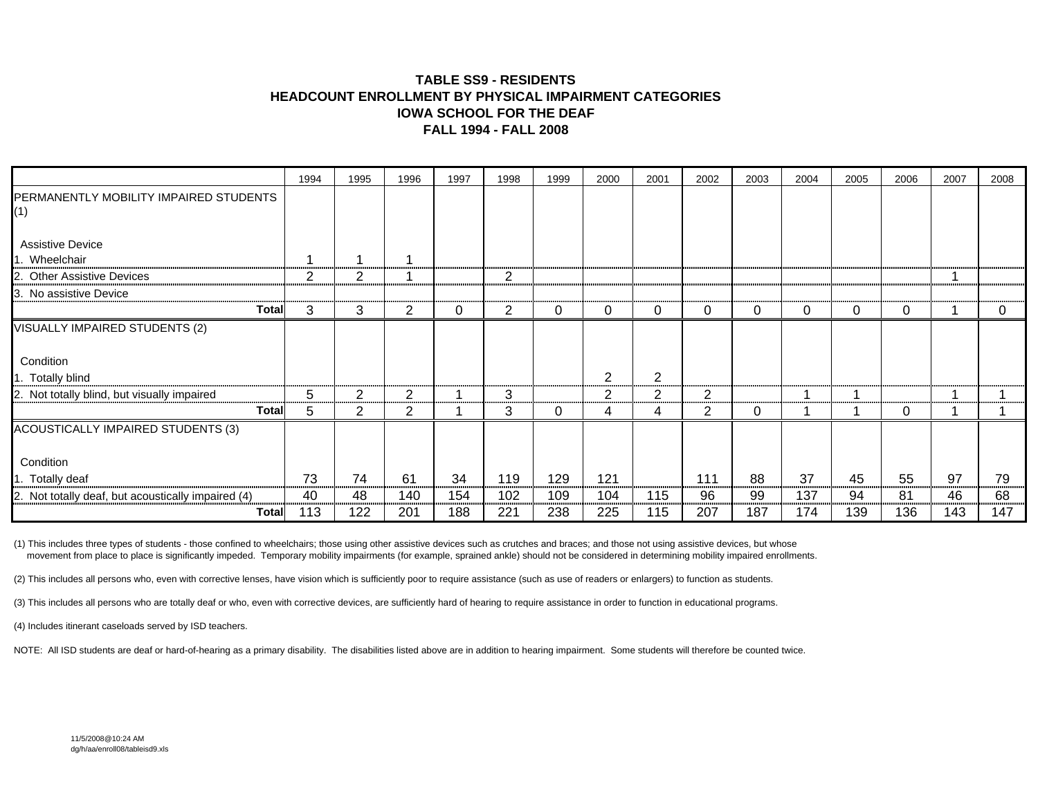#### **TABLE SS9 - RESIDENTSHEADCOUNT ENROLLMENT BY PHYSICAL IMPAIRMENT CATEGORIESIOWA SCHOOL FOR THE DEAFFALL 1994 - FALL 2008**

|                                                    | 1994 | 1995 | 1996 | 1997 | 1998 | 1999 | 2000 | 2001           | 2002 | 2003 | 2004 | 2005 | 2006 | 2007 | 2008 |
|----------------------------------------------------|------|------|------|------|------|------|------|----------------|------|------|------|------|------|------|------|
| PERMANENTLY MOBILITY IMPAIRED STUDENTS<br>(1)      |      |      |      |      |      |      |      |                |      |      |      |      |      |      |      |
| <b>Assistive Device</b>                            |      |      |      |      |      |      |      |                |      |      |      |      |      |      |      |
| Wheelchair                                         |      |      |      |      |      |      |      |                |      |      |      |      |      |      |      |
| <b>Other Assistive Devices</b>                     | 2    | 2    |      |      | 2    |      |      |                |      |      |      |      |      |      |      |
| 3. No assistive Device                             |      |      |      |      |      |      |      |                |      |      |      |      |      |      |      |
| <b>Total</b>                                       | 3    | 3    | 2    | 0    | 2    | 0    | 0    | 0              | 0    | 0    | 0    | 0    | 0    |      | 0    |
| VISUALLY IMPAIRED STUDENTS (2)                     |      |      |      |      |      |      |      |                |      |      |      |      |      |      |      |
| Condition                                          |      |      |      |      |      |      |      |                |      |      |      |      |      |      |      |
| 1. Totally blind                                   |      |      |      |      |      |      | 2    | 2              |      |      |      |      |      |      |      |
| 2. Not totally blind, but visually impaired        | 5    | 2    | 2    |      | 3    |      | 2    | $\overline{2}$ | 2    |      |      | ٠    |      |      |      |
| <b>Total</b>                                       | 5    | 2    | 2    |      | 3    | 0    | 4    | 4              | 2    | 0    |      | 1    | 0    |      |      |
| ACOUSTICALLY IMPAIRED STUDENTS (3)                 |      |      |      |      |      |      |      |                |      |      |      |      |      |      |      |
| Condition                                          |      |      |      |      |      |      |      |                |      |      |      |      |      |      |      |
| 1. Totally deaf                                    | 73   | 74   | 61   | 34   | 119  | 129  | 121  |                | 111  | 88   | 37   | 45   | 55   | 97   | 79   |
| 2. Not totally deaf, but acoustically impaired (4) | 40   | 48   | 140  | 154  | 102  | 109  | 104  | 115            | 96   | 99   | 137  | 94   | 81   | 46   | 68   |
| <b>Total</b>                                       | 113  | 122  | 201  | 188  | 221  | 238  | 225  | 115            | 207  | 187  | 174  | 139  | 136  | 143  | 147  |

(1) This includes three types of students - those confined to wheelchairs; those using other assistive devices such as crutches and braces; and those not using assistive devices, but whose movement from place to place is significantly impeded. Temporary mobility impairments (for example, sprained ankle) should not be considered in determining mobility impaired enrollments.

(2) This includes all persons who, even with corrective lenses, have vision which is sufficiently poor to require assistance (such as use of readers or enlargers) to function as students.

(3) This includes all persons who are totally deaf or who, even with corrective devices, are sufficiently hard of hearing to require assistance in order to function in educational programs.

(4) Includes itinerant caseloads served by ISD teachers.

NOTE: All ISD students are deaf or hard-of-hearing as a primary disability. The disabilities listed above are in addition to hearing impairment. Some students will therefore be counted twice.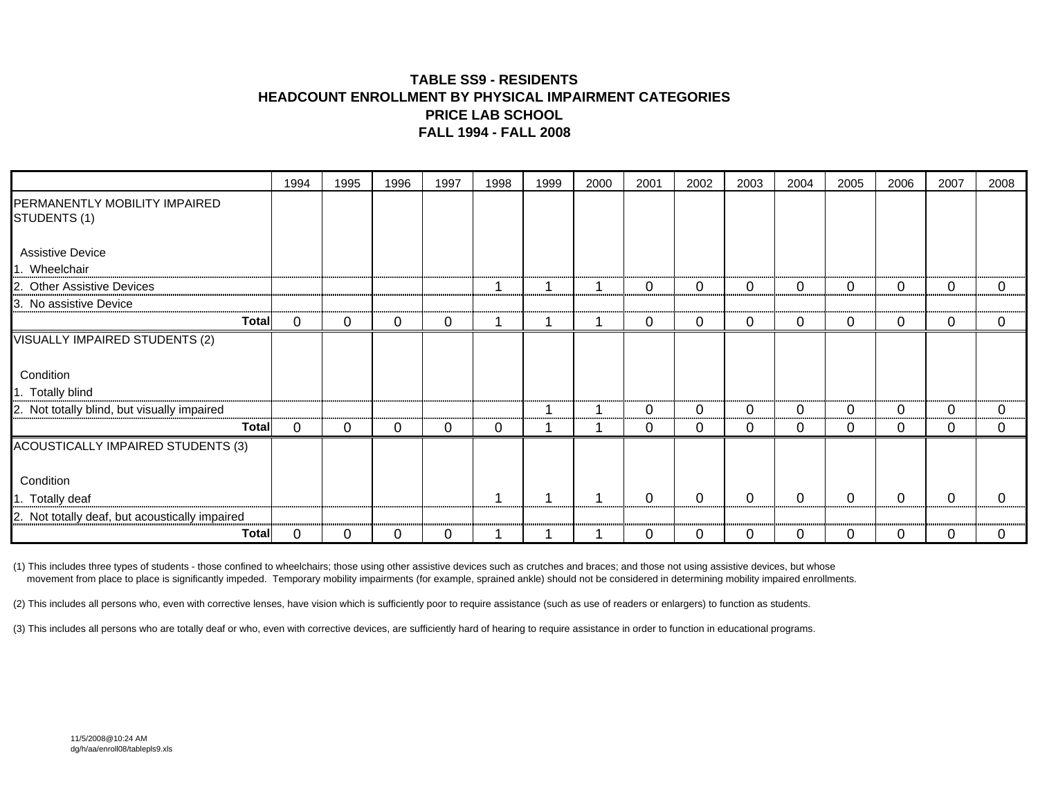#### **TABLE SS9 - RESIDENTSHEADCOUNT ENROLLMENT BY PHYSICAL IMPAIRMENT CATEGORIESPRICE LAB SCHOOL FALL 1994 - FALL 2008**

|                                                | 1994     | 1995     | 1996 | 1997 | 1998 | 1999 | 2000 | 2001     | 2002           | 2003        | 2004        | 2005        | 2006         | 2007     | 2008     |
|------------------------------------------------|----------|----------|------|------|------|------|------|----------|----------------|-------------|-------------|-------------|--------------|----------|----------|
| PERMANENTLY MOBILITY IMPAIRED<br>STUDENTS (1)  |          |          |      |      |      |      |      |          |                |             |             |             |              |          |          |
| <b>Assistive Device</b><br>1. Wheelchair       |          |          |      |      |      |      |      |          |                |             |             |             |              |          |          |
| <b>Other Assistive Devices</b><br>2.           |          |          |      |      |      |      |      | 0        | $\overline{0}$ | 0           | 0           | 0           | $\mathbf{0}$ | 0        | 0        |
| 3. No assistive Device                         |          |          |      |      |      |      |      |          |                |             |             |             |              |          |          |
| <b>Total</b>                                   | 0        | 0        | 0    | 0    |      |      |      | 0        | $\overline{0}$ | 0           | $\mathbf 0$ | 0           | 0            | 0        | 0        |
| VISUALLY IMPAIRED STUDENTS (2)                 |          |          |      |      |      |      |      |          |                |             |             |             |              |          |          |
| Condition                                      |          |          |      |      |      |      |      |          |                |             |             |             |              |          |          |
| 1. Totally blind                               |          |          |      |      |      |      |      |          |                |             |             |             |              |          |          |
| 2. Not totally blind, but visually impaired    |          |          |      |      |      |      |      | $\Omega$ | $\Omega$       | 0           | 0           | 0           | 0            | $\Omega$ | $\Omega$ |
| <b>Total</b>                                   | $\Omega$ | 0        | 0    | 0    | 0    |      |      | 0        | $\mathbf 0$    | $\mathbf 0$ | $\mathbf 0$ | 0           | 0            | 0        | 0        |
| ACOUSTICALLY IMPAIRED STUDENTS (3)             |          |          |      |      |      |      |      |          |                |             |             |             |              |          |          |
| Condition                                      |          |          |      |      |      |      |      |          |                |             |             |             |              |          |          |
| 1. Totally deaf                                |          |          |      |      |      |      |      | $\Omega$ | 0              | $\mathbf 0$ | $\mathbf 0$ | $\mathbf 0$ | $\mathbf 0$  | $\Omega$ | 0        |
| 2. Not totally deaf, but acoustically impaired |          |          |      |      |      |      |      |          |                |             |             |             |              |          |          |
| <b>Total</b>                                   | 0        | $\Omega$ | 0    | 0    |      |      |      | $\Omega$ | 0              | 0           | $\mathbf 0$ | 0           | 0            | 0        | 0        |

(1) This includes three types of students - those confined to wheelchairs; those using other assistive devices such as crutches and braces; and those not using assistive devices, but whose movement from place to place is significantly impeded. Temporary mobility impairments (for example, sprained ankle) should not be considered in determining mobility impaired enrollments.

(2) This includes all persons who, even with corrective lenses, have vision which is sufficiently poor to require assistance (such as use of readers or enlargers) to function as students.

(3) This includes all persons who are totally deaf or who, even with corrective devices, are sufficiently hard of hearing to require assistance in order to function in educational programs.